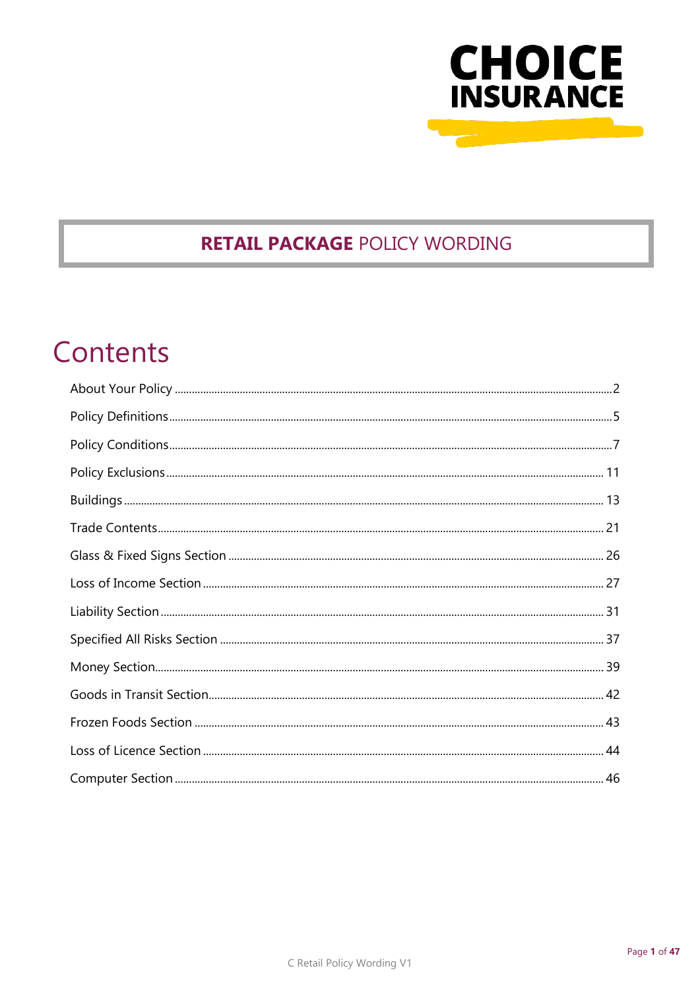

## **RETAIL PACKAGE POLICY WORDING**

# Contents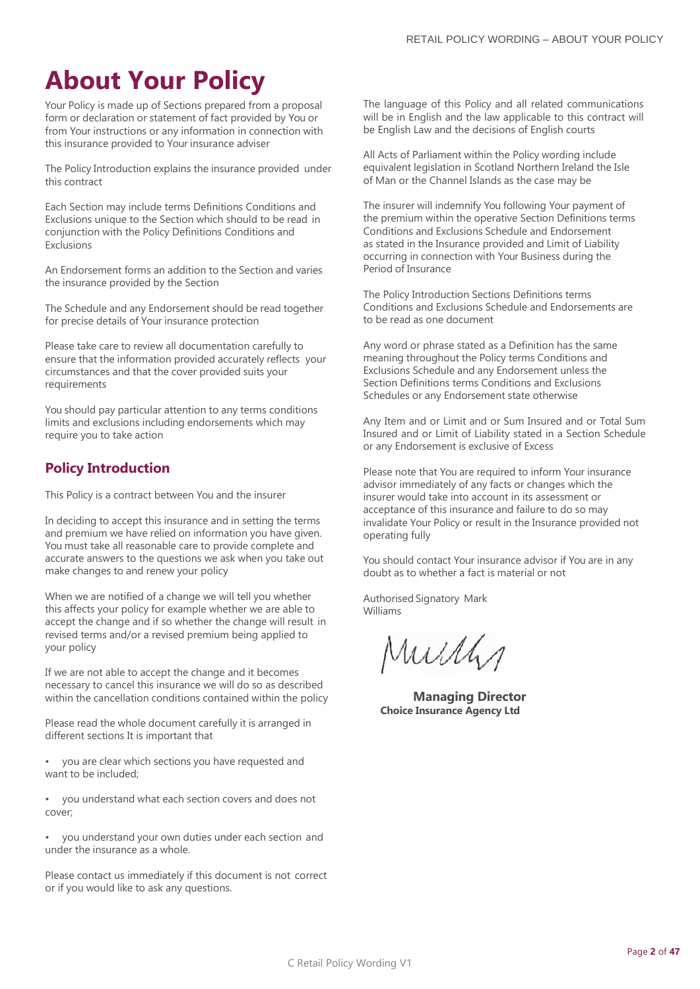## <span id="page-1-0"></span>**About Your Policy**

Your Policy is made up of Sections prepared from a proposal form or declaration or statement of fact provided by You or from Your instructions or any information in connection with this insurance provided to Your insurance adviser

The Policy Introduction explains the insurance provided under this contract

Each Section may include terms Definitions Conditions and Exclusions unique to the Section which should to be read in conjunction with the Policy Definitions Conditions and Exclusions

An Endorsement forms an addition to the Section and varies the insurance provided by the Section

The Schedule and any Endorsement should be read together for precise details of Your insurance protection

Please take care to review all documentation carefully to ensure that the information provided accurately reflects your circumstances and that the cover provided suits your requirements

You should pay particular attention to any terms conditions limits and exclusions including endorsements which may require you to take action

## **Policy Introduction**

This Policy is a contract between You and the insurer

In deciding to accept this insurance and in setting the terms and premium we have relied on information you have given. You must take all reasonable care to provide complete and accurate answers to the questions we ask when you take out make changes to and renew your policy

When we are notified of a change we will tell you whether this affects your policy for example whether we are able to accept the change and if so whether the change will result in revised terms and/or a revised premium being applied to your policy

If we are not able to accept the change and it becomes necessary to cancel this insurance we will do so as described within the cancellation conditions contained within the policy

Please read the whole document carefully it is arranged in different sections It is important that

• you are clear which sections you have requested and want to be included;

• you understand what each section covers and does not cover;

• you understand your own duties under each section and under the insurance as a whole.

Please contact us immediately if this document is not correct or if you would like to ask any questions.

The language of this Policy and all related communications will be in English and the law applicable to this contract will be English Law and the decisions of English courts

All Acts of Parliament within the Policy wording include equivalent legislation in Scotland Northern Ireland the Isle of Man or the Channel Islands as the case may be

The insurer will indemnify You following Your payment of the premium within the operative Section Definitions terms Conditions and Exclusions Schedule and Endorsement as stated in the Insurance provided and Limit of Liability occurring in connection with Your Business during the Period of Insurance

The Policy Introduction Sections Definitions terms Conditions and Exclusions Schedule and Endorsements are to be read as one document

Any word or phrase stated as a Definition has the same meaning throughout the Policy terms Conditions and Exclusions Schedule and any Endorsement unless the Section Definitions terms Conditions and Exclusions Schedules or any Endorsement state otherwise

Any Item and or Limit and or Sum Insured and or Total Sum Insured and or Limit of Liability stated in a Section Schedule or any Endorsement is exclusive of Excess

Please note that You are required to inform Your insurance advisor immediately of any facts or changes which the insurer would take into account in its assessment or acceptance of this insurance and failure to do so may invalidate Your Policy or result in the Insurance provided not operating fully

You should contact Your insurance advisor if You are in any doubt as to whether a fact is material or not

Authorised Signatory Mark Williams

Mully

**Managing Director Choice Insurance Agency Ltd**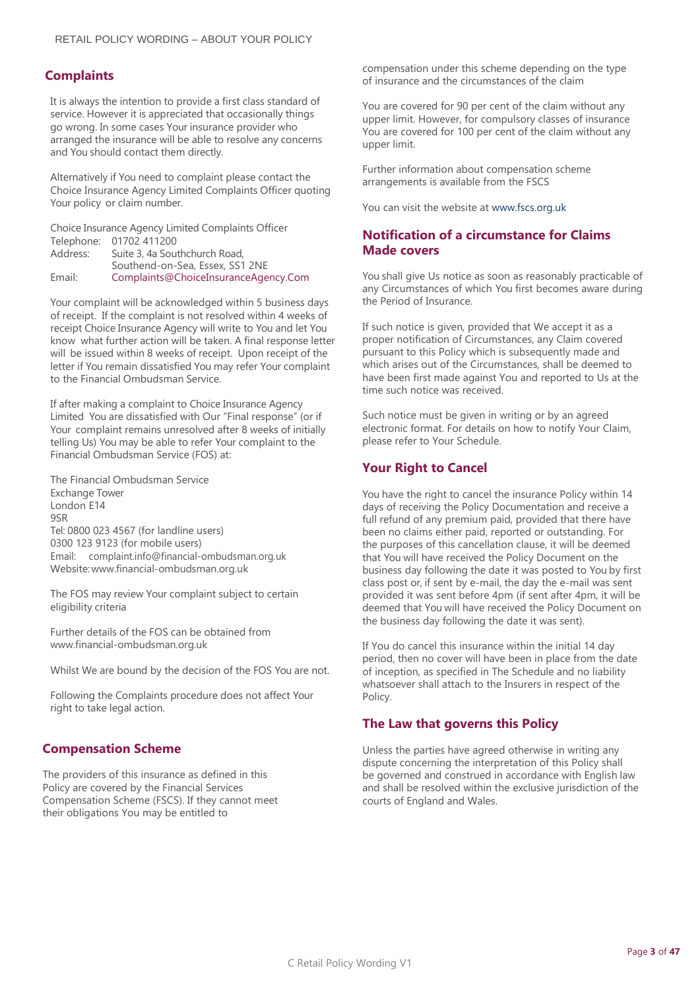## **Complaints**

It is always the intention to provide a first class standard of service. However it is appreciated that occasionally things go wrong. In some cases Your insurance provider who arranged the insurance will be able to resolve any concerns and You should contact them directly.

Alternatively if You need to complaint please contact the Choice Insurance Agency Limited Complaints Officer quoting Your policy or claim number.

Choice Insurance Agency Limited Complaints Officer Telephone: 01702 411200<br>Address: Suite 3, 4a Sou Suite 3, 4a Southchurch Road,

Southend-on-Sea, Essex, SS1 2NE Email: [Complaints@ChoiceInsuranceAgency.Com](mailto:Complaints@ChoiceInsuranceAgency.Com)

Your complaint will be acknowledged within 5 business days of receipt. If the complaint is not resolved within 4 weeks of receipt Choice Insurance Agency will write to You and let You know what further action will be taken. A final response letter will be issued within 8 weeks of receipt. Upon receipt of the letter if You remain dissatisfied You may refer Your complaint to the Financial Ombudsman Service.

If after making a complaint to Choice Insurance Agency Limited You are dissatisfied with Our "Final response" (or if Your complaint remains unresolved after 8 weeks of initially telling Us) You may be able to refer Your complaint to the Financial Ombudsman Service (FOS) at:

The Financial Ombudsman Service Exchange Tower London E14 9SR Tel: 0800 023 4567 (for landline users) 0300 123 9123 (for mobile users) Email: [complaint.info@financial-ombudsman.org.uk](mailto:complaint.info@financial-ombudsman.org.uk) Website[:www.financial-ombudsman.org.uk](http://www.financial-ombudsman.org.uk/)

The FOS may review Your complaint subject to certain eligibility criteria

Further details of the FOS can be obtained from [www.financial-ombudsman.org.uk](http://www.financial-ombudsman.org.uk/)

Whilst We are bound by the decision of the FOS You are not.

Following the Complaints procedure does not affect Your right to take legal action.

## **Compensation Scheme**

The providers of this insurance as defined in this Policy are covered by the Financial Services Compensation Scheme (FSCS). If they cannot meet their obligations You may be entitled to

compensation under this scheme depending on the type of insurance and the circumstances of the claim

You are covered for 90 per cent of the claim without any upper limit. However, for compulsory classes of insurance You are covered for 100 per cent of the claim without any upper limit.

Further information about compensation scheme arrangements is available from the FSCS

You can visit the website a[t www.fscs.org.uk](http://www.fscs.org.uk/)

## **Notification of a circumstance for Claims Made covers**

You shall give Us notice as soon as reasonably practicable of any Circumstances of which You first becomes aware during the Period of Insurance.

If such notice is given, provided that We accept it as a proper notification of Circumstances, any Claim covered pursuant to this Policy which is subsequently made and which arises out of the Circumstances, shall be deemed to have been first made against You and reported to Us at the time such notice was received.

Such notice must be given in writing or by an agreed electronic format. For details on how to notify Your Claim, please refer to Your Schedule.

## **Your Right to Cancel**

You have the right to cancel the insurance Policy within 14 days of receiving the Policy Documentation and receive a full refund of any premium paid, provided that there have been no claims either paid, reported or outstanding. For the purposes of this cancellation clause, it will be deemed that You will have received the Policy Document on the business day following the date it was posted to You by first class post or, if sent by e-mail, the day the e-mail was sent provided it was sent before 4pm (if sent after 4pm, it will be deemed that You will have received the Policy Document on the business day following the date it was sent).

If You do cancel this insurance within the initial 14 day period, then no cover will have been in place from the date of inception, as specified in The Schedule and no liability whatsoever shall attach to the Insurers in respect of the Policy.

## **The Law that governs this Policy**

Unless the parties have agreed otherwise in writing any dispute concerning the interpretation of this Policy shall be governed and construed in accordance with English law and shall be resolved within the exclusive jurisdiction of the courts of England and Wales.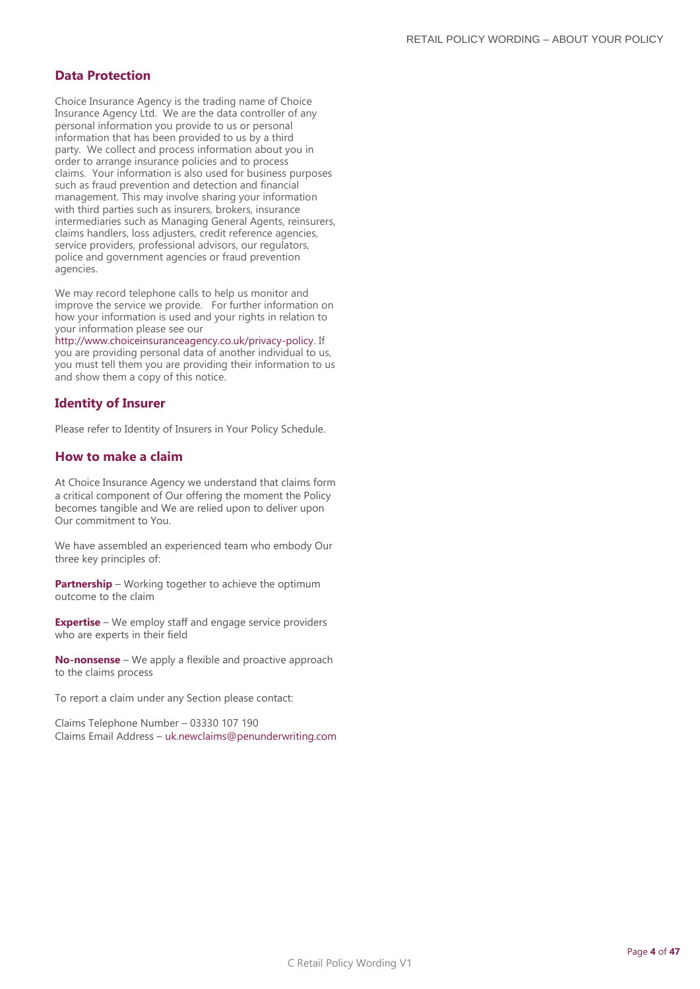## **Data Protection**

Choice Insurance Agency is the trading name of Choice Insurance Agency Ltd. We are the data controller of any personal information you provide to us or personal information that has been provided to us by a third party. We collect and process information about you in order to arrange insurance policies and to process claims. Your information is also used for business purposes such as fraud prevention and detection and financial management. This may involve sharing your information with third parties such as insurers, brokers, insurance intermediaries such as Managing General Agents, reinsurers, claims handlers, loss adjusters, credit reference agencies, service providers, professional advisors, our regulators, police and government agencies or fraud prevention agencies.

We may record telephone calls to help us monitor and improve the service we provide. For further information on how your information is used and your rights in relation to your information please see our

[http://www.choiceinsuranceagency.co.uk/privacy-policy.](http://www.choiceinsuranceagency.co.uk/privacy-policy) If you are providing personal data of another individual to us, you must tell them you are providing their information to us and show them a copy of this notice.

## **Identity of Insurer**

Please refer to Identity of Insurers in Your Policy Schedule.

## **How to make a claim**

At Choice Insurance Agency we understand that claims form a critical component of Our offering the moment the Policy becomes tangible and We are relied upon to deliver upon Our commitment to You.

We have assembled an experienced team who embody Our three key principles of:

**Partnership** – Working together to achieve the optimum outcome to the claim

**Expertise** – We employ staff and engage service providers who are experts in their field

**No-nonsense** – We apply a flexible and proactive approach to the claims process

To report a claim under any Section please contact:

Claims Telephone Number – 03330 107 190 Claims Email Address – [uk.newclaims@penunderwriting.com](mailto:uk.newclaims@penunderwriting.com)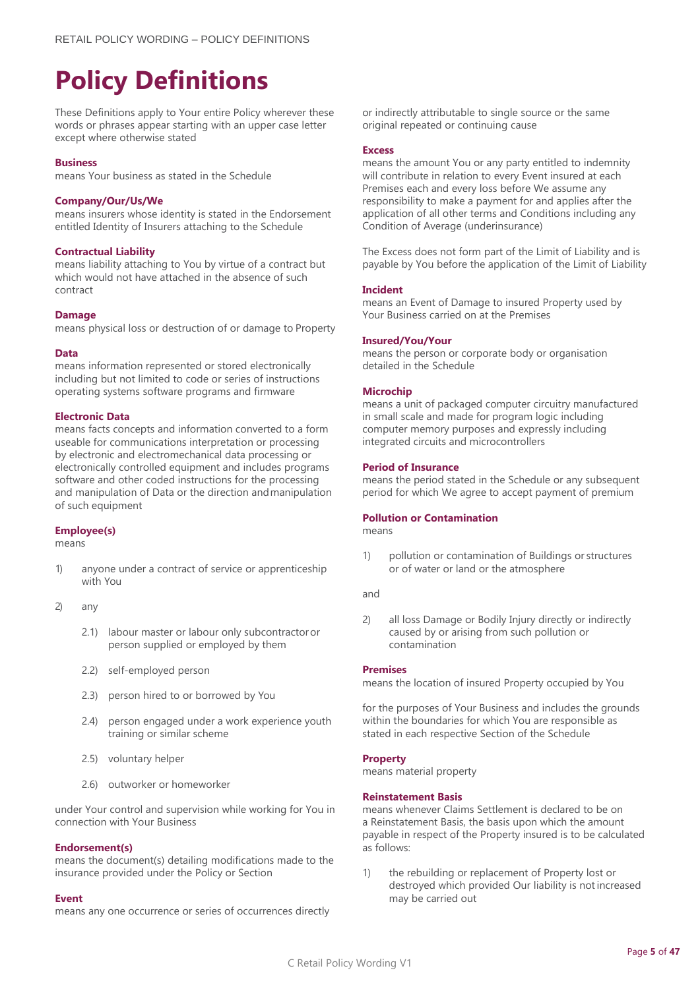## <span id="page-4-0"></span>**Policy Definitions**

These Definitions apply to Your entire Policy wherever these words or phrases appear starting with an upper case letter except where otherwise stated

#### **Business**

means Your business as stated in the Schedule

#### **Company/Our/Us/We**

means insurers whose identity is stated in the Endorsement entitled Identity of Insurers attaching to the Schedule

#### **Contractual Liability**

means liability attaching to You by virtue of a contract but which would not have attached in the absence of such contract

#### **Damage**

means physical loss or destruction of or damage to Property

#### **Data**

means information represented or stored electronically including but not limited to code or series of instructions operating systems software programs and firmware

#### **Electronic Data**

means facts concepts and information converted to a form useable for communications interpretation or processing by electronic and electromechanical data processing or electronically controlled equipment and includes programs software and other coded instructions for the processing and manipulation of Data or the direction andmanipulation of such equipment

#### **Employee(s)**

means

- 1) anyone under a contract of service or apprenticeship with You
- 2) any
	- 2.1) labour master or labour only subcontractoror person supplied or employed by them
	- 2.2) self-employed person
	- 2.3) person hired to or borrowed by You
	- 2.4) person engaged under a work experience youth training or similar scheme
	- 2.5) voluntary helper
	- 2.6) outworker or homeworker

under Your control and supervision while working for You in connection with Your Business

#### **Endorsement(s)**

means the document(s) detailing modifications made to the insurance provided under the Policy or Section

#### **Event**

means any one occurrence or series of occurrences directly

or indirectly attributable to single source or the same original repeated or continuing cause

#### **Excess**

means the amount You or any party entitled to indemnity will contribute in relation to every Event insured at each Premises each and every loss before We assume any responsibility to make a payment for and applies after the application of all other terms and Conditions including any Condition of Average (underinsurance)

The Excess does not form part of the Limit of Liability and is payable by You before the application of the Limit of Liability

#### **Incident**

means an Event of Damage to insured Property used by Your Business carried on at the Premises

#### **Insured/You/Your**

means the person or corporate body or organisation detailed in the Schedule

#### **Microchip**

means a unit of packaged computer circuitry manufactured in small scale and made for program logic including computer memory purposes and expressly including integrated circuits and microcontrollers

#### **Period of Insurance**

means the period stated in the Schedule or any subsequent period for which We agree to accept payment of premium

#### **Pollution or Contamination**

means

1) pollution or contamination of Buildings or structures or of water or land or the atmosphere

and

2) all loss Damage or Bodily Injury directly or indirectly caused by or arising from such pollution or contamination

#### **Premises**

means the location of insured Property occupied by You

for the purposes of Your Business and includes the grounds within the boundaries for which You are responsible as stated in each respective Section of the Schedule

#### **Property**

means material property

#### **Reinstatement Basis**

means whenever Claims Settlement is declared to be on a Reinstatement Basis, the basis upon which the amount payable in respect of the Property insured is to be calculated as follows:

1) the rebuilding or replacement of Property lost or destroyed which provided Our liability is notincreased may be carried out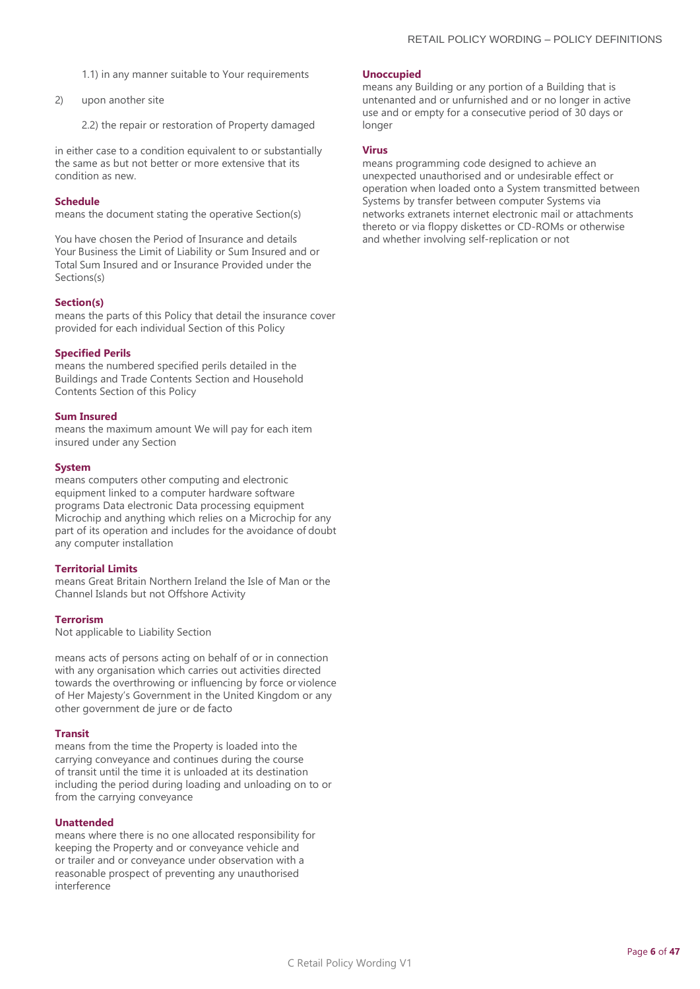- 1.1) in any manner suitable to Your requirements
- 2) upon another site
	- 2.2) the repair or restoration of Property damaged

in either case to a condition equivalent to or substantially the same as but not better or more extensive that its condition as new.

#### **Schedule**

means the document stating the operative Section(s)

You have chosen the Period of Insurance and details Your Business the Limit of Liability or Sum Insured and or Total Sum Insured and or Insurance Provided under the Sections(s)

#### **Section(s)**

means the parts of this Policy that detail the insurance cover provided for each individual Section of this Policy

#### **Specified Perils**

means the numbered specified perils detailed in the Buildings and Trade Contents Section and Household Contents Section of this Policy

#### **Sum Insured**

means the maximum amount We will pay for each item insured under any Section

#### **System**

means computers other computing and electronic equipment linked to a computer hardware software programs Data electronic Data processing equipment Microchip and anything which relies on a Microchip for any part of its operation and includes for the avoidance of doubt any computer installation

#### **Territorial Limits**

means Great Britain Northern Ireland the Isle of Man or the Channel Islands but not Offshore Activity

#### **Terrorism**

Not applicable to Liability Section

means acts of persons acting on behalf of or in connection with any organisation which carries out activities directed towards the overthrowing or influencing by force or violence of Her Majesty's Government in the United Kingdom or any other government de jure or de facto

#### **Transit**

means from the time the Property is loaded into the carrying conveyance and continues during the course of transit until the time it is unloaded at its destination including the period during loading and unloading on to or from the carrying conveyance

#### **Unattended**

means where there is no one allocated responsibility for keeping the Property and or conveyance vehicle and or trailer and or conveyance under observation with a reasonable prospect of preventing any unauthorised interference

#### **Unoccupied**

means any Building or any portion of a Building that is untenanted and or unfurnished and or no longer in active use and or empty for a consecutive period of 30 days or longer

#### **Virus**

means programming code designed to achieve an unexpected unauthorised and or undesirable effect or operation when loaded onto a System transmitted between Systems by transfer between computer Systems via networks extranets internet electronic mail or attachments thereto or via floppy diskettes or CD-ROMs or otherwise and whether involving self-replication or not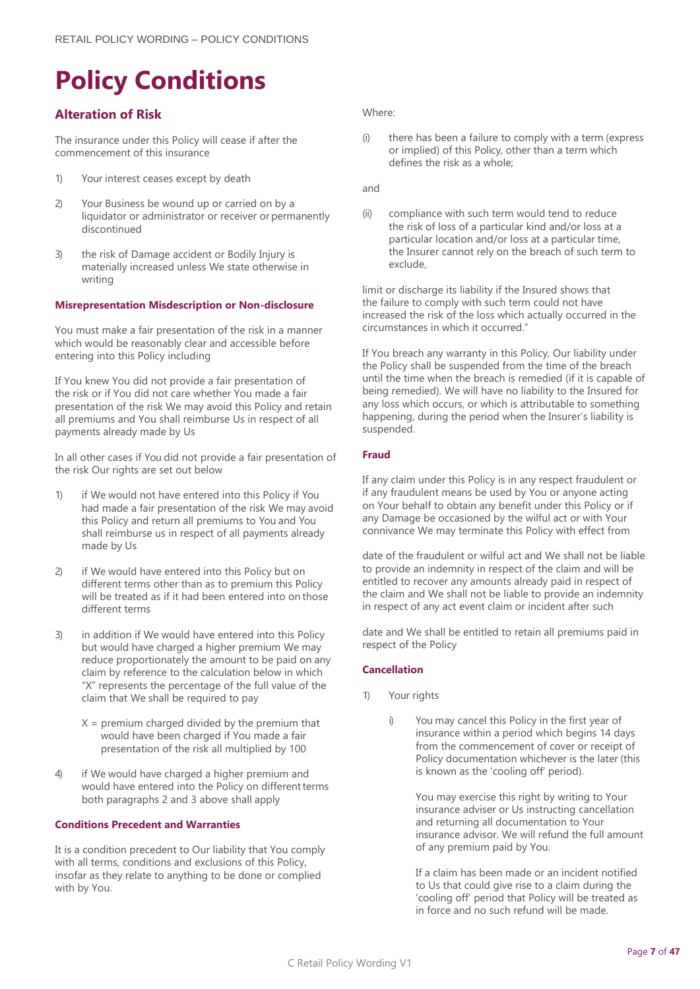# <span id="page-6-0"></span>**Policy Conditions**

## **Alteration of Risk**

The insurance under this Policy will cease if after the commencement of this insurance

- 1) Your interest ceases except by death
- 2) Your Business be wound up or carried on by a liquidator or administrator or receiver or permanently discontinued
- 3) the risk of Damage accident or Bodily Injury is materially increased unless We state otherwise in writing

#### **Misrepresentation Misdescription or Non-disclosure**

You must make a fair presentation of the risk in a manner which would be reasonably clear and accessible before entering into this Policy including

If You knew You did not provide a fair presentation of the risk or if You did not care whether You made a fair presentation of the risk We may avoid this Policy and retain all premiums and You shall reimburse Us in respect of all payments already made by Us

In all other cases if You did not provide a fair presentation of the risk Our rights are set out below

- 1) if We would not have entered into this Policy if You had made a fair presentation of the risk We may avoid this Policy and return all premiums to You and You shall reimburse us in respect of all payments already made by Us
- 2) if We would have entered into this Policy but on different terms other than as to premium this Policy will be treated as if it had been entered into on those different terms
- 3) in addition if We would have entered into this Policy but would have charged a higher premium We may reduce proportionately the amount to be paid on any claim by reference to the calculation below in which "X" represents the percentage of the full value of the claim that We shall be required to pay
	- $X =$  premium charged divided by the premium that would have been charged if You made a fair presentation of the risk all multiplied by 100
- 4) if We would have charged a higher premium and would have entered into the Policy on different terms both paragraphs 2 and 3 above shall apply

#### **Conditions Precedent and Warranties**

It is a condition precedent to Our liability that You comply with all terms, conditions and exclusions of this Policy, insofar as they relate to anything to be done or complied with by You.

Where:

(i) there has been a failure to comply with a term (express or implied) of this Policy, other than a term which defines the risk as a whole;

and

(ii) compliance with such term would tend to reduce the risk of loss of a particular kind and/or loss at a particular location and/or loss at a particular time, the Insurer cannot rely on the breach of such term to exclude,

limit or discharge its liability if the Insured shows that the failure to comply with such term could not have increased the risk of the loss which actually occurred in the circumstances in which it occurred."

If You breach any warranty in this Policy, Our liability under the Policy shall be suspended from the time of the breach until the time when the breach is remedied (if it is capable of being remedied). We will have no liability to the Insured for any loss which occurs, or which is attributable to something happening, during the period when the Insurer's liability is suspended.

#### **Fraud**

If any claim under this Policy is in any respect fraudulent or if any fraudulent means be used by You or anyone acting on Your behalf to obtain any benefit under this Policy or if any Damage be occasioned by the wilful act or with Your connivance We may terminate this Policy with effect from

date of the fraudulent or wilful act and We shall not be liable to provide an indemnity in respect of the claim and will be entitled to recover any amounts already paid in respect of the claim and We shall not be liable to provide an indemnity in respect of any act event claim or incident after such

date and We shall be entitled to retain all premiums paid in respect of the Policy

#### **Cancellation**

- 1) Your rights
	- i) You may cancel this Policy in the first year of insurance within a period which begins 14 days from the commencement of cover or receipt of Policy documentation whichever is the later (this is known as the 'cooling off' period).

You may exercise this right by writing to Your insurance adviser or Us instructing cancellation and returning all documentation to Your insurance advisor. We will refund the full amount of any premium paid by You.

If a claim has been made or an incident notified to Us that could give rise to a claim during the 'cooling off' period that Policy will be treated as in force and no such refund will be made.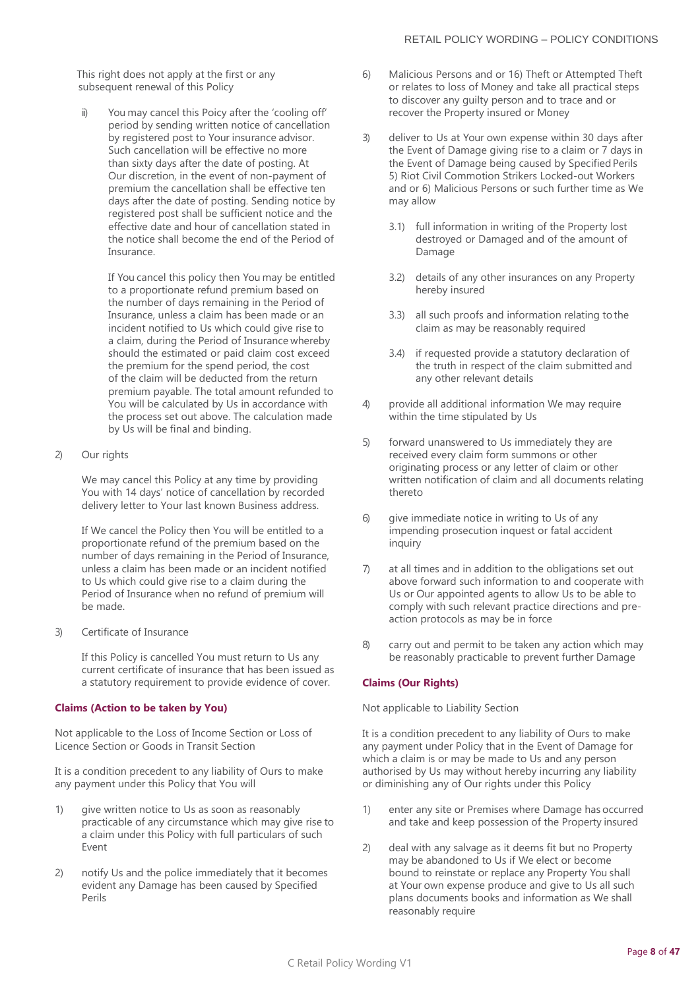This right does not apply at the first or any subsequent renewal of this Policy

ii) You may cancel this Poicy after the 'cooling off' period by sending written notice of cancellation by registered post to Your insurance advisor. Such cancellation will be effective no more than sixty days after the date of posting. At Our discretion, in the event of non-payment of premium the cancellation shall be effective ten days after the date of posting. Sending notice by registered post shall be sufficient notice and the effective date and hour of cancellation stated in the notice shall become the end of the Period of Insurance.

> If You cancel this policy then You may be entitled to a proportionate refund premium based on the number of days remaining in the Period of Insurance, unless a claim has been made or an incident notified to Us which could give rise to a claim, during the Period of Insurance whereby should the estimated or paid claim cost exceed the premium for the spend period, the cost of the claim will be deducted from the return premium payable. The total amount refunded to You will be calculated by Us in accordance with the process set out above. The calculation made by Us will be final and binding.

2) Our rights

We may cancel this Policy at any time by providing You with 14 days' notice of cancellation by recorded delivery letter to Your last known Business address.

If We cancel the Policy then You will be entitled to a proportionate refund of the premium based on the number of days remaining in the Period of Insurance, unless a claim has been made or an incident notified to Us which could give rise to a claim during the Period of Insurance when no refund of premium will be made.

3) Certificate of Insurance

If this Policy is cancelled You must return to Us any current certificate of insurance that has been issued as a statutory requirement to provide evidence of cover.

## **Claims (Action to be taken by You)**

Not applicable to the Loss of Income Section or Loss of Licence Section or Goods in Transit Section

It is a condition precedent to any liability of Ours to make any payment under this Policy that You will

- 1) give written notice to Us as soon as reasonably practicable of any circumstance which may give rise to a claim under this Policy with full particulars of such Event
- 2) notify Us and the police immediately that it becomes evident any Damage has been caused by Specified Perils
- 6) Malicious Persons and or 16) Theft or Attempted Theft or relates to loss of Money and take all practical steps to discover any guilty person and to trace and or recover the Property insured or Money
- 3) deliver to Us at Your own expense within 30 days after the Event of Damage giving rise to a claim or 7 days in the Event of Damage being caused by Specified Perils 5) Riot Civil Commotion Strikers Locked-out Workers and or 6) Malicious Persons or such further time as We may allow
	- 3.1) full information in writing of the Property lost destroyed or Damaged and of the amount of Damage
	- 3.2) details of any other insurances on any Property hereby insured
	- 3.3) all such proofs and information relating tothe claim as may be reasonably required
	- 3.4) if requested provide a statutory declaration of the truth in respect of the claim submitted and any other relevant details
- 4) provide all additional information We may require within the time stipulated by Us
- 5) forward unanswered to Us immediately they are received every claim form summons or other originating process or any letter of claim or other written notification of claim and all documents relating thereto
- 6) give immediate notice in writing to Us of any impending prosecution inquest or fatal accident inquiry
- 7) at all times and in addition to the obligations set out above forward such information to and cooperate with Us or Our appointed agents to allow Us to be able to comply with such relevant practice directions and preaction protocols as may be in force
- 8) carry out and permit to be taken any action which may be reasonably practicable to prevent further Damage

## **Claims (Our Rights)**

Not applicable to Liability Section

It is a condition precedent to any liability of Ours to make any payment under Policy that in the Event of Damage for which a claim is or may be made to Us and any person authorised by Us may without hereby incurring any liability or diminishing any of Our rights under this Policy

- 1) enter any site or Premises where Damage has occurred and take and keep possession of the Property insured
- 2) deal with any salvage as it deems fit but no Property may be abandoned to Us if We elect or become bound to reinstate or replace any Property You shall at Your own expense produce and give to Us all such plans documents books and information as We shall reasonably require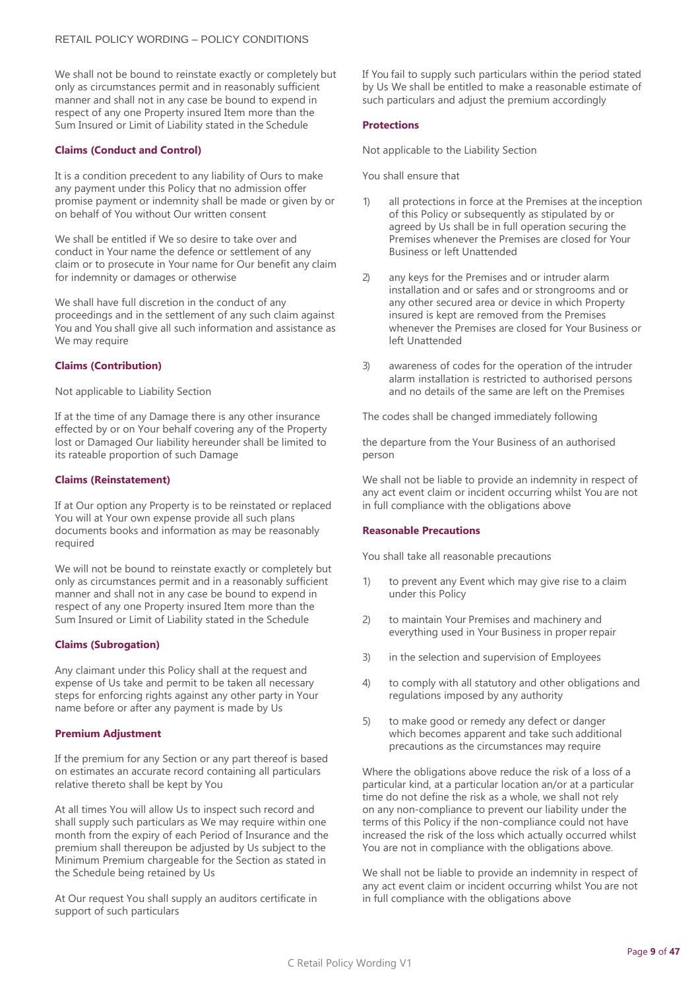We shall not be bound to reinstate exactly or completely but only as circumstances permit and in reasonably sufficient manner and shall not in any case be bound to expend in respect of any one Property insured Item more than the Sum Insured or Limit of Liability stated in the Schedule

#### **Claims (Conduct and Control)**

It is a condition precedent to any liability of Ours to make any payment under this Policy that no admission offer promise payment or indemnity shall be made or given by or on behalf of You without Our written consent

We shall be entitled if We so desire to take over and conduct in Your name the defence or settlement of any claim or to prosecute in Your name for Our benefit any claim for indemnity or damages or otherwise

We shall have full discretion in the conduct of any proceedings and in the settlement of any such claim against You and You shall give all such information and assistance as We may require

#### **Claims (Contribution)**

#### Not applicable to Liability Section

If at the time of any Damage there is any other insurance effected by or on Your behalf covering any of the Property lost or Damaged Our liability hereunder shall be limited to its rateable proportion of such Damage

#### **Claims (Reinstatement)**

If at Our option any Property is to be reinstated or replaced You will at Your own expense provide all such plans documents books and information as may be reasonably required

We will not be bound to reinstate exactly or completely but only as circumstances permit and in a reasonably sufficient manner and shall not in any case be bound to expend in respect of any one Property insured Item more than the Sum Insured or Limit of Liability stated in the Schedule

#### **Claims (Subrogation)**

Any claimant under this Policy shall at the request and expense of Us take and permit to be taken all necessary steps for enforcing rights against any other party in Your name before or after any payment is made by Us

#### **Premium Adjustment**

If the premium for any Section or any part thereof is based on estimates an accurate record containing all particulars relative thereto shall be kept by You

At all times You will allow Us to inspect such record and shall supply such particulars as We may require within one month from the expiry of each Period of Insurance and the premium shall thereupon be adjusted by Us subject to the Minimum Premium chargeable for the Section as stated in the Schedule being retained by Us

At Our request You shall supply an auditors certificate in support of such particulars

If You fail to supply such particulars within the period stated by Us We shall be entitled to make a reasonable estimate of such particulars and adjust the premium accordingly

#### **Protections**

Not applicable to the Liability Section

You shall ensure that

- 1) all protections in force at the Premises at the inception of this Policy or subsequently as stipulated by or agreed by Us shall be in full operation securing the Premises whenever the Premises are closed for Your Business or left Unattended
- 2) any keys for the Premises and or intruder alarm installation and or safes and or strongrooms and or any other secured area or device in which Property insured is kept are removed from the Premises whenever the Premises are closed for Your Business or left Unattended
- 3) awareness of codes for the operation of the intruder alarm installation is restricted to authorised persons and no details of the same are left on the Premises

The codes shall be changed immediately following

the departure from the Your Business of an authorised person

We shall not be liable to provide an indemnity in respect of any act event claim or incident occurring whilst You are not in full compliance with the obligations above

#### **Reasonable Precautions**

You shall take all reasonable precautions

- 1) to prevent any Event which may give rise to a claim under this Policy
- 2) to maintain Your Premises and machinery and everything used in Your Business in proper repair
- 3) in the selection and supervision of Employees
- 4) to comply with all statutory and other obligations and regulations imposed by any authority
- 5) to make good or remedy any defect or danger which becomes apparent and take such additional precautions as the circumstances may require

Where the obligations above reduce the risk of a loss of a particular kind, at a particular location an/or at a particular time do not define the risk as a whole, we shall not rely on any non-compliance to prevent our liability under the terms of this Policy if the non-compliance could not have increased the risk of the loss which actually occurred whilst You are not in compliance with the obligations above.

We shall not be liable to provide an indemnity in respect of any act event claim or incident occurring whilst You are not in full compliance with the obligations above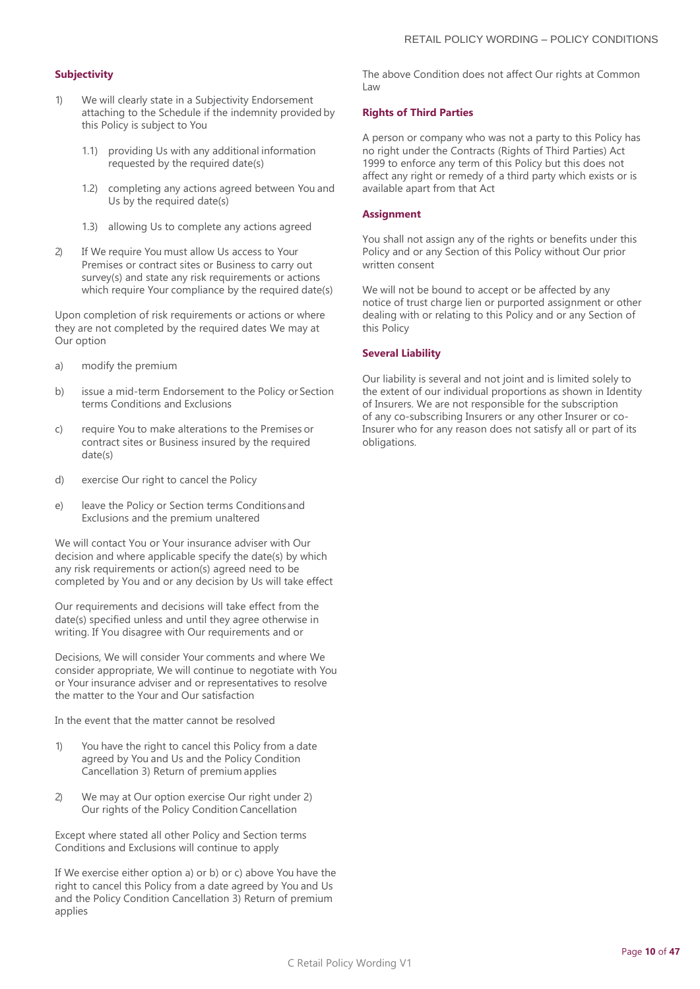#### **Subjectivity**

- 1) We will clearly state in a Subjectivity Endorsement attaching to the Schedule if the indemnity provided by this Policy is subject to You
	- 1.1) providing Us with any additional information requested by the required date(s)
	- 1.2) completing any actions agreed between You and Us by the required date(s)
	- 1.3) allowing Us to complete any actions agreed
- 2) If We require You must allow Us access to Your Premises or contract sites or Business to carry out survey(s) and state any risk requirements or actions which require Your compliance by the required date(s)

Upon completion of risk requirements or actions or where they are not completed by the required dates We may at Our option

- a) modify the premium
- b) issue a mid-term Endorsement to the Policy or Section terms Conditions and Exclusions
- c) require You to make alterations to the Premises or contract sites or Business insured by the required date(s)
- d) exercise Our right to cancel the Policy
- e) leave the Policy or Section terms Conditionsand Exclusions and the premium unaltered

We will contact You or Your insurance adviser with Our decision and where applicable specify the date(s) by which any risk requirements or action(s) agreed need to be completed by You and or any decision by Us will take effect

Our requirements and decisions will take effect from the date(s) specified unless and until they agree otherwise in writing. If You disagree with Our requirements and or

Decisions, We will consider Your comments and where We consider appropriate, We will continue to negotiate with You or Your insurance adviser and or representatives to resolve the matter to the Your and Our satisfaction

In the event that the matter cannot be resolved

- 1) You have the right to cancel this Policy from a date agreed by You and Us and the Policy Condition Cancellation 3) Return of premium applies
- 2) We may at Our option exercise Our right under 2) Our rights of the Policy Condition Cancellation

Except where stated all other Policy and Section terms Conditions and Exclusions will continue to apply

If We exercise either option a) or b) or c) above You have the right to cancel this Policy from a date agreed by You and Us and the Policy Condition Cancellation 3) Return of premium applies

The above Condition does not affect Our rights at Common Law

#### **Rights of Third Parties**

A person or company who was not a party to this Policy has no right under the Contracts (Rights of Third Parties) Act 1999 to enforce any term of this Policy but this does not affect any right or remedy of a third party which exists or is available apart from that Act

#### **Assignment**

You shall not assign any of the rights or benefits under this Policy and or any Section of this Policy without Our prior written consent

We will not be bound to accept or be affected by any notice of trust charge lien or purported assignment or other dealing with or relating to this Policy and or any Section of this Policy

#### **Several Liability**

Our liability is several and not joint and is limited solely to the extent of our individual proportions as shown in Identity of Insurers. We are not responsible for the subscription of any co-subscribing Insurers or any other Insurer or co-Insurer who for any reason does not satisfy all or part of its obligations.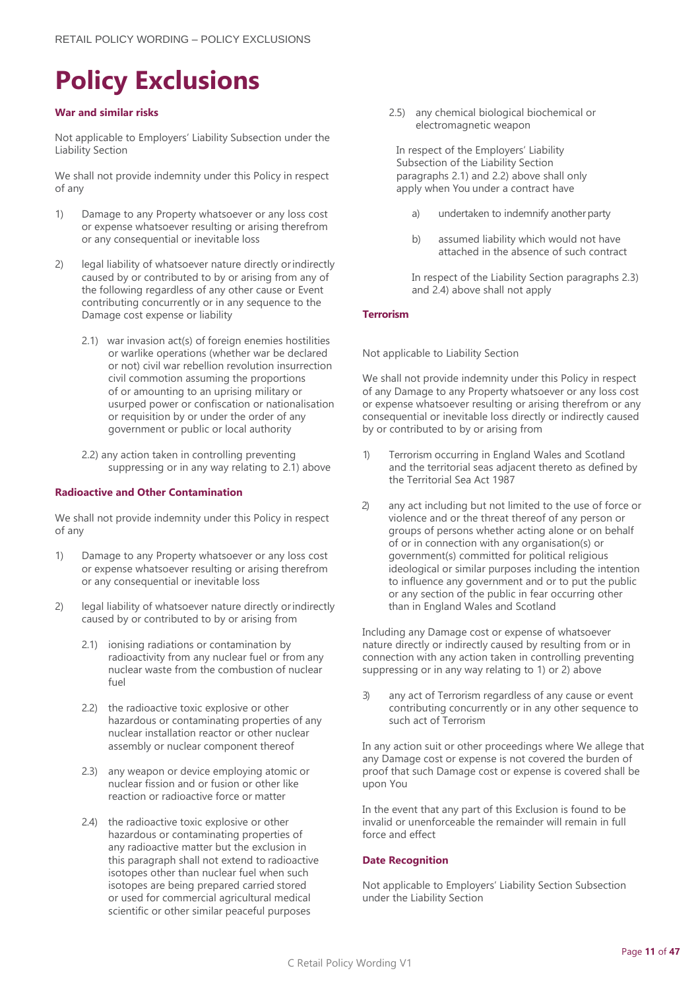## <span id="page-10-0"></span>**Policy Exclusions**

#### **War and similar risks**

Not applicable to Employers' Liability Subsection under the Liability Section

We shall not provide indemnity under this Policy in respect of any

- 1) Damage to any Property whatsoever or any loss cost or expense whatsoever resulting or arising therefrom or any consequential or inevitable loss
- 2) legal liability of whatsoever nature directly orindirectly caused by or contributed to by or arising from any of the following regardless of any other cause or Event contributing concurrently or in any sequence to the Damage cost expense or liability
	- 2.1) war invasion act(s) of foreign enemies hostilities or warlike operations (whether war be declared or not) civil war rebellion revolution insurrection civil commotion assuming the proportions of or amounting to an uprising military or usurped power or confiscation or nationalisation or requisition by or under the order of any government or public or local authority
	- 2.2) any action taken in controlling preventing suppressing or in any way relating to 2.1) above

#### **Radioactive and Other Contamination**

We shall not provide indemnity under this Policy in respect of any

- 1) Damage to any Property whatsoever or any loss cost or expense whatsoever resulting or arising therefrom or any consequential or inevitable loss
- 2) legal liability of whatsoever nature directly orindirectly caused by or contributed to by or arising from
	- 2.1) ionising radiations or contamination by radioactivity from any nuclear fuel or from any nuclear waste from the combustion of nuclear fuel
	- 2.2) the radioactive toxic explosive or other hazardous or contaminating properties of any nuclear installation reactor or other nuclear assembly or nuclear component thereof
	- 2.3) any weapon or device employing atomic or nuclear fission and or fusion or other like reaction or radioactive force or matter
	- 2.4) the radioactive toxic explosive or other hazardous or contaminating properties of any radioactive matter but the exclusion in this paragraph shall not extend to radioactive isotopes other than nuclear fuel when such isotopes are being prepared carried stored or used for commercial agricultural medical scientific or other similar peaceful purposes

2.5) any chemical biological biochemical or electromagnetic weapon

In respect of the Employers' Liability Subsection of the Liability Section paragraphs 2.1) and 2.2) above shall only apply when You under a contract have

- a) undertaken to indemnify another party
- b) assumed liability which would not have attached in the absence of such contract

In respect of the Liability Section paragraphs 2.3) and 2.4) above shall not apply

#### **Terrorism**

Not applicable to Liability Section

We shall not provide indemnity under this Policy in respect of any Damage to any Property whatsoever or any loss cost or expense whatsoever resulting or arising therefrom or any consequential or inevitable loss directly or indirectly caused by or contributed to by or arising from

- 1) Terrorism occurring in England Wales and Scotland and the territorial seas adjacent thereto as defined by the Territorial Sea Act 1987
- 2) any act including but not limited to the use of force or violence and or the threat thereof of any person or groups of persons whether acting alone or on behalf of or in connection with any organisation(s) or government(s) committed for political religious ideological or similar purposes including the intention to influence any government and or to put the public or any section of the public in fear occurring other than in England Wales and Scotland

Including any Damage cost or expense of whatsoever nature directly or indirectly caused by resulting from or in connection with any action taken in controlling preventing suppressing or in any way relating to 1) or 2) above

3) any act of Terrorism regardless of any cause or event contributing concurrently or in any other sequence to such act of Terrorism

In any action suit or other proceedings where We allege that any Damage cost or expense is not covered the burden of proof that such Damage cost or expense is covered shall be upon You

In the event that any part of this Exclusion is found to be invalid or unenforceable the remainder will remain in full force and effect

#### **Date Recognition**

Not applicable to Employers' Liability Section Subsection under the Liability Section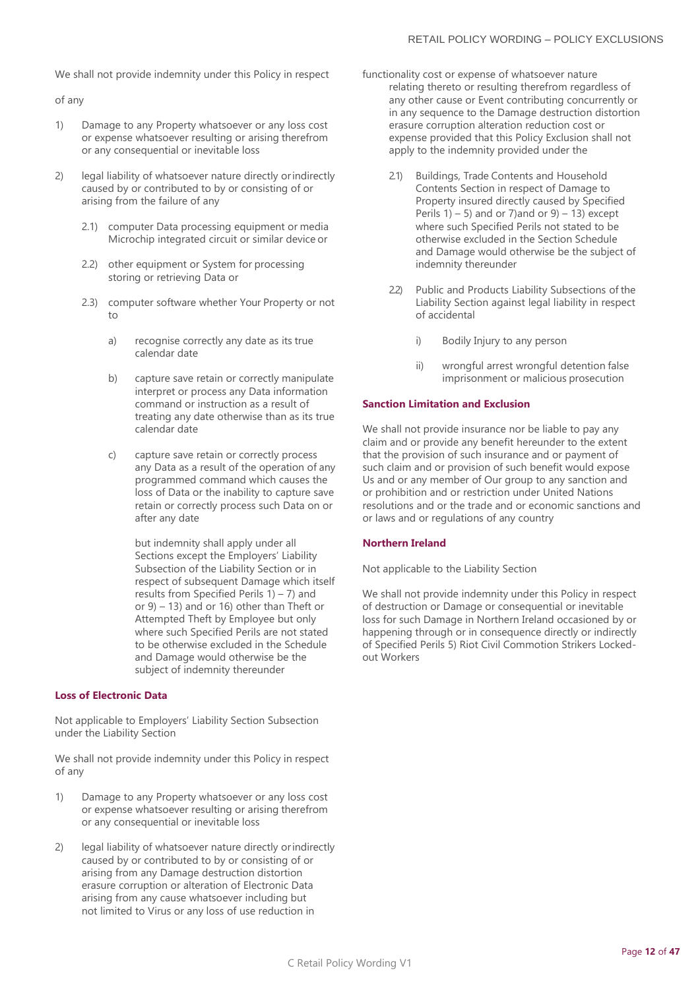We shall not provide indemnity under this Policy in respect

of any

- 1) Damage to any Property whatsoever or any loss cost or expense whatsoever resulting or arising therefrom or any consequential or inevitable loss
- 2) legal liability of whatsoever nature directly orindirectly caused by or contributed to by or consisting of or arising from the failure of any
	- 2.1) computer Data processing equipment or media Microchip integrated circuit or similar device or
	- 2.2) other equipment or System for processing storing or retrieving Data or
	- 2.3) computer software whether Your Property or not to
		- a) recognise correctly any date as its true calendar date
		- b) capture save retain or correctly manipulate interpret or process any Data information command or instruction as a result of treating any date otherwise than as its true calendar date
		- c) capture save retain or correctly process any Data as a result of the operation of any programmed command which causes the loss of Data or the inability to capture save retain or correctly process such Data on or after any date

but indemnity shall apply under all Sections except the Employers' Liability Subsection of the Liability Section or in respect of subsequent Damage which itself results from Specified Perils  $1) - 7$ ) and or 9) – 13) and or 16) other than Theft or Attempted Theft by Employee but only where such Specified Perils are not stated to be otherwise excluded in the Schedule and Damage would otherwise be the subject of indemnity thereunder

#### **Loss of Electronic Data**

Not applicable to Employers' Liability Section Subsection under the Liability Section

We shall not provide indemnity under this Policy in respect of any

- 1) Damage to any Property whatsoever or any loss cost or expense whatsoever resulting or arising therefrom or any consequential or inevitable loss
- 2) legal liability of whatsoever nature directly orindirectly caused by or contributed to by or consisting of or arising from any Damage destruction distortion erasure corruption or alteration of Electronic Data arising from any cause whatsoever including but not limited to Virus or any loss of use reduction in
- functionality cost or expense of whatsoever nature relating thereto or resulting therefrom regardless of any other cause or Event contributing concurrently or in any sequence to the Damage destruction distortion erasure corruption alteration reduction cost or expense provided that this Policy Exclusion shall not apply to the indemnity provided under the
	- 2.1) Buildings, Trade Contents and Household Contents Section in respect of Damage to Property insured directly caused by Specified Perils  $1) - 5$ ) and or 7) and or  $9) - 13$ ) except where such Specified Perils not stated to be otherwise excluded in the Section Schedule and Damage would otherwise be the subject of indemnity thereunder
	- 2.2) Public and Products Liability Subsections of the Liability Section against legal liability in respect of accidental
		- i) Bodily Injury to any person
		- ii) wrongful arrest wrongful detention false imprisonment or malicious prosecution

#### **Sanction Limitation and Exclusion**

We shall not provide insurance nor be liable to pay any claim and or provide any benefit hereunder to the extent that the provision of such insurance and or payment of such claim and or provision of such benefit would expose Us and or any member of Our group to any sanction and or prohibition and or restriction under United Nations resolutions and or the trade and or economic sanctions and or laws and or regulations of any country

#### **Northern Ireland**

Not applicable to the Liability Section

We shall not provide indemnity under this Policy in respect of destruction or Damage or consequential or inevitable loss for such Damage in Northern Ireland occasioned by or happening through or in consequence directly or indirectly of Specified Perils 5) Riot Civil Commotion Strikers Lockedout Workers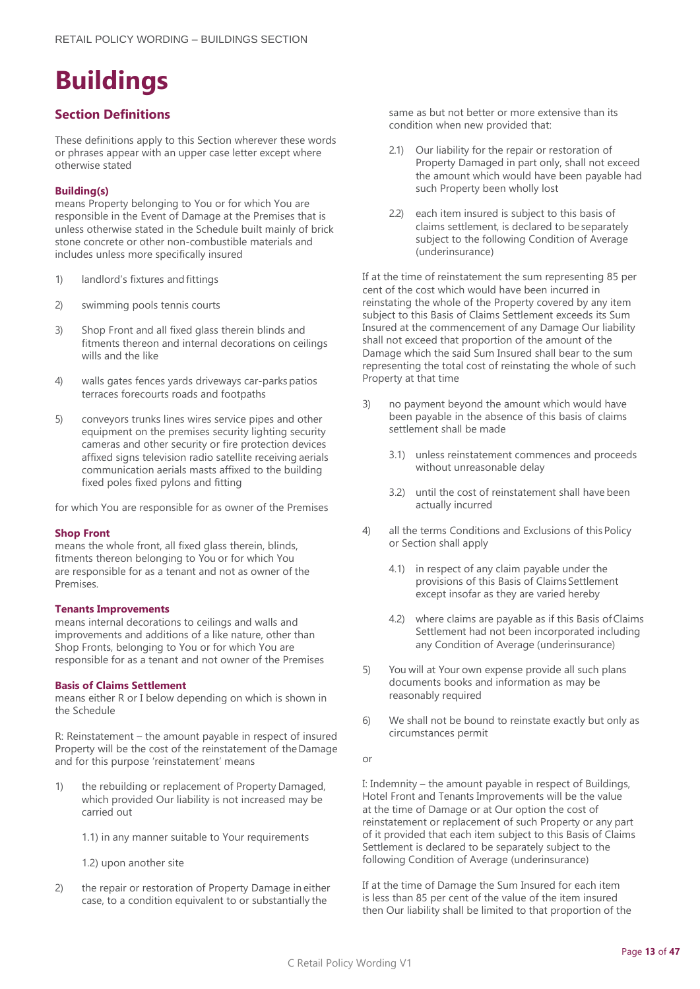# <span id="page-12-0"></span>**Buildings**

## **Section Definitions**

These definitions apply to this Section wherever these words or phrases appear with an upper case letter except where otherwise stated

#### **Building(s)**

means Property belonging to You or for which You are responsible in the Event of Damage at the Premises that is unless otherwise stated in the Schedule built mainly of brick stone concrete or other non-combustible materials and includes unless more specifically insured

- 1) landlord's fixtures and fittings
- 2) swimming pools tennis courts
- 3) Shop Front and all fixed glass therein blinds and fitments thereon and internal decorations on ceilings wills and the like
- 4) walls gates fences yards driveways car-parks patios terraces forecourts roads and footpaths
- 5) conveyors trunks lines wires service pipes and other equipment on the premises security lighting security cameras and other security or fire protection devices affixed signs television radio satellite receiving aerials communication aerials masts affixed to the building fixed poles fixed pylons and fitting

for which You are responsible for as owner of the Premises

#### **Shop Front**

means the whole front, all fixed glass therein, blinds, fitments thereon belonging to You or for which You are responsible for as a tenant and not as owner of the Premises.

#### **Tenants Improvements**

means internal decorations to ceilings and walls and improvements and additions of a like nature, other than Shop Fronts, belonging to You or for which You are responsible for as a tenant and not owner of the Premises

#### **Basis of Claims Settlement**

means either R or I below depending on which is shown in the Schedule

R: Reinstatement – the amount payable in respect of insured Property will be the cost of the reinstatement of the Damage and for this purpose 'reinstatement' means

- 1) the rebuilding or replacement of Property Damaged, which provided Our liability is not increased may be carried out
	- 1.1) in any manner suitable to Your requirements
	- 1.2) upon another site
- 2) the repair or restoration of Property Damage in either case, to a condition equivalent to or substantially the

same as but not better or more extensive than its condition when new provided that:

- 2.1) Our liability for the repair or restoration of Property Damaged in part only, shall not exceed the amount which would have been payable had such Property been wholly lost
- 2.2) each item insured is subject to this basis of claims settlement, is declared to be separately subject to the following Condition of Average (underinsurance)

If at the time of reinstatement the sum representing 85 per cent of the cost which would have been incurred in reinstating the whole of the Property covered by any item subject to this Basis of Claims Settlement exceeds its Sum Insured at the commencement of any Damage Our liability shall not exceed that proportion of the amount of the Damage which the said Sum Insured shall bear to the sum representing the total cost of reinstating the whole of such Property at that time

- 3) no payment beyond the amount which would have been payable in the absence of this basis of claims settlement shall be made
	- 3.1) unless reinstatement commences and proceeds without unreasonable delay
	- 3.2) until the cost of reinstatement shall have been actually incurred
- 4) all the terms Conditions and Exclusions of this Policy or Section shall apply
	- 4.1) in respect of any claim payable under the provisions of this Basis of Claims Settlement except insofar as they are varied hereby
	- 4.2) where claims are payable as if this Basis ofClaims Settlement had not been incorporated including any Condition of Average (underinsurance)
- 5) You will at Your own expense provide all such plans documents books and information as may be reasonably required
- 6) We shall not be bound to reinstate exactly but only as circumstances permit
- or

I: Indemnity – the amount payable in respect of Buildings, Hotel Front and Tenants Improvements will be the value at the time of Damage or at Our option the cost of reinstatement or replacement of such Property or any part of it provided that each item subject to this Basis of Claims Settlement is declared to be separately subject to the following Condition of Average (underinsurance)

If at the time of Damage the Sum Insured for each item is less than 85 per cent of the value of the item insured then Our liability shall be limited to that proportion of the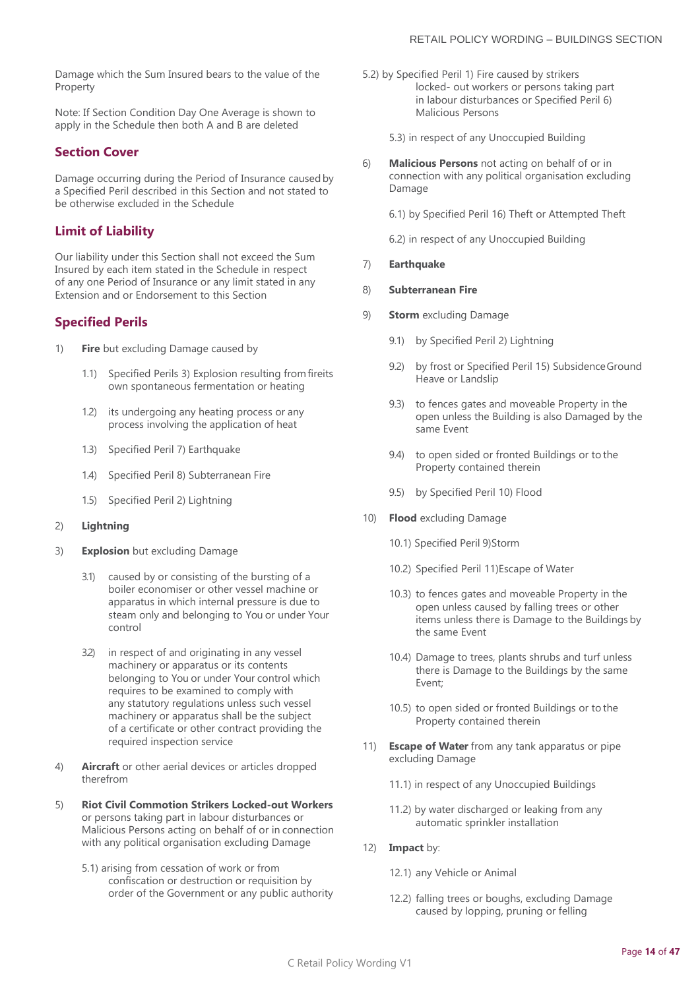Damage which the Sum Insured bears to the value of the Property

Note: If Section Condition Day One Average is shown to apply in the Schedule then both A and B are deleted

### **Section Cover**

Damage occurring during the Period of Insurance causedby a Specified Peril described in this Section and not stated to be otherwise excluded in the Schedule

## **Limit of Liability**

Our liability under this Section shall not exceed the Sum Insured by each item stated in the Schedule in respect of any one Period of Insurance or any limit stated in any Extension and or Endorsement to this Section

#### **Specified Perils**

- 1) **Fire** but excluding Damage caused by
	- 1.1) Specified Perils 3) Explosion resulting fromfireits own spontaneous fermentation or heating
	- 1.2) its undergoing any heating process or any process involving the application of heat
	- 1.3) Specified Peril 7) Earthquake
	- 1.4) Specified Peril 8) Subterranean Fire
	- 1.5) Specified Peril 2) Lightning
- 2) **Lightning**
- 3) **Explosion** but excluding Damage
	- 3.1) caused by or consisting of the bursting of a boiler economiser or other vessel machine or apparatus in which internal pressure is due to steam only and belonging to You or under Your control
	- 3.2) in respect of and originating in any vessel machinery or apparatus or its contents belonging to You or under Your control which requires to be examined to comply with any statutory regulations unless such vessel machinery or apparatus shall be the subject of a certificate or other contract providing the required inspection service
- 4) **Aircraft** or other aerial devices or articles dropped therefrom
- 5) **Riot Civil Commotion Strikers Locked-out Workers**  or persons taking part in labour disturbances or Malicious Persons acting on behalf of or in connection with any political organisation excluding Damage
	- 5.1) arising from cessation of work or from confiscation or destruction or requisition by order of the Government or any public authority
- 5.2) by Specified Peril 1) Fire caused by strikers locked- out workers or persons taking part in labour disturbances or Specified Peril 6) Malicious Persons
	- 5.3) in respect of any Unoccupied Building
- 6) **Malicious Persons** not acting on behalf of or in connection with any political organisation excluding Damage
	- 6.1) by Specified Peril 16) Theft or Attempted Theft
	- 6.2) in respect of any Unoccupied Building
- 7) **Earthquake**

#### 8) **Subterranean Fire**

- 9) **Storm** excluding Damage
	- 9.1) by Specified Peril 2) Lightning
	- 9.2) by frost or Specified Peril 15) Subsidence Ground Heave or Landslip
	- 9.3) to fences gates and moveable Property in the open unless the Building is also Damaged by the same Event
	- 9.4) to open sided or fronted Buildings or to the Property contained therein
	- 9.5) by Specified Peril 10) Flood
- 10) **Flood** excluding Damage
	- 10.1) Specified Peril 9)Storm
	- 10.2) Specified Peril 11)Escape of Water
	- 10.3) to fences gates and moveable Property in the open unless caused by falling trees or other items unless there is Damage to the Buildings by the same Event
	- 10.4) Damage to trees, plants shrubs and turf unless there is Damage to the Buildings by the same Event;
	- 10.5) to open sided or fronted Buildings or to the Property contained therein
- 11) **Escape of Water** from any tank apparatus or pipe excluding Damage
	- 11.1) in respect of any Unoccupied Buildings
	- 11.2) by water discharged or leaking from any automatic sprinkler installation
- 12) **Impact** by:
	- 12.1) any Vehicle or Animal
	- 12.2) falling trees or boughs, excluding Damage caused by lopping, pruning or felling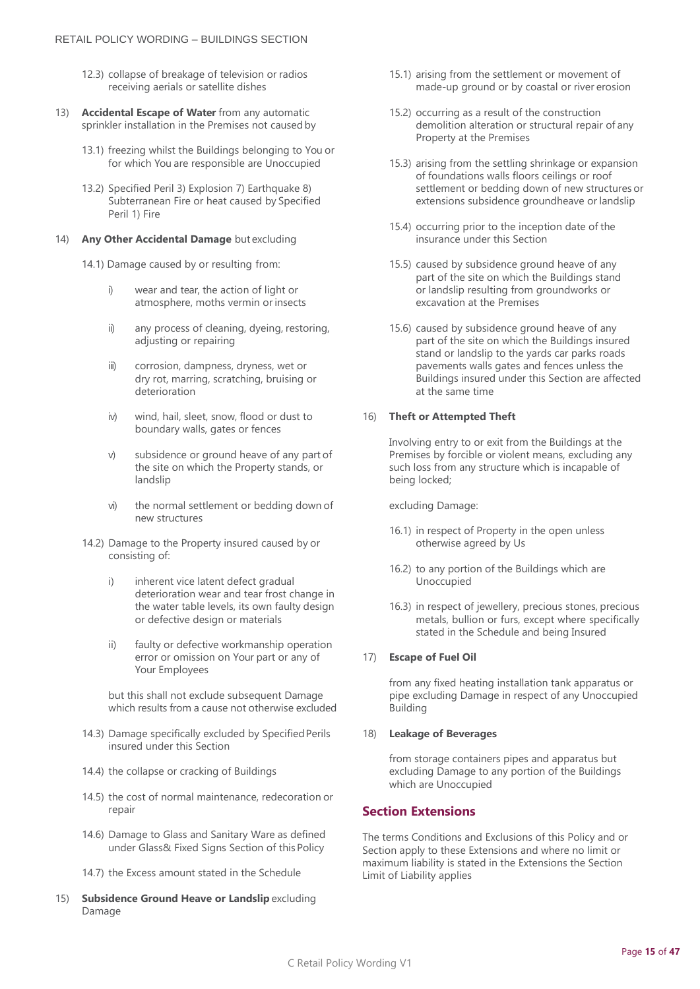- 12.3) collapse of breakage of television or radios receiving aerials or satellite dishes
- 13) **Accidental Escape of Water** from any automatic sprinkler installation in the Premises not caused by
	- 13.1) freezing whilst the Buildings belonging to You or for which You are responsible are Unoccupied
	- 13.2) Specified Peril 3) Explosion 7) Earthquake 8) Subterranean Fire or heat caused by Specified Peril 1) Fire

#### 14) **Any Other Accidental Damage** but excluding

14.1) Damage caused by or resulting from:

- i) wear and tear, the action of light or atmosphere, moths vermin or insects
- ii) any process of cleaning, dyeing, restoring, adjusting or repairing
- iii) corrosion, dampness, dryness, wet or dry rot, marring, scratching, bruising or deterioration
- iv) wind, hail, sleet, snow, flood or dust to boundary walls, gates or fences
- v) subsidence or ground heave of any part of the site on which the Property stands, or landslip
- vi) the normal settlement or bedding down of new structures
- 14.2) Damage to the Property insured caused by or consisting of:
	- i) inherent vice latent defect gradual deterioration wear and tear frost change in the water table levels, its own faulty design or defective design or materials
	- ii) faulty or defective workmanship operation error or omission on Your part or any of Your Employees

but this shall not exclude subsequent Damage which results from a cause not otherwise excluded

- 14.3) Damage specifically excluded by Specified Perils insured under this Section
- 14.4) the collapse or cracking of Buildings
- 14.5) the cost of normal maintenance, redecoration or repair
- 14.6) Damage to Glass and Sanitary Ware as defined under Glass& Fixed Signs Section of thisPolicy
- 14.7) the Excess amount stated in the Schedule
- 15) **Subsidence Ground Heave or Landslip** excluding Damage
- 15.1) arising from the settlement or movement of made-up ground or by coastal or river erosion
- 15.2) occurring as a result of the construction demolition alteration or structural repair of any Property at the Premises
- 15.3) arising from the settling shrinkage or expansion of foundations walls floors ceilings or roof settlement or bedding down of new structures or extensions subsidence groundheave or landslip
- 15.4) occurring prior to the inception date of the insurance under this Section
- 15.5) caused by subsidence ground heave of any part of the site on which the Buildings stand or landslip resulting from groundworks or excavation at the Premises
- 15.6) caused by subsidence ground heave of any part of the site on which the Buildings insured stand or landslip to the yards car parks roads pavements walls gates and fences unless the Buildings insured under this Section are affected at the same time

#### 16) **Theft or Attempted Theft**

Involving entry to or exit from the Buildings at the Premises by forcible or violent means, excluding any such loss from any structure which is incapable of being locked;

excluding Damage:

- 16.1) in respect of Property in the open unless otherwise agreed by Us
- 16.2) to any portion of the Buildings which are Unoccupied
- 16.3) in respect of jewellery, precious stones, precious metals, bullion or furs, except where specifically stated in the Schedule and being Insured

#### 17) **Escape of Fuel Oil**

from any fixed heating installation tank apparatus or pipe excluding Damage in respect of any Unoccupied Building

#### 18) **Leakage of Beverages**

from storage containers pipes and apparatus but excluding Damage to any portion of the Buildings which are Unoccupied

## **Section Extensions**

The terms Conditions and Exclusions of this Policy and or Section apply to these Extensions and where no limit or maximum liability is stated in the Extensions the Section Limit of Liability applies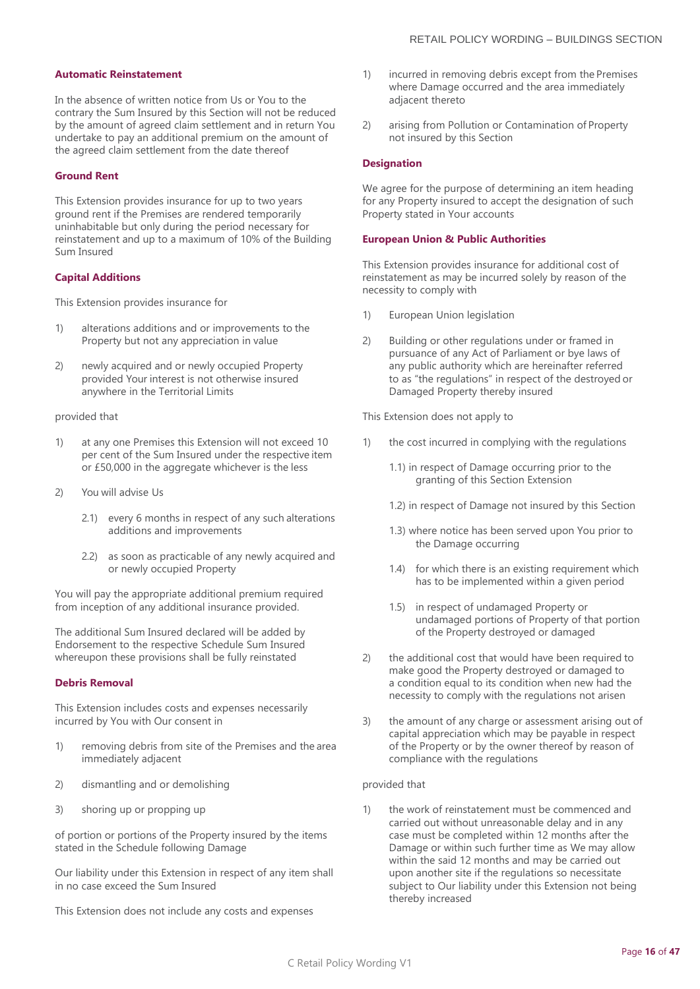#### **Automatic Reinstatement**

In the absence of written notice from Us or You to the contrary the Sum Insured by this Section will not be reduced by the amount of agreed claim settlement and in return You undertake to pay an additional premium on the amount of the agreed claim settlement from the date thereof

#### **Ground Rent**

This Extension provides insurance for up to two years ground rent if the Premises are rendered temporarily uninhabitable but only during the period necessary for reinstatement and up to a maximum of 10% of the Building Sum Insured

#### **Capital Additions**

This Extension provides insurance for

- 1) alterations additions and or improvements to the Property but not any appreciation in value
- 2) newly acquired and or newly occupied Property provided Your interest is not otherwise insured anywhere in the Territorial Limits

#### provided that

- 1) at any one Premises this Extension will not exceed 10 per cent of the Sum Insured under the respective item or £50,000 in the aggregate whichever is the less
- 2) You will advise Us
	- 2.1) every 6 months in respect of any such alterations additions and improvements
	- 2.2) as soon as practicable of any newly acquired and or newly occupied Property

You will pay the appropriate additional premium required from inception of any additional insurance provided.

The additional Sum Insured declared will be added by Endorsement to the respective Schedule Sum Insured whereupon these provisions shall be fully reinstated

#### **Debris Removal**

This Extension includes costs and expenses necessarily incurred by You with Our consent in

- 1) removing debris from site of the Premises and the area immediately adjacent
- 2) dismantling and or demolishing
- 3) shoring up or propping up

of portion or portions of the Property insured by the items stated in the Schedule following Damage

Our liability under this Extension in respect of any item shall in no case exceed the Sum Insured

This Extension does not include any costs and expenses

- 1) incurred in removing debris except from the Premises where Damage occurred and the area immediately adjacent thereto
- 2) arising from Pollution or Contamination of Property not insured by this Section

#### **Designation**

We agree for the purpose of determining an item heading for any Property insured to accept the designation of such Property stated in Your accounts

#### **European Union & Public Authorities**

This Extension provides insurance for additional cost of reinstatement as may be incurred solely by reason of the necessity to comply with

- 1) European Union legislation
- 2) Building or other regulations under or framed in pursuance of any Act of Parliament or bye laws of any public authority which are hereinafter referred to as "the regulations" in respect of the destroyed or Damaged Property thereby insured

This Extension does not apply to

- 1) the cost incurred in complying with the regulations
	- 1.1) in respect of Damage occurring prior to the granting of this Section Extension
	- 1.2) in respect of Damage not insured by this Section
	- 1.3) where notice has been served upon You prior to the Damage occurring
	- 1.4) for which there is an existing requirement which has to be implemented within a given period
	- 1.5) in respect of undamaged Property or undamaged portions of Property of that portion of the Property destroyed or damaged
- 2) the additional cost that would have been required to make good the Property destroyed or damaged to a condition equal to its condition when new had the necessity to comply with the regulations not arisen
- 3) the amount of any charge or assessment arising out of capital appreciation which may be payable in respect of the Property or by the owner thereof by reason of compliance with the regulations

#### provided that

1) the work of reinstatement must be commenced and carried out without unreasonable delay and in any case must be completed within 12 months after the Damage or within such further time as We may allow within the said 12 months and may be carried out upon another site if the regulations so necessitate subject to Our liability under this Extension not being thereby increased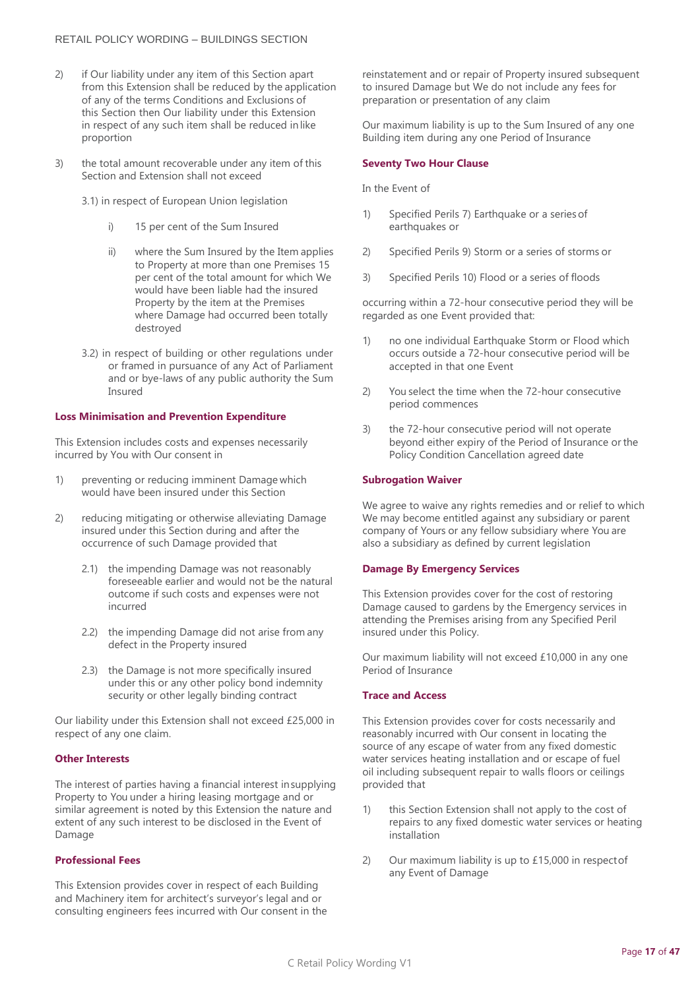- 2) if Our liability under any item of this Section apart from this Extension shall be reduced by the application of any of the terms Conditions and Exclusions of this Section then Our liability under this Extension in respect of any such item shall be reduced inlike proportion
- 3) the total amount recoverable under any item of this Section and Extension shall not exceed
	- 3.1) in respect of European Union legislation
		- i) 15 per cent of the Sum Insured
		- ii) where the Sum Insured by the Item applies to Property at more than one Premises 15 per cent of the total amount for which We would have been liable had the insured Property by the item at the Premises where Damage had occurred been totally destroyed
	- 3.2) in respect of building or other regulations under or framed in pursuance of any Act of Parliament and or bye-laws of any public authority the Sum Insured

#### **Loss Minimisation and Prevention Expenditure**

This Extension includes costs and expenses necessarily incurred by You with Our consent in

- 1) preventing or reducing imminent Damage which would have been insured under this Section
- 2) reducing mitigating or otherwise alleviating Damage insured under this Section during and after the occurrence of such Damage provided that
	- 2.1) the impending Damage was not reasonably foreseeable earlier and would not be the natural outcome if such costs and expenses were not incurred
	- 2.2) the impending Damage did not arise from any defect in the Property insured
	- 2.3) the Damage is not more specifically insured under this or any other policy bond indemnity security or other legally binding contract

Our liability under this Extension shall not exceed £25,000 in respect of any one claim.

#### **Other Interests**

The interest of parties having a financial interest insupplying Property to You under a hiring leasing mortgage and or similar agreement is noted by this Extension the nature and extent of any such interest to be disclosed in the Event of Damage

#### **Professional Fees**

This Extension provides cover in respect of each Building and Machinery item for architect's surveyor's legal and or consulting engineers fees incurred with Our consent in the reinstatement and or repair of Property insured subsequent to insured Damage but We do not include any fees for preparation or presentation of any claim

Our maximum liability is up to the Sum Insured of any one Building item during any one Period of Insurance

#### **Seventy Two Hour Clause**

In the Event of

- 1) Specified Perils 7) Earthquake or a series of earthquakes or
- 2) Specified Perils 9) Storm or a series of storms or
- 3) Specified Perils 10) Flood or a series of floods

occurring within a 72-hour consecutive period they will be regarded as one Event provided that:

- 1) no one individual Earthquake Storm or Flood which occurs outside a 72-hour consecutive period will be accepted in that one Event
- 2) You select the time when the 72-hour consecutive period commences
- 3) the 72-hour consecutive period will not operate beyond either expiry of the Period of Insurance or the Policy Condition Cancellation agreed date

#### **Subrogation Waiver**

We agree to waive any rights remedies and or relief to which We may become entitled against any subsidiary or parent company of Yours or any fellow subsidiary where You are also a subsidiary as defined by current legislation

#### **Damage By Emergency Services**

This Extension provides cover for the cost of restoring Damage caused to gardens by the Emergency services in attending the Premises arising from any Specified Peril insured under this Policy.

Our maximum liability will not exceed £10,000 in any one Period of Insurance

#### **Trace and Access**

This Extension provides cover for costs necessarily and reasonably incurred with Our consent in locating the source of any escape of water from any fixed domestic water services heating installation and or escape of fuel oil including subsequent repair to walls floors or ceilings provided that

- 1) this Section Extension shall not apply to the cost of repairs to any fixed domestic water services or heating installation
- 2) Our maximum liability is up to £15,000 in respectof any Event of Damage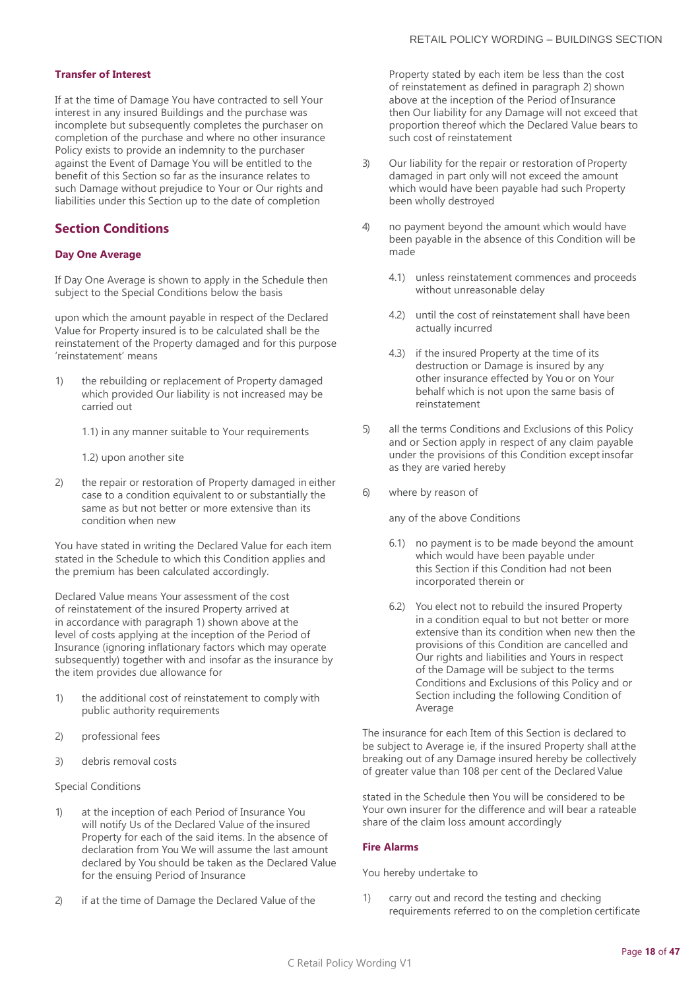#### **Transfer of Interest**

If at the time of Damage You have contracted to sell Your interest in any insured Buildings and the purchase was incomplete but subsequently completes the purchaser on completion of the purchase and where no other insurance Policy exists to provide an indemnity to the purchaser against the Event of Damage You will be entitled to the benefit of this Section so far as the insurance relates to such Damage without prejudice to Your or Our rights and liabilities under this Section up to the date of completion

## **Section Conditions**

#### **Day One Average**

If Day One Average is shown to apply in the Schedule then subject to the Special Conditions below the basis

upon which the amount payable in respect of the Declared Value for Property insured is to be calculated shall be the reinstatement of the Property damaged and for this purpose 'reinstatement' means

- 1) the rebuilding or replacement of Property damaged which provided Our liability is not increased may be carried out
	- 1.1) in any manner suitable to Your requirements
	- 1.2) upon another site
- 2) the repair or restoration of Property damaged in either case to a condition equivalent to or substantially the same as but not better or more extensive than its condition when new

You have stated in writing the Declared Value for each item stated in the Schedule to which this Condition applies and the premium has been calculated accordingly.

Declared Value means Your assessment of the cost of reinstatement of the insured Property arrived at in accordance with paragraph 1) shown above at the level of costs applying at the inception of the Period of Insurance (ignoring inflationary factors which may operate subsequently) together with and insofar as the insurance by the item provides due allowance for

- 1) the additional cost of reinstatement to comply with public authority requirements
- 2) professional fees
- 3) debris removal costs

#### Special Conditions

- 1) at the inception of each Period of Insurance You will notify Us of the Declared Value of the insured Property for each of the said items. In the absence of declaration from You We will assume the last amount declared by You should be taken as the Declared Value for the ensuing Period of Insurance
- 2) if at the time of Damage the Declared Value of the

Property stated by each item be less than the cost of reinstatement as defined in paragraph 2) shown above at the inception of the Period of Insurance then Our liability for any Damage will not exceed that proportion thereof which the Declared Value bears to such cost of reinstatement

- 3) Our liability for the repair or restoration of Property damaged in part only will not exceed the amount which would have been payable had such Property been wholly destroyed
- 4) no payment beyond the amount which would have been payable in the absence of this Condition will be made
	- 4.1) unless reinstatement commences and proceeds without unreasonable delay
	- 4.2) until the cost of reinstatement shall have been actually incurred
	- 4.3) if the insured Property at the time of its destruction or Damage is insured by any other insurance effected by You or on Your behalf which is not upon the same basis of reinstatement
- 5) all the terms Conditions and Exclusions of this Policy and or Section apply in respect of any claim payable under the provisions of this Condition except insofar as they are varied hereby
- 6) where by reason of

any of the above Conditions

- 6.1) no payment is to be made beyond the amount which would have been payable under this Section if this Condition had not been incorporated therein or
- 6.2) You elect not to rebuild the insured Property in a condition equal to but not better or more extensive than its condition when new then the provisions of this Condition are cancelled and Our rights and liabilities and Yours in respect of the Damage will be subject to the terms Conditions and Exclusions of this Policy and or Section including the following Condition of Average

The insurance for each Item of this Section is declared to be subject to Average ie, if the insured Property shall atthe breaking out of any Damage insured hereby be collectively of greater value than 108 per cent of the Declared Value

stated in the Schedule then You will be considered to be Your own insurer for the difference and will bear a rateable share of the claim loss amount accordingly

#### **Fire Alarms**

You hereby undertake to

1) carry out and record the testing and checking requirements referred to on the completion certificate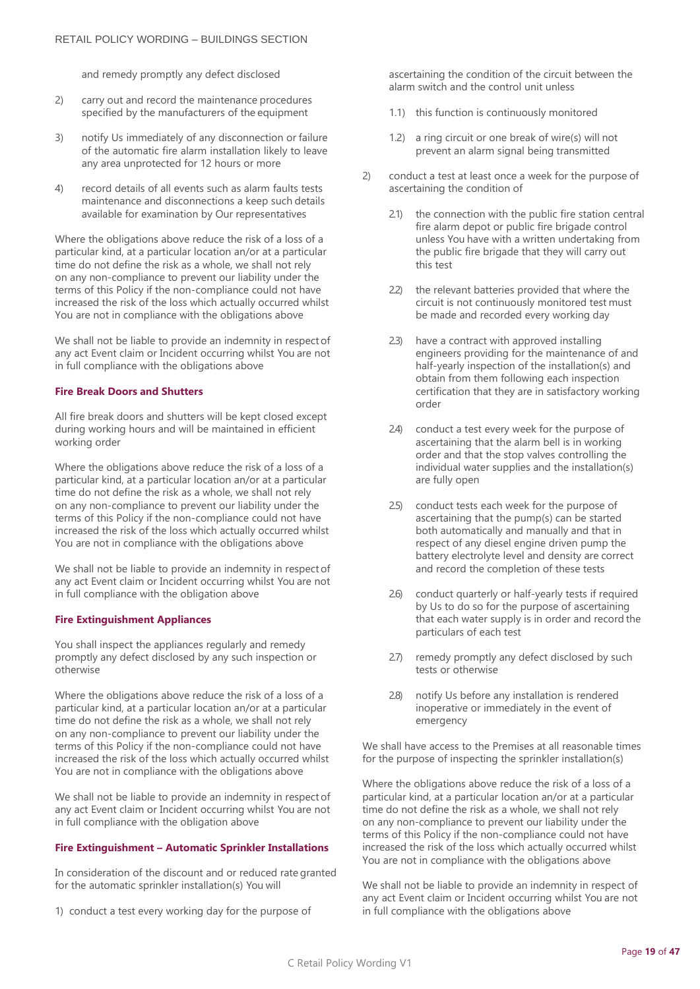and remedy promptly any defect disclosed

- 2) carry out and record the maintenance procedures specified by the manufacturers of the equipment
- 3) notify Us immediately of any disconnection or failure of the automatic fire alarm installation likely to leave any area unprotected for 12 hours or more
- 4) record details of all events such as alarm faults tests maintenance and disconnections a keep such details available for examination by Our representatives

Where the obligations above reduce the risk of a loss of a particular kind, at a particular location an/or at a particular time do not define the risk as a whole, we shall not rely on any non-compliance to prevent our liability under the terms of this Policy if the non-compliance could not have increased the risk of the loss which actually occurred whilst You are not in compliance with the obligations above

We shall not be liable to provide an indemnity in respectof any act Event claim or Incident occurring whilst You are not in full compliance with the obligations above

#### **Fire Break Doors and Shutters**

All fire break doors and shutters will be kept closed except during working hours and will be maintained in efficient working order

Where the obligations above reduce the risk of a loss of a particular kind, at a particular location an/or at a particular time do not define the risk as a whole, we shall not rely on any non-compliance to prevent our liability under the terms of this Policy if the non-compliance could not have increased the risk of the loss which actually occurred whilst You are not in compliance with the obligations above

We shall not be liable to provide an indemnity in respectof any act Event claim or Incident occurring whilst You are not in full compliance with the obligation above

#### **Fire Extinguishment Appliances**

You shall inspect the appliances regularly and remedy promptly any defect disclosed by any such inspection or otherwise

Where the obligations above reduce the risk of a loss of a particular kind, at a particular location an/or at a particular time do not define the risk as a whole, we shall not rely on any non-compliance to prevent our liability under the terms of this Policy if the non-compliance could not have increased the risk of the loss which actually occurred whilst You are not in compliance with the obligations above

We shall not be liable to provide an indemnity in respectof any act Event claim or Incident occurring whilst You are not in full compliance with the obligation above

#### **Fire Extinguishment – Automatic Sprinkler Installations**

In consideration of the discount and or reduced rate granted for the automatic sprinkler installation(s) You will

1) conduct a test every working day for the purpose of

ascertaining the condition of the circuit between the alarm switch and the control unit unless

- 1.1) this function is continuously monitored
- 1.2) a ring circuit or one break of wire(s) will not prevent an alarm signal being transmitted
- 2) conduct a test at least once a week for the purpose of ascertaining the condition of
	- 2.1) the connection with the public fire station central fire alarm depot or public fire brigade control unless You have with a written undertaking from the public fire brigade that they will carry out this test
	- 2.2) the relevant batteries provided that where the circuit is not continuously monitored test must be made and recorded every working day
	- 2.3) have a contract with approved installing engineers providing for the maintenance of and half-yearly inspection of the installation(s) and obtain from them following each inspection certification that they are in satisfactory working order
	- 2.4) conduct a test every week for the purpose of ascertaining that the alarm bell is in working order and that the stop valves controlling the individual water supplies and the installation(s) are fully open
	- 2.5) conduct tests each week for the purpose of ascertaining that the pump(s) can be started both automatically and manually and that in respect of any diesel engine driven pump the battery electrolyte level and density are correct and record the completion of these tests
	- 2.6) conduct quarterly or half-yearly tests if required by Us to do so for the purpose of ascertaining that each water supply is in order and record the particulars of each test
	- 2.7) remedy promptly any defect disclosed by such tests or otherwise
	- 2.8) notify Us before any installation is rendered inoperative or immediately in the event of emergency

We shall have access to the Premises at all reasonable times for the purpose of inspecting the sprinkler installation(s)

Where the obligations above reduce the risk of a loss of a particular kind, at a particular location an/or at a particular time do not define the risk as a whole, we shall not rely on any non-compliance to prevent our liability under the terms of this Policy if the non-compliance could not have increased the risk of the loss which actually occurred whilst You are not in compliance with the obligations above

We shall not be liable to provide an indemnity in respect of any act Event claim or Incident occurring whilst You are not in full compliance with the obligations above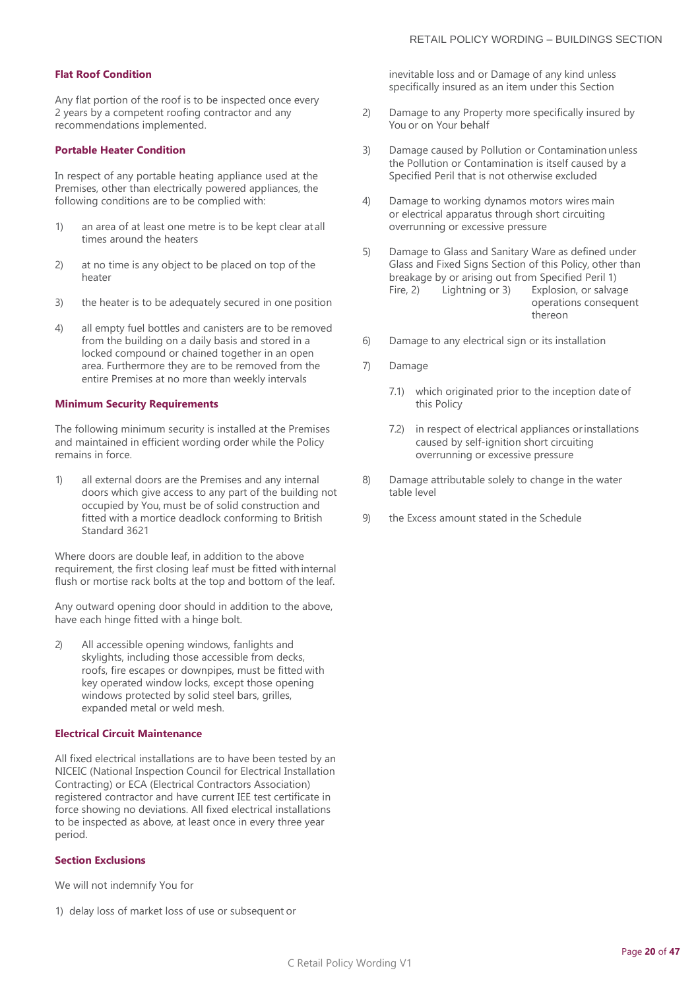#### **Flat Roof Condition**

Any flat portion of the roof is to be inspected once every 2 years by a competent roofing contractor and any recommendations implemented.

#### **Portable Heater Condition**

In respect of any portable heating appliance used at the Premises, other than electrically powered appliances, the following conditions are to be complied with:

- 1) an area of at least one metre is to be kept clear at all times around the heaters
- 2) at no time is any object to be placed on top of the heater
- 3) the heater is to be adequately secured in one position
- 4) all empty fuel bottles and canisters are to be removed from the building on a daily basis and stored in a locked compound or chained together in an open area. Furthermore they are to be removed from the entire Premises at no more than weekly intervals

#### **Minimum Security Requirements**

The following minimum security is installed at the Premises and maintained in efficient wording order while the Policy remains in force.

1) all external doors are the Premises and any internal doors which give access to any part of the building not occupied by You, must be of solid construction and fitted with a mortice deadlock conforming to British Standard 3621

Where doors are double leaf, in addition to the above requirement, the first closing leaf must be fitted with internal flush or mortise rack bolts at the top and bottom of the leaf.

Any outward opening door should in addition to the above, have each hinge fitted with a hinge bolt.

2) All accessible opening windows, fanlights and skylights, including those accessible from decks, roofs, fire escapes or downpipes, must be fitted with key operated window locks, except those opening windows protected by solid steel bars, grilles, expanded metal or weld mesh.

#### **Electrical Circuit Maintenance**

All fixed electrical installations are to have been tested by an NICEIC (National Inspection Council for Electrical Installation Contracting) or ECA (Electrical Contractors Association) registered contractor and have current IEE test certificate in force showing no deviations. All fixed electrical installations to be inspected as above, at least once in every three year period.

#### **Section Exclusions**

We will not indemnify You for

1) delay loss of market loss of use or subsequent or

inevitable loss and or Damage of any kind unless specifically insured as an item under this Section

- 2) Damage to any Property more specifically insured by You or on Your behalf
- 3) Damage caused by Pollution or Contamination unless the Pollution or Contamination is itself caused by a Specified Peril that is not otherwise excluded
- 4) Damage to working dynamos motors wires main or electrical apparatus through short circuiting overrunning or excessive pressure
- 5) Damage to Glass and Sanitary Ware as defined under Glass and Fixed Signs Section of this Policy, other than breakage by or arising out from Specified Peril 1)<br>Fire, 2) Lightning or 3) Explosion, or salva Explosion, or salvage operations consequent thereon
- 6) Damage to any electrical sign or its installation
- 7) Damage
	- 7.1) which originated prior to the inception date of this Policy
	- 7.2) in respect of electrical appliances orinstallations caused by self-ignition short circuiting overrunning or excessive pressure
- 8) Damage attributable solely to change in the water table level
- 9) the Excess amount stated in the Schedule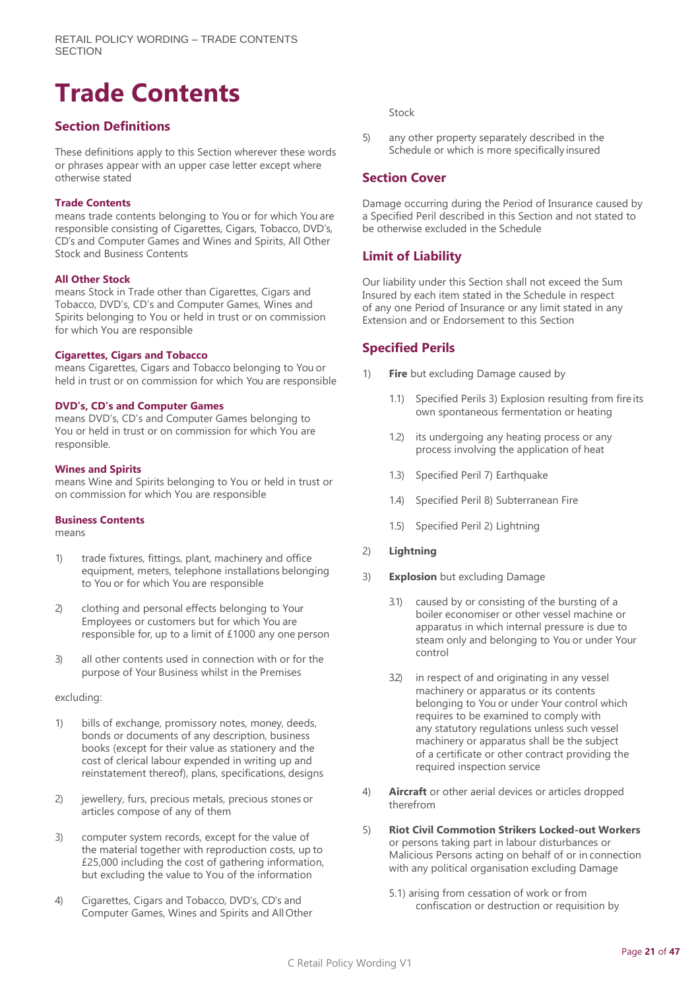## <span id="page-20-0"></span>**Trade Contents**

## **Section Definitions**

These definitions apply to this Section wherever these words or phrases appear with an upper case letter except where otherwise stated

#### **Trade Contents**

means trade contents belonging to You or for which You are responsible consisting of Cigarettes, Cigars, Tobacco, DVD's, CD's and Computer Games and Wines and Spirits, All Other Stock and Business Contents

#### **All Other Stock**

means Stock in Trade other than Cigarettes, Cigars and Tobacco, DVD's, CD's and Computer Games, Wines and Spirits belonging to You or held in trust or on commission for which You are responsible

#### **Cigarettes, Cigars and Tobacco**

means Cigarettes, Cigars and Tobacco belonging to You or held in trust or on commission for which You are responsible

#### **DVD's, CD's and Computer Games**

means DVD's, CD's and Computer Games belonging to You or held in trust or on commission for which You are responsible.

#### **Wines and Spirits**

means Wine and Spirits belonging to You or held in trust or on commission for which You are responsible

#### **Business Contents**

means

- 1) trade fixtures, fittings, plant, machinery and office equipment, meters, telephone installations belonging to You or for which You are responsible
- 2) clothing and personal effects belonging to Your Employees or customers but for which You are responsible for, up to a limit of £1000 any one person
- 3) all other contents used in connection with or for the purpose of Your Business whilst in the Premises

#### excluding:

- 1) bills of exchange, promissory notes, money, deeds, bonds or documents of any description, business books (except for their value as stationery and the cost of clerical labour expended in writing up and reinstatement thereof), plans, specifications, designs
- 2) jewellery, furs, precious metals, precious stones or articles compose of any of them
- 3) computer system records, except for the value of the material together with reproduction costs, up to £25,000 including the cost of gathering information, but excluding the value to You of the information
- 4) Cigarettes, Cigars and Tobacco, DVD's, CD's and Computer Games, Wines and Spirits and All Other

Stock

5) any other property separately described in the Schedule or which is more specifically insured

## **Section Cover**

Damage occurring during the Period of Insurance caused by a Specified Peril described in this Section and not stated to be otherwise excluded in the Schedule

## **Limit of Liability**

Our liability under this Section shall not exceed the Sum Insured by each item stated in the Schedule in respect of any one Period of Insurance or any limit stated in any Extension and or Endorsement to this Section

## **Specified Perils**

- 1) **Fire** but excluding Damage caused by
	- 1.1) Specified Perils 3) Explosion resulting from fire its own spontaneous fermentation or heating
	- 1.2) its undergoing any heating process or any process involving the application of heat
	- 1.3) Specified Peril 7) Earthquake
	- 1.4) Specified Peril 8) Subterranean Fire
	- 1.5) Specified Peril 2) Lightning
- 2) **Lightning**
- 3) **Explosion** but excluding Damage
	- 3.1) caused by or consisting of the bursting of a boiler economiser or other vessel machine or apparatus in which internal pressure is due to steam only and belonging to You or under Your control
	- 3.2) in respect of and originating in any vessel machinery or apparatus or its contents belonging to You or under Your control which requires to be examined to comply with any statutory regulations unless such vessel machinery or apparatus shall be the subject of a certificate or other contract providing the required inspection service
- 4) **Aircraft** or other aerial devices or articles dropped therefrom
- 5) **Riot Civil Commotion Strikers Locked-out Workers**  or persons taking part in labour disturbances or Malicious Persons acting on behalf of or in connection with any political organisation excluding Damage
	- 5.1) arising from cessation of work or from confiscation or destruction or requisition by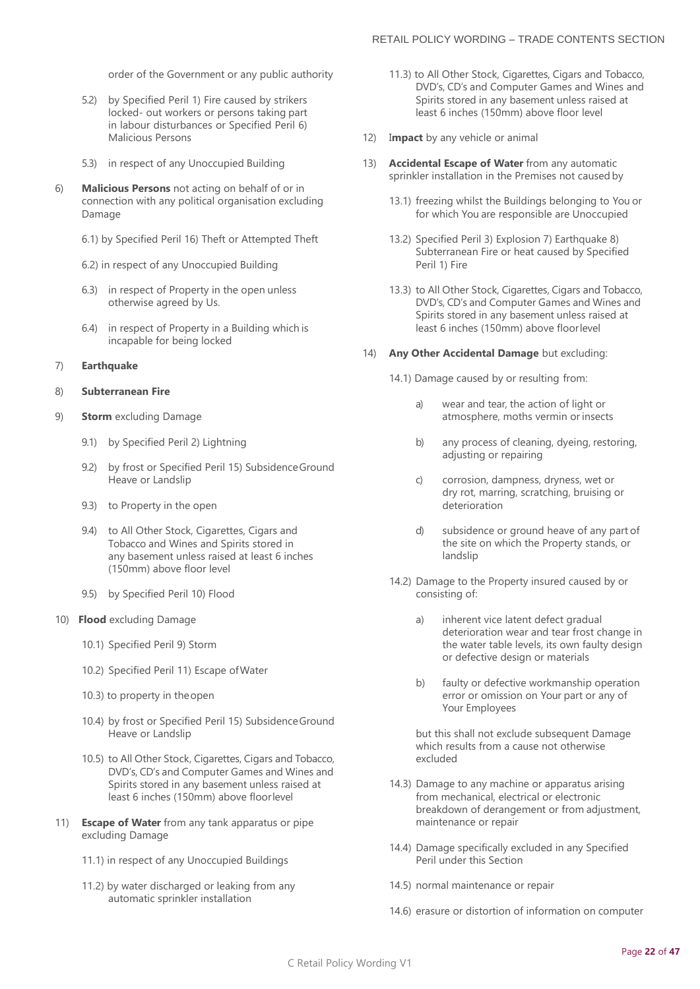order of the Government or any public authority

- 5.2) by Specified Peril 1) Fire caused by strikers locked- out workers or persons taking part in labour disturbances or Specified Peril 6) Malicious Persons
- 5.3) in respect of any Unoccupied Building
- 6) **Malicious Persons** not acting on behalf of or in connection with any political organisation excluding Damage
	- 6.1) by Specified Peril 16) Theft or Attempted Theft
	- 6.2) in respect of any Unoccupied Building
	- 6.3) in respect of Property in the open unless otherwise agreed by Us.
	- 6.4) in respect of Property in a Building which is incapable for being locked

#### 7) **Earthquake**

#### 8) **Subterranean Fire**

- 9) **Storm** excluding Damage
	- 9.1) by Specified Peril 2) Lightning
	- 9.2) by frost or Specified Peril 15) Subsidence Ground Heave or Landslip
	- 9.3) to Property in the open
	- 9.4) to All Other Stock, Cigarettes, Cigars and Tobacco and Wines and Spirits stored in any basement unless raised at least 6 inches (150mm) above floor level
	- 9.5) by Specified Peril 10) Flood
- 10) **Flood** excluding Damage
	- 10.1) Specified Peril 9) Storm
	- 10.2) Specified Peril 11) Escape ofWater
	- 10.3) to property in theopen
	- 10.4) by frost or Specified Peril 15) SubsidenceGround Heave or Landslip
	- 10.5) to All Other Stock, Cigarettes, Cigars and Tobacco, DVD's, CD's and Computer Games and Wines and Spirits stored in any basement unless raised at least 6 inches (150mm) above floorlevel
- 11) **Escape of Water** from any tank apparatus or pipe excluding Damage
	- 11.1) in respect of any Unoccupied Buildings
	- 11.2) by water discharged or leaking from any automatic sprinkler installation
- 11.3) to All Other Stock, Cigarettes, Cigars and Tobacco, DVD's, CD's and Computer Games and Wines and Spirits stored in any basement unless raised at least 6 inches (150mm) above floor level
- 12) I**mpact** by any vehicle or animal
- 13) **Accidental Escape of Water** from any automatic sprinkler installation in the Premises not caused by
	- 13.1) freezing whilst the Buildings belonging to You or for which You are responsible are Unoccupied
	- 13.2) Specified Peril 3) Explosion 7) Earthquake 8) Subterranean Fire or heat caused by Specified Peril 1) Fire
	- 13.3) to All Other Stock, Cigarettes, Cigars and Tobacco, DVD's, CD's and Computer Games and Wines and Spirits stored in any basement unless raised at least 6 inches (150mm) above floorlevel

#### 14) **Any Other Accidental Damage** but excluding:

14.1) Damage caused by or resulting from:

- a) wear and tear, the action of light or atmosphere, moths vermin or insects
- b) any process of cleaning, dyeing, restoring, adjusting or repairing
- c) corrosion, dampness, dryness, wet or dry rot, marring, scratching, bruising or deterioration
- d) subsidence or ground heave of any part of the site on which the Property stands, or landslip
- 14.2) Damage to the Property insured caused by or consisting of:
	- a) inherent vice latent defect gradual deterioration wear and tear frost change in the water table levels, its own faulty design or defective design or materials
	- b) faulty or defective workmanship operation error or omission on Your part or any of Your Employees

but this shall not exclude subsequent Damage which results from a cause not otherwise excluded

- 14.3) Damage to any machine or apparatus arising from mechanical, electrical or electronic breakdown of derangement or from adjustment, maintenance or repair
- 14.4) Damage specifically excluded in any Specified Peril under this Section
- 14.5) normal maintenance or repair
- 14.6) erasure or distortion of information on computer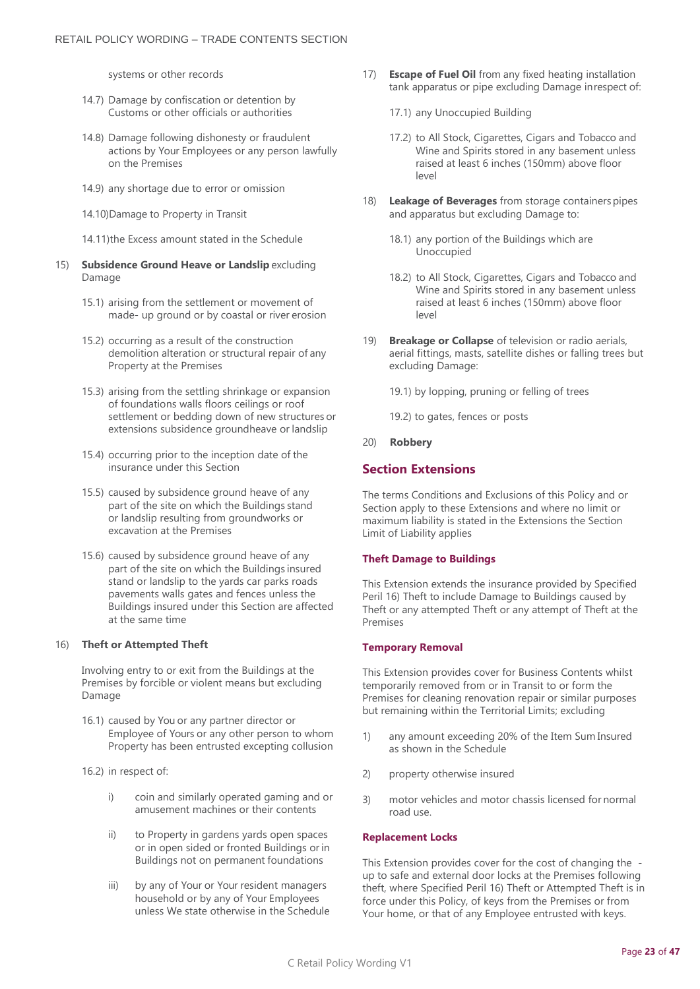systems or other records

- 14.7) Damage by confiscation or detention by Customs or other officials or authorities
- 14.8) Damage following dishonesty or fraudulent actions by Your Employees or any person lawfully on the Premises
- 14.9) any shortage due to error or omission
- 14.10)Damage to Property in Transit

14.11)the Excess amount stated in the Schedule

- 15) **Subsidence Ground Heave or Landslip** excluding Damage
	- 15.1) arising from the settlement or movement of made- up ground or by coastal or river erosion
	- 15.2) occurring as a result of the construction demolition alteration or structural repair of any Property at the Premises
	- 15.3) arising from the settling shrinkage or expansion of foundations walls floors ceilings or roof settlement or bedding down of new structures or extensions subsidence groundheave or landslip
	- 15.4) occurring prior to the inception date of the insurance under this Section
	- 15.5) caused by subsidence ground heave of any part of the site on which the Buildings stand or landslip resulting from groundworks or excavation at the Premises
	- 15.6) caused by subsidence ground heave of any part of the site on which the Buildings insured stand or landslip to the yards car parks roads pavements walls gates and fences unless the Buildings insured under this Section are affected at the same time

#### 16) **Theft or Attempted Theft**

Involving entry to or exit from the Buildings at the Premises by forcible or violent means but excluding Damage

- 16.1) caused by You or any partner director or Employee of Yours or any other person to whom Property has been entrusted excepting collusion
- 16.2) in respect of:
	- i) coin and similarly operated gaming and or amusement machines or their contents
	- ii) to Property in gardens yards open spaces or in open sided or fronted Buildings orin Buildings not on permanent foundations
	- iii) by any of Your or Your resident managers household or by any of Your Employees unless We state otherwise in the Schedule
- 17) **Escape of Fuel Oil** from any fixed heating installation tank apparatus or pipe excluding Damage inrespect of:
	- 17.1) any Unoccupied Building
	- 17.2) to All Stock, Cigarettes, Cigars and Tobacco and Wine and Spirits stored in any basement unless raised at least 6 inches (150mm) above floor level
- 18) Leakage of Beverages from storage containers pipes and apparatus but excluding Damage to:
	- 18.1) any portion of the Buildings which are Unoccupied
	- 18.2) to All Stock, Cigarettes, Cigars and Tobacco and Wine and Spirits stored in any basement unless raised at least 6 inches (150mm) above floor level
- 19) **Breakage or Collapse** of television or radio aerials, aerial fittings, masts, satellite dishes or falling trees but excluding Damage:

19.1) by lopping, pruning or felling of trees

19.2) to gates, fences or posts

20) **Robbery**

## **Section Extensions**

The terms Conditions and Exclusions of this Policy and or Section apply to these Extensions and where no limit or maximum liability is stated in the Extensions the Section Limit of Liability applies

#### **Theft Damage to Buildings**

This Extension extends the insurance provided by Specified Peril 16) Theft to include Damage to Buildings caused by Theft or any attempted Theft or any attempt of Theft at the Premises

#### **Temporary Removal**

This Extension provides cover for Business Contents whilst temporarily removed from or in Transit to or form the Premises for cleaning renovation repair or similar purposes but remaining within the Territorial Limits; excluding

- 1) any amount exceeding 20% of the Item Sum Insured as shown in the Schedule
- 2) property otherwise insured
- 3) motor vehicles and motor chassis licensed for normal road use.

#### **Replacement Locks**

This Extension provides cover for the cost of changing the up to safe and external door locks at the Premises following theft, where Specified Peril 16) Theft or Attempted Theft is in force under this Policy, of keys from the Premises or from Your home, or that of any Employee entrusted with keys.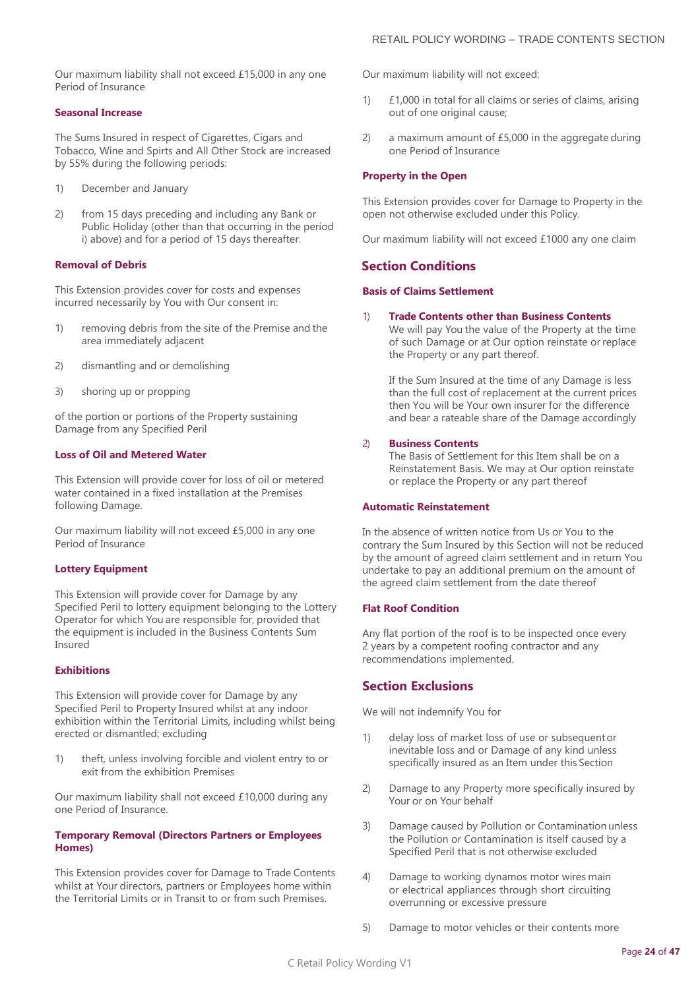Our maximum liability shall not exceed £15,000 in any one Period of Insurance

#### **Seasonal Increase**

The Sums Insured in respect of Cigarettes, Cigars and Tobacco, Wine and Spirts and All Other Stock are increased by 55% during the following periods:

- 1) December and January
- 2) from 15 days preceding and including any Bank or Public Holiday (other than that occurring in the period i) above) and for a period of 15 days thereafter.

#### **Removal of Debris**

This Extension provides cover for costs and expenses incurred necessarily by You with Our consent in:

- 1) removing debris from the site of the Premise and the area immediately adjacent
- 2) dismantling and or demolishing
- 3) shoring up or propping

of the portion or portions of the Property sustaining Damage from any Specified Peril

#### **Loss of Oil and Metered Water**

This Extension will provide cover for loss of oil or metered water contained in a fixed installation at the Premises following Damage.

Our maximum liability will not exceed £5,000 in any one Period of Insurance

#### **Lottery Equipment**

This Extension will provide cover for Damage by any Specified Peril to lottery equipment belonging to the Lottery Operator for which You are responsible for, provided that the equipment is included in the Business Contents Sum Insured

#### **Exhibitions**

This Extension will provide cover for Damage by any Specified Peril to Property Insured whilst at any indoor exhibition within the Territorial Limits, including whilst being erected or dismantled; excluding

1) theft, unless involving forcible and violent entry to or exit from the exhibition Premises

Our maximum liability shall not exceed £10,000 during any one Period of Insurance.

#### **Temporary Removal (Directors Partners or Employees Homes)**

This Extension provides cover for Damage to Trade Contents whilst at Your directors, partners or Employees home within the Territorial Limits or in Transit to or from such Premises.

Our maximum liability will not exceed:

- 1) £1,000 in total for all claims or series of claims, arising out of one original cause;
- 2) a maximum amount of £5,000 in the aggregate during one Period of Insurance

#### **Property in the Open**

This Extension provides cover for Damage to Property in the open not otherwise excluded under this Policy.

Our maximum liability will not exceed £1000 any one claim

#### **Section Conditions**

#### **Basis of Claims Settlement**

#### 1) **Trade Contents other than Business Contents**

We will pay You the value of the Property at the time of such Damage or at Our option reinstate or replace the Property or any part thereof.

If the Sum Insured at the time of any Damage is less than the full cost of replacement at the current prices then You will be Your own insurer for the difference and bear a rateable share of the Damage accordingly

#### 2) **Business Contents**

The Basis of Settlement for this Item shall be on a Reinstatement Basis. We may at Our option reinstate or replace the Property or any part thereof

#### **Automatic Reinstatement**

In the absence of written notice from Us or You to the contrary the Sum Insured by this Section will not be reduced by the amount of agreed claim settlement and in return You undertake to pay an additional premium on the amount of the agreed claim settlement from the date thereof

#### **Flat Roof Condition**

Any flat portion of the roof is to be inspected once every 2 years by a competent roofing contractor and any recommendations implemented.

## **Section Exclusions**

We will not indemnify You for

- 1) delay loss of market loss of use or subsequentor inevitable loss and or Damage of any kind unless specifically insured as an Item under this Section
- 2) Damage to any Property more specifically insured by Your or on Your behalf
- 3) Damage caused by Pollution or Contamination unless the Pollution or Contamination is itself caused by a Specified Peril that is not otherwise excluded
- 4) Damage to working dynamos motor wires main or electrical appliances through short circuiting overrunning or excessive pressure
- 5) Damage to motor vehicles or their contents more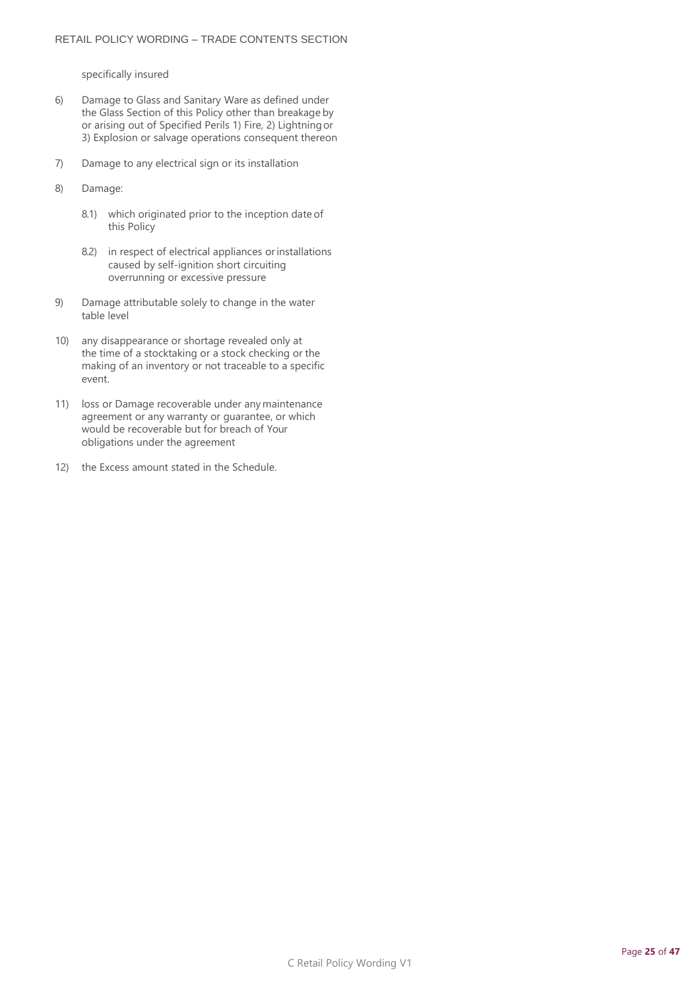specifically insured

- 6) Damage to Glass and Sanitary Ware as defined under the Glass Section of this Policy other than breakage by or arising out of Specified Perils 1) Fire, 2) Lightningor 3) Explosion or salvage operations consequent thereon
- 7) Damage to any electrical sign or its installation
- 8) Damage:
	- 8.1) which originated prior to the inception date of this Policy
	- 8.2) in respect of electrical appliances orinstallations caused by self-ignition short circuiting overrunning or excessive pressure
- 9) Damage attributable solely to change in the water table level
- 10) any disappearance or shortage revealed only at the time of a stocktaking or a stock checking or the making of an inventory or not traceable to a specific event.
- 11) loss or Damage recoverable under any maintenance agreement or any warranty or guarantee, or which would be recoverable but for breach of Your obligations under the agreement
- 12) the Excess amount stated in the Schedule.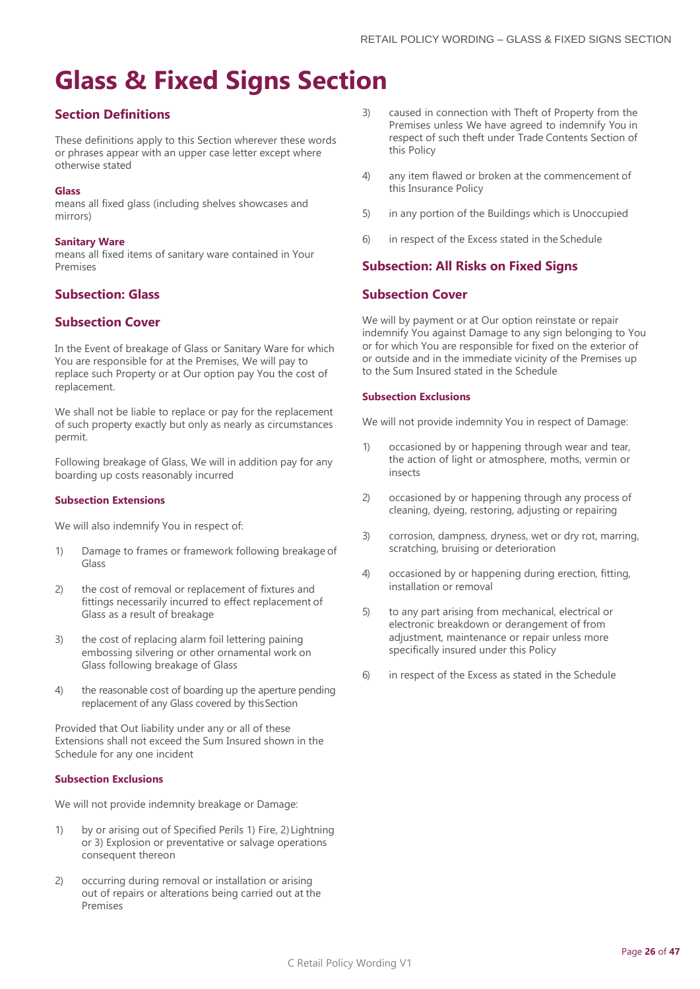## <span id="page-25-0"></span>**Glass & Fixed Signs Section**

## **Section Definitions**

These definitions apply to this Section wherever these words or phrases appear with an upper case letter except where otherwise stated

#### **Glass**

means all fixed glass (including shelves showcases and mirrors)

#### **Sanitary Ware**

means all fixed items of sanitary ware contained in Your Premises

## **Subsection: Glass**

## **Subsection Cover**

In the Event of breakage of Glass or Sanitary Ware for which You are responsible for at the Premises, We will pay to replace such Property or at Our option pay You the cost of replacement.

We shall not be liable to replace or pay for the replacement of such property exactly but only as nearly as circumstances permit.

Following breakage of Glass, We will in addition pay for any boarding up costs reasonably incurred

#### **Subsection Extensions**

We will also indemnify You in respect of:

- 1) Damage to frames or framework following breakage of Glass
- 2) the cost of removal or replacement of fixtures and fittings necessarily incurred to effect replacement of Glass as a result of breakage
- 3) the cost of replacing alarm foil lettering paining embossing silvering or other ornamental work on Glass following breakage of Glass
- 4) the reasonable cost of boarding up the aperture pending replacement of any Glass covered by thisSection

Provided that Out liability under any or all of these Extensions shall not exceed the Sum Insured shown in the Schedule for any one incident

#### **Subsection Exclusions**

We will not provide indemnity breakage or Damage:

- 1) by or arising out of Specified Perils 1) Fire, 2) Lightning or 3) Explosion or preventative or salvage operations consequent thereon
- 2) occurring during removal or installation or arising out of repairs or alterations being carried out at the Premises
- 3) caused in connection with Theft of Property from the Premises unless We have agreed to indemnify You in respect of such theft under Trade Contents Section of this Policy
- 4) any item flawed or broken at the commencement of this Insurance Policy
- 5) in any portion of the Buildings which is Unoccupied
- 6) in respect of the Excess stated in the Schedule

## **Subsection: All Risks on Fixed Signs**

## **Subsection Cover**

We will by payment or at Our option reinstate or repair indemnify You against Damage to any sign belonging to You or for which You are responsible for fixed on the exterior of or outside and in the immediate vicinity of the Premises up to the Sum Insured stated in the Schedule

#### **Subsection Exclusions**

We will not provide indemnity You in respect of Damage:

- 1) occasioned by or happening through wear and tear, the action of light or atmosphere, moths, vermin or insects
- 2) occasioned by or happening through any process of cleaning, dyeing, restoring, adjusting or repairing
- 3) corrosion, dampness, dryness, wet or dry rot, marring, scratching, bruising or deterioration
- 4) occasioned by or happening during erection, fitting, installation or removal
- 5) to any part arising from mechanical, electrical or electronic breakdown or derangement of from adjustment, maintenance or repair unless more specifically insured under this Policy
- 6) in respect of the Excess as stated in the Schedule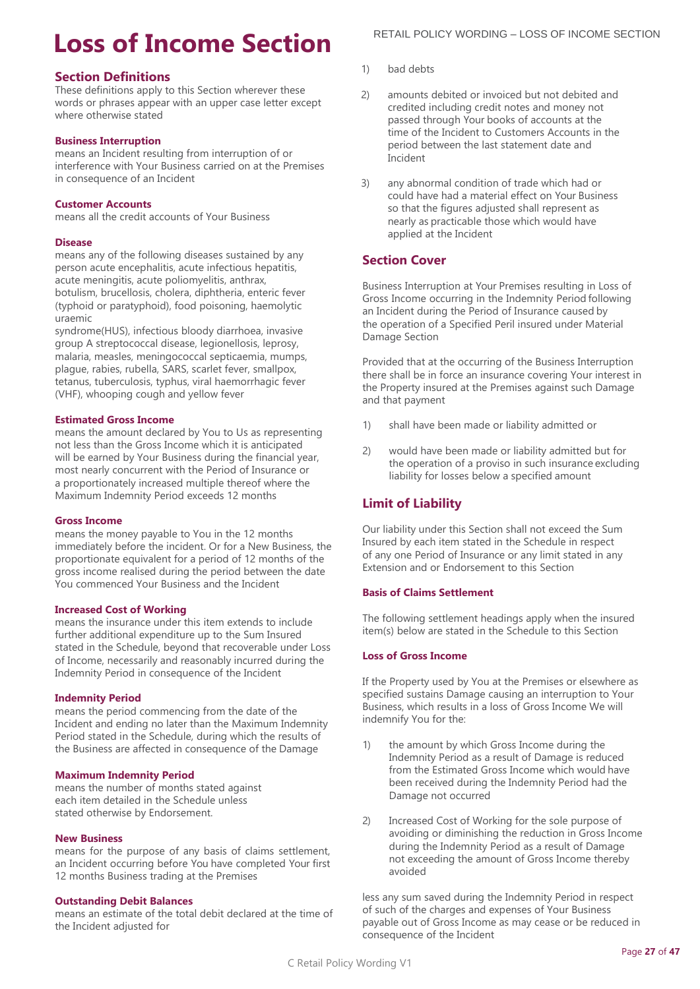# <span id="page-26-0"></span>**Loss of Income Section**

## **Section Definitions**

These definitions apply to this Section wherever these words or phrases appear with an upper case letter except where otherwise stated

#### **Business Interruption**

means an Incident resulting from interruption of or interference with Your Business carried on at the Premises in consequence of an Incident

#### **Customer Accounts**

means all the credit accounts of Your Business

#### **Disease**

means any of the following diseases sustained by any person acute encephalitis, acute infectious hepatitis, acute meningitis, acute poliomyelitis, anthrax, botulism, brucellosis, cholera, diphtheria, enteric fever (typhoid or paratyphoid), food poisoning, haemolytic uraemic

syndrome(HUS), infectious bloody diarrhoea, invasive group A streptococcal disease, legionellosis, leprosy, malaria, measles, meningococcal septicaemia, mumps, plague, rabies, rubella, SARS, scarlet fever, smallpox, tetanus, tuberculosis, typhus, viral haemorrhagic fever (VHF), whooping cough and yellow fever

#### **Estimated Gross Income**

means the amount declared by You to Us as representing not less than the Gross Income which it is anticipated will be earned by Your Business during the financial year, most nearly concurrent with the Period of Insurance or a proportionately increased multiple thereof where the Maximum Indemnity Period exceeds 12 months

#### **Gross Income**

means the money payable to You in the 12 months immediately before the incident. Or for a New Business, the proportionate equivalent for a period of 12 months of the gross income realised during the period between the date You commenced Your Business and the Incident

#### **Increased Cost of Working**

means the insurance under this item extends to include further additional expenditure up to the Sum Insured stated in the Schedule, beyond that recoverable under Loss of Income, necessarily and reasonably incurred during the Indemnity Period in consequence of the Incident

#### **Indemnity Period**

means the period commencing from the date of the Incident and ending no later than the Maximum Indemnity Period stated in the Schedule, during which the results of the Business are affected in consequence of the Damage

#### **Maximum Indemnity Period**

means the number of months stated against each item detailed in the Schedule unless stated otherwise by Endorsement.

#### **New Business**

means for the purpose of any basis of claims settlement, an Incident occurring before You have completed Your first 12 months Business trading at the Premises

#### **Outstanding Debit Balances**

means an estimate of the total debit declared at the time of the Incident adjusted for

- 1) bad debts
- 2) amounts debited or invoiced but not debited and credited including credit notes and money not passed through Your books of accounts at the time of the Incident to Customers Accounts in the period between the last statement date and Incident
- 3) any abnormal condition of trade which had or could have had a material effect on Your Business so that the figures adjusted shall represent as nearly as practicable those which would have applied at the Incident

## **Section Cover**

Business Interruption at Your Premises resulting in Loss of Gross Income occurring in the Indemnity Period following an Incident during the Period of Insurance caused by the operation of a Specified Peril insured under Material Damage Section

Provided that at the occurring of the Business Interruption there shall be in force an insurance covering Your interest in the Property insured at the Premises against such Damage and that payment

- 1) shall have been made or liability admitted or
- 2) would have been made or liability admitted but for the operation of a proviso in such insurance excluding liability for losses below a specified amount

## **Limit of Liability**

Our liability under this Section shall not exceed the Sum Insured by each item stated in the Schedule in respect of any one Period of Insurance or any limit stated in any Extension and or Endorsement to this Section

## **Basis of Claims Settlement**

The following settlement headings apply when the insured item(s) below are stated in the Schedule to this Section

#### **Loss of Gross Income**

If the Property used by You at the Premises or elsewhere as specified sustains Damage causing an interruption to Your Business, which results in a loss of Gross Income We will indemnify You for the:

- 1) the amount by which Gross Income during the Indemnity Period as a result of Damage is reduced from the Estimated Gross Income which would have been received during the Indemnity Period had the Damage not occurred
- 2) Increased Cost of Working for the sole purpose of avoiding or diminishing the reduction in Gross Income during the Indemnity Period as a result of Damage not exceeding the amount of Gross Income thereby avoided

less any sum saved during the Indemnity Period in respect of such of the charges and expenses of Your Business payable out of Gross Income as may cease or be reduced in consequence of the Incident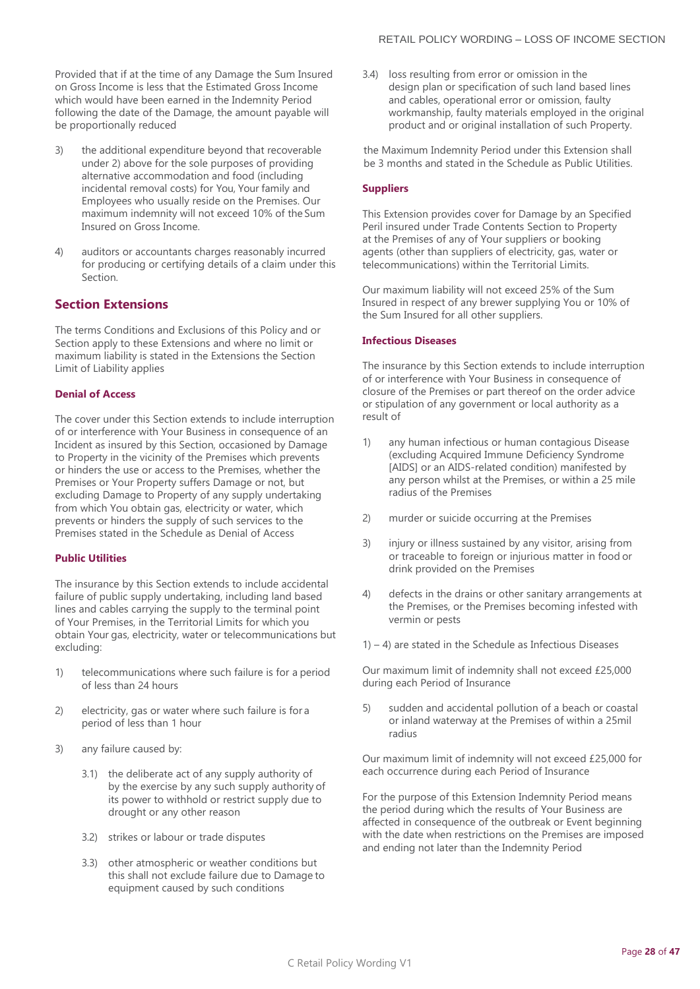Provided that if at the time of any Damage the Sum Insured on Gross Income is less that the Estimated Gross Income which would have been earned in the Indemnity Period following the date of the Damage, the amount payable will be proportionally reduced

- 3) the additional expenditure beyond that recoverable under 2) above for the sole purposes of providing alternative accommodation and food (including incidental removal costs) for You, Your family and Employees who usually reside on the Premises. Our maximum indemnity will not exceed 10% of the Sum Insured on Gross Income.
- 4) auditors or accountants charges reasonably incurred for producing or certifying details of a claim under this Section.

## **Section Extensions**

The terms Conditions and Exclusions of this Policy and or Section apply to these Extensions and where no limit or maximum liability is stated in the Extensions the Section Limit of Liability applies

#### **Denial of Access**

The cover under this Section extends to include interruption of or interference with Your Business in consequence of an Incident as insured by this Section, occasioned by Damage to Property in the vicinity of the Premises which prevents or hinders the use or access to the Premises, whether the Premises or Your Property suffers Damage or not, but excluding Damage to Property of any supply undertaking from which You obtain gas, electricity or water, which prevents or hinders the supply of such services to the Premises stated in the Schedule as Denial of Access

#### **Public Utilities**

The insurance by this Section extends to include accidental failure of public supply undertaking, including land based lines and cables carrying the supply to the terminal point of Your Premises, in the Territorial Limits for which you obtain Your gas, electricity, water or telecommunications but excluding:

- 1) telecommunications where such failure is for a period of less than 24 hours
- 2) electricity, gas or water where such failure is for a period of less than 1 hour
- 3) any failure caused by:
	- 3.1) the deliberate act of any supply authority of by the exercise by any such supply authority of its power to withhold or restrict supply due to drought or any other reason
	- 3.2) strikes or labour or trade disputes
	- 3.3) other atmospheric or weather conditions but this shall not exclude failure due to Damage to equipment caused by such conditions

3.4) loss resulting from error or omission in the design plan or specification of such land based lines and cables, operational error or omission, faulty workmanship, faulty materials employed in the original product and or original installation of such Property.

the Maximum Indemnity Period under this Extension shall be 3 months and stated in the Schedule as Public Utilities.

#### **Suppliers**

This Extension provides cover for Damage by an Specified Peril insured under Trade Contents Section to Property at the Premises of any of Your suppliers or booking agents (other than suppliers of electricity, gas, water or telecommunications) within the Territorial Limits.

Our maximum liability will not exceed 25% of the Sum Insured in respect of any brewer supplying You or 10% of the Sum Insured for all other suppliers.

#### **Infectious Diseases**

The insurance by this Section extends to include interruption of or interference with Your Business in consequence of closure of the Premises or part thereof on the order advice or stipulation of any government or local authority as a result of

- 1) any human infectious or human contagious Disease (excluding Acquired Immune Deficiency Syndrome [AIDS] or an AIDS-related condition) manifested by any person whilst at the Premises, or within a 25 mile radius of the Premises
- 2) murder or suicide occurring at the Premises
- 3) injury or illness sustained by any visitor, arising from or traceable to foreign or injurious matter in food or drink provided on the Premises
- 4) defects in the drains or other sanitary arrangements at the Premises, or the Premises becoming infested with vermin or pests
- $1) 4$ ) are stated in the Schedule as Infectious Diseases

Our maximum limit of indemnity shall not exceed £25,000 during each Period of Insurance

5) sudden and accidental pollution of a beach or coastal or inland waterway at the Premises of within a 25mil radius

Our maximum limit of indemnity will not exceed £25,000 for each occurrence during each Period of Insurance

For the purpose of this Extension Indemnity Period means the period during which the results of Your Business are affected in consequence of the outbreak or Event beginning with the date when restrictions on the Premises are imposed and ending not later than the Indemnity Period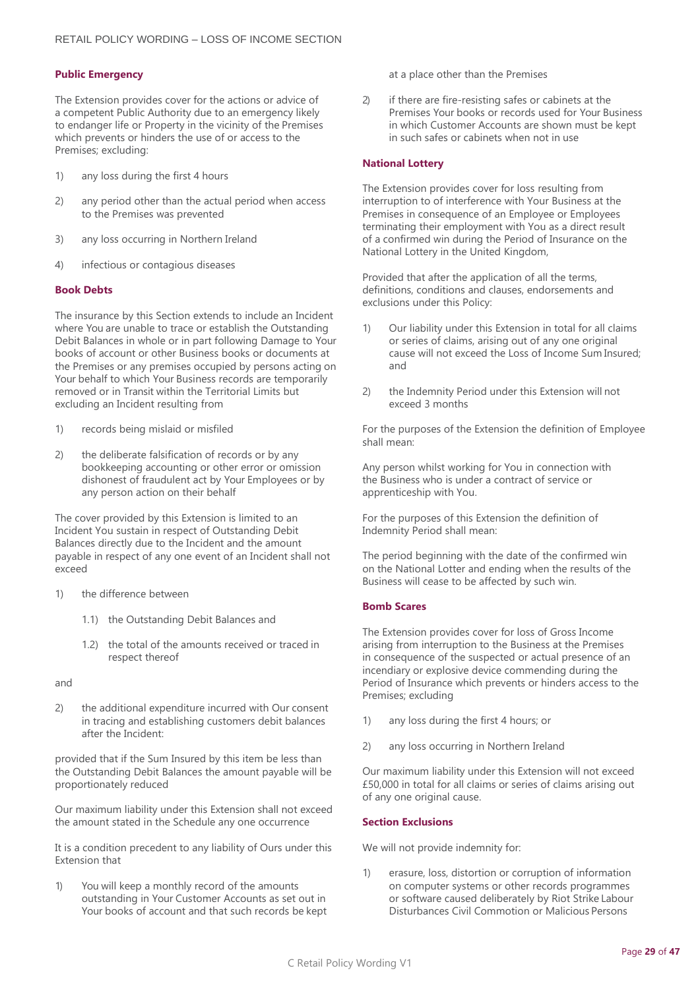#### **Public Emergency**

The Extension provides cover for the actions or advice of a competent Public Authority due to an emergency likely to endanger life or Property in the vicinity of the Premises which prevents or hinders the use of or access to the Premises; excluding:

- 1) any loss during the first 4 hours
- 2) any period other than the actual period when access to the Premises was prevented
- 3) any loss occurring in Northern Ireland
- 4) infectious or contagious diseases

#### **Book Debts**

The insurance by this Section extends to include an Incident where You are unable to trace or establish the Outstanding Debit Balances in whole or in part following Damage to Your books of account or other Business books or documents at the Premises or any premises occupied by persons acting on Your behalf to which Your Business records are temporarily removed or in Transit within the Territorial Limits but excluding an Incident resulting from

- 1) records being mislaid or misfiled
- 2) the deliberate falsification of records or by any bookkeeping accounting or other error or omission dishonest of fraudulent act by Your Employees or by any person action on their behalf

The cover provided by this Extension is limited to an Incident You sustain in respect of Outstanding Debit Balances directly due to the Incident and the amount payable in respect of any one event of an Incident shall not exceed

- 1) the difference between
	- 1.1) the Outstanding Debit Balances and
	- 1.2) the total of the amounts received or traced in respect thereof

and

2) the additional expenditure incurred with Our consent in tracing and establishing customers debit balances after the Incident:

provided that if the Sum Insured by this item be less than the Outstanding Debit Balances the amount payable will be proportionately reduced

Our maximum liability under this Extension shall not exceed the amount stated in the Schedule any one occurrence

It is a condition precedent to any liability of Ours under this Extension that

1) You will keep a monthly record of the amounts outstanding in Your Customer Accounts as set out in Your books of account and that such records be kept at a place other than the Premises

2) if there are fire-resisting safes or cabinets at the Premises Your books or records used for Your Business in which Customer Accounts are shown must be kept in such safes or cabinets when not in use

#### **National Lottery**

The Extension provides cover for loss resulting from interruption to of interference with Your Business at the Premises in consequence of an Employee or Employees terminating their employment with You as a direct result of a confirmed win during the Period of Insurance on the National Lottery in the United Kingdom,

Provided that after the application of all the terms, definitions, conditions and clauses, endorsements and exclusions under this Policy:

- 1) Our liability under this Extension in total for all claims or series of claims, arising out of any one original cause will not exceed the Loss of Income Sum Insured; and
- 2) the Indemnity Period under this Extension will not exceed 3 months

For the purposes of the Extension the definition of Employee shall mean:

Any person whilst working for You in connection with the Business who is under a contract of service or apprenticeship with You.

For the purposes of this Extension the definition of Indemnity Period shall mean:

The period beginning with the date of the confirmed win on the National Lotter and ending when the results of the Business will cease to be affected by such win.

#### **Bomb Scares**

The Extension provides cover for loss of Gross Income arising from interruption to the Business at the Premises in consequence of the suspected or actual presence of an incendiary or explosive device commending during the Period of Insurance which prevents or hinders access to the Premises; excluding

- 1) any loss during the first 4 hours; or
- 2) any loss occurring in Northern Ireland

Our maximum liability under this Extension will not exceed £50,000 in total for all claims or series of claims arising out of any one original cause.

#### **Section Exclusions**

We will not provide indemnity for:

1) erasure, loss, distortion or corruption of information on computer systems or other records programmes or software caused deliberately by Riot Strike Labour Disturbances Civil Commotion or Malicious Persons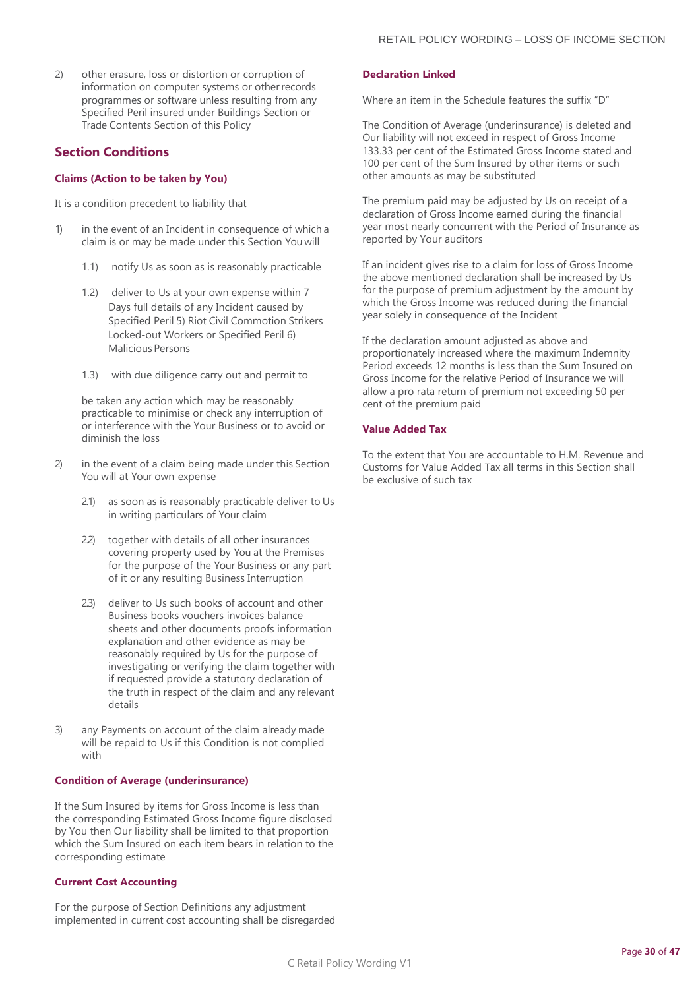2) other erasure, loss or distortion or corruption of information on computer systems or otherrecords programmes or software unless resulting from any Specified Peril insured under Buildings Section or Trade Contents Section of this Policy

## **Section Conditions**

#### **Claims (Action to be taken by You)**

It is a condition precedent to liability that

- 1) in the event of an Incident in consequence of which a claim is or may be made under this Section You will
	- 1.1) notify Us as soon as is reasonably practicable
	- 1.2) deliver to Us at your own expense within 7 Days full details of any Incident caused by Specified Peril 5) Riot Civil Commotion Strikers Locked-out Workers or Specified Peril 6) Malicious Persons
	- 1.3) with due diligence carry out and permit to

be taken any action which may be reasonably practicable to minimise or check any interruption of or interference with the Your Business or to avoid or diminish the loss

- 2) in the event of a claim being made under this Section You will at Your own expense
	- 2.1) as soon as is reasonably practicable deliver to Us in writing particulars of Your claim
	- 2.2) together with details of all other insurances covering property used by You at the Premises for the purpose of the Your Business or any part of it or any resulting Business Interruption
	- 2.3) deliver to Us such books of account and other Business books vouchers invoices balance sheets and other documents proofs information explanation and other evidence as may be reasonably required by Us for the purpose of investigating or verifying the claim together with if requested provide a statutory declaration of the truth in respect of the claim and any relevant details
- 3) any Payments on account of the claim already made will be repaid to Us if this Condition is not complied with

#### **Condition of Average (underinsurance)**

If the Sum Insured by items for Gross Income is less than the corresponding Estimated Gross Income figure disclosed by You then Our liability shall be limited to that proportion which the Sum Insured on each item bears in relation to the corresponding estimate

#### **Current Cost Accounting**

For the purpose of Section Definitions any adjustment implemented in current cost accounting shall be disregarded

#### **Declaration Linked**

Where an item in the Schedule features the suffix "D"

The Condition of Average (underinsurance) is deleted and Our liability will not exceed in respect of Gross Income 133.33 per cent of the Estimated Gross Income stated and 100 per cent of the Sum Insured by other items or such other amounts as may be substituted

The premium paid may be adjusted by Us on receipt of a declaration of Gross Income earned during the financial year most nearly concurrent with the Period of Insurance as reported by Your auditors

If an incident gives rise to a claim for loss of Gross Income the above mentioned declaration shall be increased by Us for the purpose of premium adjustment by the amount by which the Gross Income was reduced during the financial year solely in consequence of the Incident

If the declaration amount adjusted as above and proportionately increased where the maximum Indemnity Period exceeds 12 months is less than the Sum Insured on Gross Income for the relative Period of Insurance we will allow a pro rata return of premium not exceeding 50 per cent of the premium paid

#### **Value Added Tax**

To the extent that You are accountable to H.M. Revenue and Customs for Value Added Tax all terms in this Section shall be exclusive of such tax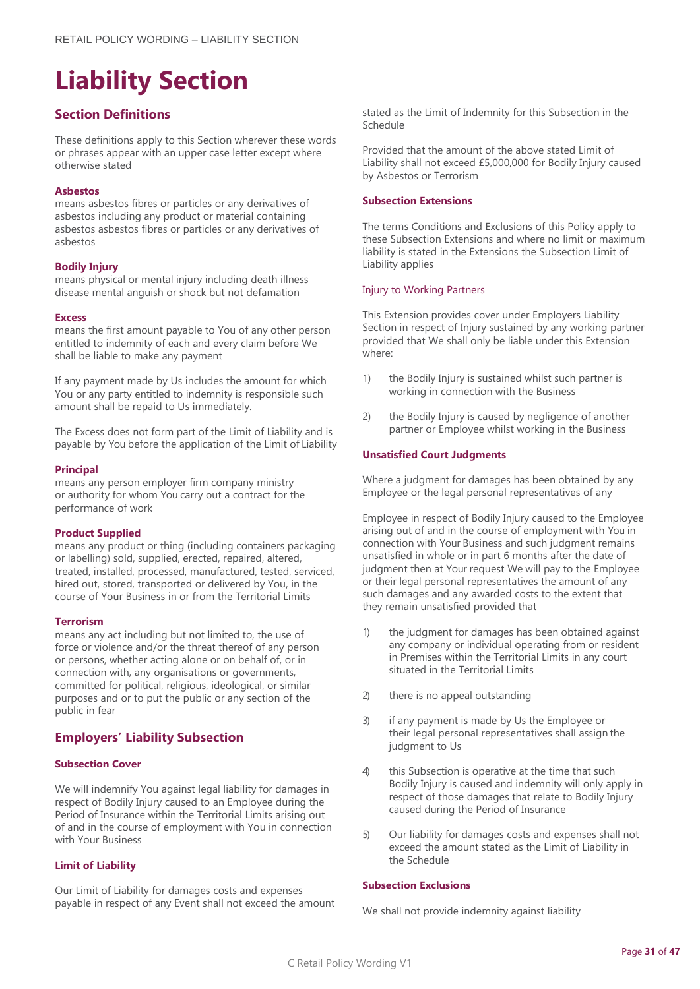# <span id="page-30-0"></span>**Liability Section**

## **Section Definitions**

These definitions apply to this Section wherever these words or phrases appear with an upper case letter except where otherwise stated

#### **Asbestos**

means asbestos fibres or particles or any derivatives of asbestos including any product or material containing asbestos asbestos fibres or particles or any derivatives of asbestos

#### **Bodily Injury**

means physical or mental injury including death illness disease mental anguish or shock but not defamation

#### **Excess**

means the first amount payable to You of any other person entitled to indemnity of each and every claim before We shall be liable to make any payment

If any payment made by Us includes the amount for which You or any party entitled to indemnity is responsible such amount shall be repaid to Us immediately.

The Excess does not form part of the Limit of Liability and is payable by You before the application of the Limit of Liability

#### **Principal**

means any person employer firm company ministry or authority for whom You carry out a contract for the performance of work

#### **Product Supplied**

means any product or thing (including containers packaging or labelling) sold, supplied, erected, repaired, altered, treated, installed, processed, manufactured, tested, serviced, hired out, stored, transported or delivered by You, in the course of Your Business in or from the Territorial Limits

#### **Terrorism**

means any act including but not limited to, the use of force or violence and/or the threat thereof of any person or persons, whether acting alone or on behalf of, or in connection with, any organisations or governments, committed for political, religious, ideological, or similar purposes and or to put the public or any section of the public in fear

## **Employers' Liability Subsection**

#### **Subsection Cover**

We will indemnify You against legal liability for damages in respect of Bodily Injury caused to an Employee during the Period of Insurance within the Territorial Limits arising out of and in the course of employment with You in connection with Your Business

#### **Limit of Liability**

Our Limit of Liability for damages costs and expenses payable in respect of any Event shall not exceed the amount stated as the Limit of Indemnity for this Subsection in the Schedule

Provided that the amount of the above stated Limit of Liability shall not exceed £5,000,000 for Bodily Injury caused by Asbestos or Terrorism

#### **Subsection Extensions**

The terms Conditions and Exclusions of this Policy apply to these Subsection Extensions and where no limit or maximum liability is stated in the Extensions the Subsection Limit of Liability applies

#### Injury to Working Partners

This Extension provides cover under Employers Liability Section in respect of Injury sustained by any working partner provided that We shall only be liable under this Extension where:

- 1) the Bodily Injury is sustained whilst such partner is working in connection with the Business
- 2) the Bodily Injury is caused by negligence of another partner or Employee whilst working in the Business

#### **Unsatisfied Court Judgments**

Where a judgment for damages has been obtained by any Employee or the legal personal representatives of any

Employee in respect of Bodily Injury caused to the Employee arising out of and in the course of employment with You in connection with Your Business and such judgment remains unsatisfied in whole or in part 6 months after the date of judgment then at Your request We will pay to the Employee or their legal personal representatives the amount of any such damages and any awarded costs to the extent that they remain unsatisfied provided that

- 1) the judgment for damages has been obtained against any company or individual operating from or resident in Premises within the Territorial Limits in any court situated in the Territorial Limits
- 2) there is no appeal outstanding
- 3) if any payment is made by Us the Employee or their legal personal representatives shall assign the judgment to Us
- 4) this Subsection is operative at the time that such Bodily Injury is caused and indemnity will only apply in respect of those damages that relate to Bodily Injury caused during the Period of Insurance
- 5) Our liability for damages costs and expenses shall not exceed the amount stated as the Limit of Liability in the Schedule

#### **Subsection Exclusions**

We shall not provide indemnity against liability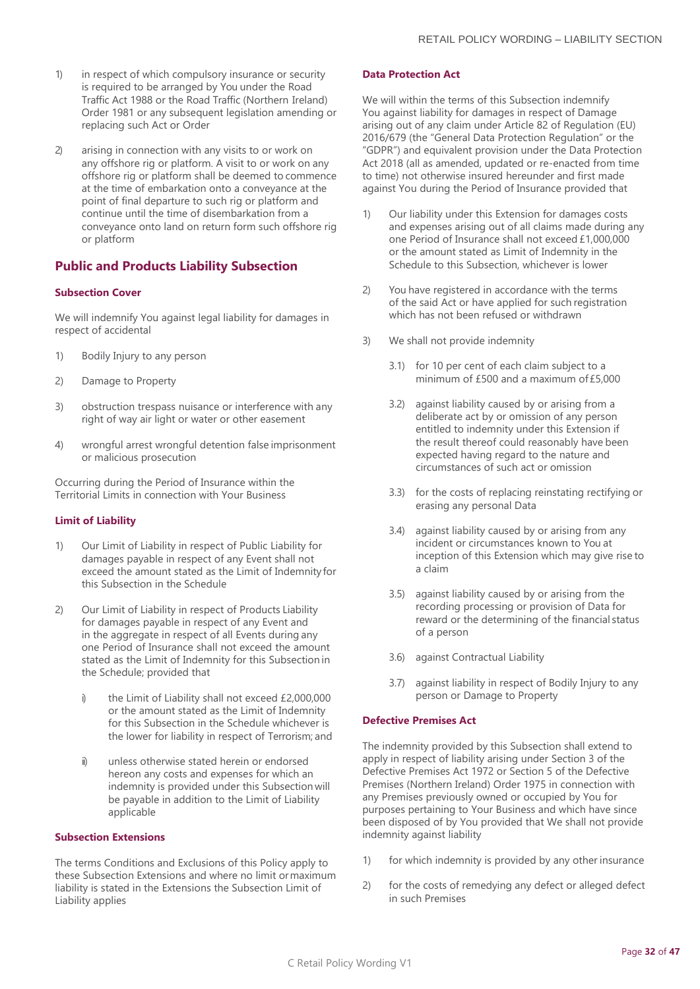- 1) in respect of which compulsory insurance or security is required to be arranged by You under the Road Traffic Act 1988 or the Road Traffic (Northern Ireland) Order 1981 or any subsequent legislation amending or replacing such Act or Order
- 2) arising in connection with any visits to or work on any offshore rig or platform. A visit to or work on any offshore rig or platform shall be deemed to commence at the time of embarkation onto a conveyance at the point of final departure to such rig or platform and continue until the time of disembarkation from a conveyance onto land on return form such offshore rig or platform

## **Public and Products Liability Subsection**

#### **Subsection Cover**

We will indemnify You against legal liability for damages in respect of accidental

- 1) Bodily Injury to any person
- 2) Damage to Property
- 3) obstruction trespass nuisance or interference with any right of way air light or water or other easement
- 4) wrongful arrest wrongful detention false imprisonment or malicious prosecution

Occurring during the Period of Insurance within the Territorial Limits in connection with Your Business

#### **Limit of Liability**

- 1) Our Limit of Liability in respect of Public Liability for damages payable in respect of any Event shall not exceed the amount stated as the Limit of Indemnity for this Subsection in the Schedule
- 2) Our Limit of Liability in respect of Products Liability for damages payable in respect of any Event and in the aggregate in respect of all Events during any one Period of Insurance shall not exceed the amount stated as the Limit of Indemnity for this Subsection in the Schedule; provided that
	- i) the Limit of Liability shall not exceed £2,000,000 or the amount stated as the Limit of Indemnity for this Subsection in the Schedule whichever is the lower for liability in respect of Terrorism; and
	- ii) unless otherwise stated herein or endorsed hereon any costs and expenses for which an indemnity is provided under this Subsection will be payable in addition to the Limit of Liability applicable

#### **Subsection Extensions**

The terms Conditions and Exclusions of this Policy apply to these Subsection Extensions and where no limit ormaximum liability is stated in the Extensions the Subsection Limit of Liability applies

#### **Data Protection Act**

We will within the terms of this Subsection indemnify You against liability for damages in respect of Damage arising out of any claim under Article 82 of Regulation (EU) 2016/679 (the "General Data Protection Regulation" or the "GDPR") and equivalent provision under the Data Protection Act 2018 (all as amended, updated or re-enacted from time to time) not otherwise insured hereunder and first made against You during the Period of Insurance provided that

- 1) Our liability under this Extension for damages costs and expenses arising out of all claims made during any one Period of Insurance shall not exceed £1,000,000 or the amount stated as Limit of Indemnity in the Schedule to this Subsection, whichever is lower
- 2) You have registered in accordance with the terms of the said Act or have applied for such registration which has not been refused or withdrawn
- 3) We shall not provide indemnity
	- 3.1) for 10 per cent of each claim subject to a minimum of £500 and a maximum of£5,000
	- 3.2) against liability caused by or arising from a deliberate act by or omission of any person entitled to indemnity under this Extension if the result thereof could reasonably have been expected having regard to the nature and circumstances of such act or omission
	- 3.3) for the costs of replacing reinstating rectifying or erasing any personal Data
	- 3.4) against liability caused by or arising from any incident or circumstances known to You at inception of this Extension which may give rise to a claim
	- 3.5) against liability caused by or arising from the recording processing or provision of Data for reward or the determining of the financial status of a person
	- 3.6) against Contractual Liability
	- 3.7) against liability in respect of Bodily Injury to any person or Damage to Property

#### **Defective Premises Act**

The indemnity provided by this Subsection shall extend to apply in respect of liability arising under Section 3 of the Defective Premises Act 1972 or Section 5 of the Defective Premises (Northern Ireland) Order 1975 in connection with any Premises previously owned or occupied by You for purposes pertaining to Your Business and which have since been disposed of by You provided that We shall not provide indemnity against liability

- 1) for which indemnity is provided by any other insurance
- 2) for the costs of remedying any defect or alleged defect in such Premises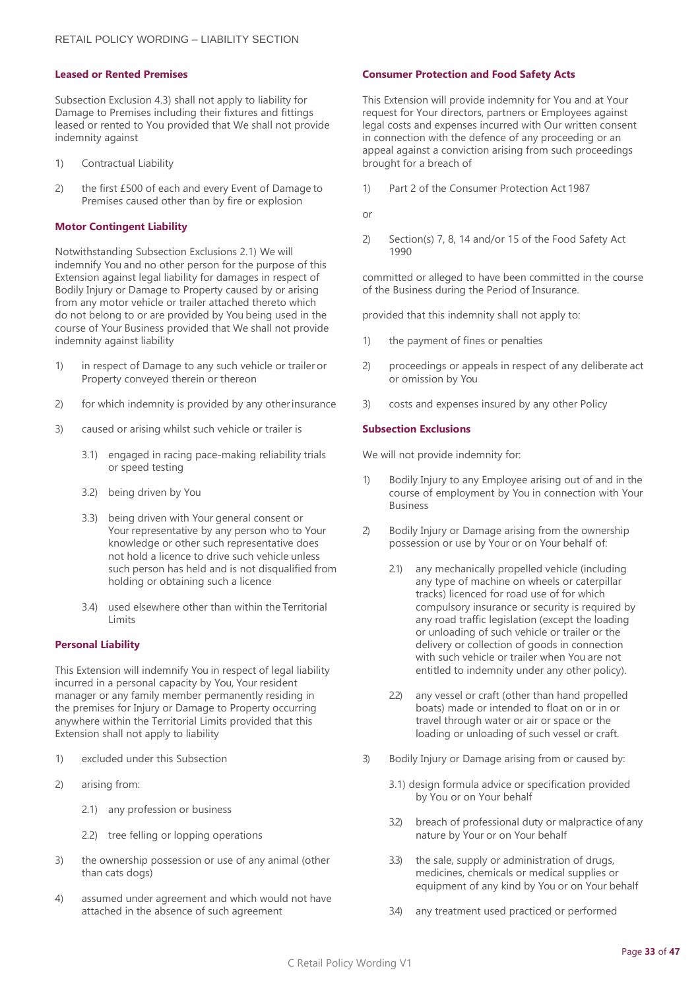#### **Leased or Rented Premises**

Subsection Exclusion 4.3) shall not apply to liability for Damage to Premises including their fixtures and fittings leased or rented to You provided that We shall not provide indemnity against

- 1) Contractual Liability
- 2) the first £500 of each and every Event of Damage to Premises caused other than by fire or explosion

#### **Motor Contingent Liability**

Notwithstanding Subsection Exclusions 2.1) We will indemnify You and no other person for the purpose of this Extension against legal liability for damages in respect of Bodily Injury or Damage to Property caused by or arising from any motor vehicle or trailer attached thereto which do not belong to or are provided by You being used in the course of Your Business provided that We shall not provide indemnity against liability

- 1) in respect of Damage to any such vehicle or trailer or Property conveyed therein or thereon
- 2) for which indemnity is provided by any otherinsurance
- 3) caused or arising whilst such vehicle or trailer is
	- 3.1) engaged in racing pace-making reliability trials or speed testing
	- 3.2) being driven by You
	- 3.3) being driven with Your general consent or Your representative by any person who to Your knowledge or other such representative does not hold a licence to drive such vehicle unless such person has held and is not disqualified from holding or obtaining such a licence
	- 3.4) used elsewhere other than within the Territorial Limits

#### **Personal Liability**

This Extension will indemnify You in respect of legal liability incurred in a personal capacity by You, Your resident manager or any family member permanently residing in the premises for Injury or Damage to Property occurring anywhere within the Territorial Limits provided that this Extension shall not apply to liability

- 1) excluded under this Subsection
- 2) arising from:
	- 2.1) any profession or business
	- 2.2) tree felling or lopping operations
- 3) the ownership possession or use of any animal (other than cats dogs)
- 4) assumed under agreement and which would not have attached in the absence of such agreement

#### **Consumer Protection and Food Safety Acts**

This Extension will provide indemnity for You and at Your request for Your directors, partners or Employees against legal costs and expenses incurred with Our written consent in connection with the defence of any proceeding or an appeal against a conviction arising from such proceedings brought for a breach of

- 1) Part 2 of the Consumer Protection Act 1987
- or
- 2) Section(s) 7, 8, 14 and/or 15 of the Food Safety Act 1990

committed or alleged to have been committed in the course of the Business during the Period of Insurance.

provided that this indemnity shall not apply to:

- 1) the payment of fines or penalties
- 2) proceedings or appeals in respect of any deliberate act or omission by You
- 3) costs and expenses insured by any other Policy

#### **Subsection Exclusions**

We will not provide indemnity for:

- 1) Bodily Injury to any Employee arising out of and in the course of employment by You in connection with Your Business
- 2) Bodily Injury or Damage arising from the ownership possession or use by Your or on Your behalf of:
	- 2.1) any mechanically propelled vehicle (including any type of machine on wheels or caterpillar tracks) licenced for road use of for which compulsory insurance or security is required by any road traffic legislation (except the loading or unloading of such vehicle or trailer or the delivery or collection of goods in connection with such vehicle or trailer when You are not entitled to indemnity under any other policy).
	- 2.2) any vessel or craft (other than hand propelled boats) made or intended to float on or in or travel through water or air or space or the loading or unloading of such vessel or craft.
- 3) Bodily Injury or Damage arising from or caused by:
	- 3.1) design formula advice or specification provided by You or on Your behalf
	- 3.2) breach of professional duty or malpractice of any nature by Your or on Your behalf
	- 3.3) the sale, supply or administration of drugs, medicines, chemicals or medical supplies or equipment of any kind by You or on Your behalf
	- 3.4) any treatment used practiced or performed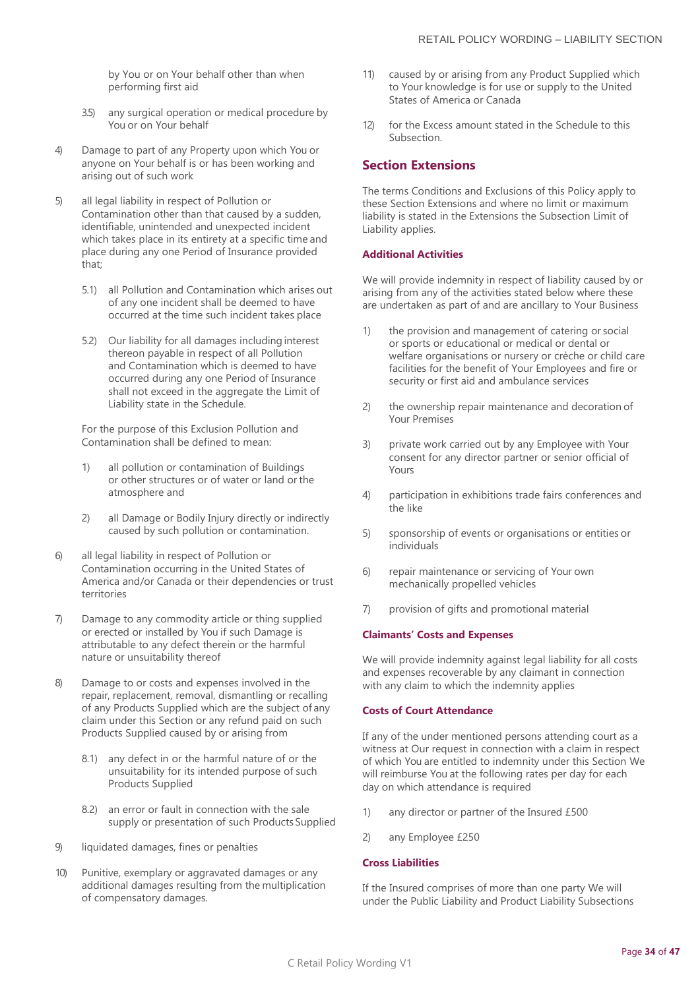by You or on Your behalf other than when performing first aid

- 3.5) any surgical operation or medical procedure by You or on Your behalf
- 4) Damage to part of any Property upon which You or anyone on Your behalf is or has been working and arising out of such work
- 5) all legal liability in respect of Pollution or Contamination other than that caused by a sudden, identifiable, unintended and unexpected incident which takes place in its entirety at a specific time and place during any one Period of Insurance provided that;
	- 5.1) all Pollution and Contamination which arises out of any one incident shall be deemed to have occurred at the time such incident takes place
	- 5.2) Our liability for all damages including interest thereon payable in respect of all Pollution and Contamination which is deemed to have occurred during any one Period of Insurance shall not exceed in the aggregate the Limit of Liability state in the Schedule.

For the purpose of this Exclusion Pollution and Contamination shall be defined to mean:

- 1) all pollution or contamination of Buildings or other structures or of water or land or the atmosphere and
- 2) all Damage or Bodily Injury directly or indirectly caused by such pollution or contamination.
- 6) all legal liability in respect of Pollution or Contamination occurring in the United States of America and/or Canada or their dependencies or trust territories
- 7) Damage to any commodity article or thing supplied or erected or installed by You if such Damage is attributable to any defect therein or the harmful nature or unsuitability thereof
- 8) Damage to or costs and expenses involved in the repair, replacement, removal, dismantling or recalling of any Products Supplied which are the subject of any claim under this Section or any refund paid on such Products Supplied caused by or arising from
	- 8.1) any defect in or the harmful nature of or the unsuitability for its intended purpose of such Products Supplied
	- 8.2) an error or fault in connection with the sale supply or presentation of such Products Supplied
- 9) liquidated damages, fines or penalties
- 10) Punitive, exemplary or aggravated damages or any additional damages resulting from the multiplication of compensatory damages.
- 11) caused by or arising from any Product Supplied which to Your knowledge is for use or supply to the United States of America or Canada
- 12) for the Excess amount stated in the Schedule to this Subsection.

#### **Section Extensions**

The terms Conditions and Exclusions of this Policy apply to these Section Extensions and where no limit or maximum liability is stated in the Extensions the Subsection Limit of Liability applies.

#### **Additional Activities**

We will provide indemnity in respect of liability caused by or arising from any of the activities stated below where these are undertaken as part of and are ancillary to Your Business

- 1) the provision and management of catering or social or sports or educational or medical or dental or welfare organisations or nursery or crèche or child care facilities for the benefit of Your Employees and fire or security or first aid and ambulance services
- 2) the ownership repair maintenance and decoration of Your Premises
- 3) private work carried out by any Employee with Your consent for any director partner or senior official of Yours
- 4) participation in exhibitions trade fairs conferences and the like
- 5) sponsorship of events or organisations or entities or individuals
- 6) repair maintenance or servicing of Your own mechanically propelled vehicles
- 7) provision of gifts and promotional material

#### **Claimants' Costs and Expenses**

We will provide indemnity against legal liability for all costs and expenses recoverable by any claimant in connection with any claim to which the indemnity applies

#### **Costs of Court Attendance**

If any of the under mentioned persons attending court as a witness at Our request in connection with a claim in respect of which You are entitled to indemnity under this Section We will reimburse You at the following rates per day for each day on which attendance is required

- 1) any director or partner of the Insured £500
- 2) any Employee £250

#### **Cross Liabilities**

If the Insured comprises of more than one party We will under the Public Liability and Product Liability Subsections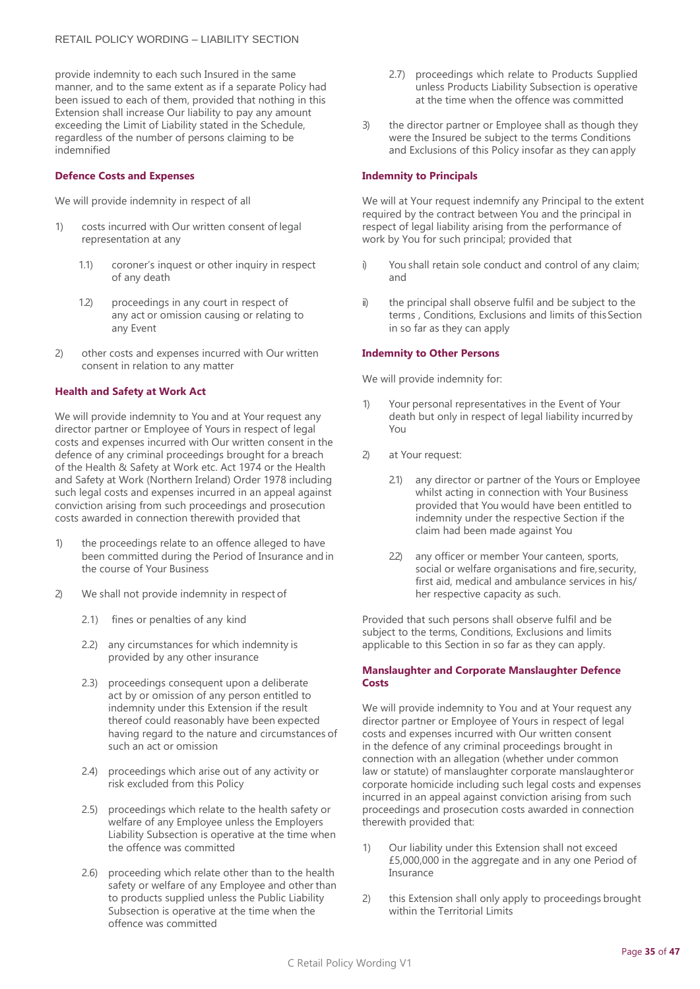provide indemnity to each such Insured in the same manner, and to the same extent as if a separate Policy had been issued to each of them, provided that nothing in this Extension shall increase Our liability to pay any amount exceeding the Limit of Liability stated in the Schedule, regardless of the number of persons claiming to be indemnified

#### **Defence Costs and Expenses**

We will provide indemnity in respect of all

- costs incurred with Our written consent of legal representation at any
	- 1.1) coroner's inquest or other inquiry in respect of any death
	- 1.2) proceedings in any court in respect of any act or omission causing or relating to any Event
- 2) other costs and expenses incurred with Our written consent in relation to any matter

#### **Health and Safety at Work Act**

We will provide indemnity to You and at Your request any director partner or Employee of Yours in respect of legal costs and expenses incurred with Our written consent in the defence of any criminal proceedings brought for a breach of the Health & Safety at Work etc. Act 1974 or the Health and Safety at Work (Northern Ireland) Order 1978 including such legal costs and expenses incurred in an appeal against conviction arising from such proceedings and prosecution costs awarded in connection therewith provided that

- 1) the proceedings relate to an offence alleged to have been committed during the Period of Insurance and in the course of Your Business
- 2) We shall not provide indemnity in respect of
	- 2.1) fines or penalties of any kind
	- 2.2) any circumstances for which indemnity is provided by any other insurance
	- 2.3) proceedings consequent upon a deliberate act by or omission of any person entitled to indemnity under this Extension if the result thereof could reasonably have been expected having regard to the nature and circumstances of such an act or omission
	- 2.4) proceedings which arise out of any activity or risk excluded from this Policy
	- 2.5) proceedings which relate to the health safety or welfare of any Employee unless the Employers Liability Subsection is operative at the time when the offence was committed
	- 2.6) proceeding which relate other than to the health safety or welfare of any Employee and other than to products supplied unless the Public Liability Subsection is operative at the time when the offence was committed
- 2.7) proceedings which relate to Products Supplied unless Products Liability Subsection is operative at the time when the offence was committed
- 3) the director partner or Employee shall as though they were the Insured be subject to the terms Conditions and Exclusions of this Policy insofar as they can apply

#### **Indemnity to Principals**

We will at Your request indemnify any Principal to the extent required by the contract between You and the principal in respect of legal liability arising from the performance of work by You for such principal; provided that

- i) You shall retain sole conduct and control of any claim; and
- ii) the principal shall observe fulfil and be subject to the terms , Conditions, Exclusions and limits of thisSection in so far as they can apply

#### **Indemnity to Other Persons**

We will provide indemnity for:

- 1) Your personal representatives in the Event of Your death but only in respect of legal liability incurredby You
- 2) at Your request:
	- 2.1) any director or partner of the Yours or Employee whilst acting in connection with Your Business provided that You would have been entitled to indemnity under the respective Section if the claim had been made against You
	- 2.2) any officer or member Your canteen, sports, social or welfare organisations and fire, security, first aid, medical and ambulance services in his/ her respective capacity as such.

Provided that such persons shall observe fulfil and be subject to the terms, Conditions, Exclusions and limits applicable to this Section in so far as they can apply.

#### **Manslaughter and Corporate Manslaughter Defence Costs**

We will provide indemnity to You and at Your request any director partner or Employee of Yours in respect of legal costs and expenses incurred with Our written consent in the defence of any criminal proceedings brought in connection with an allegation (whether under common law or statute) of manslaughter corporate manslaughteror corporate homicide including such legal costs and expenses incurred in an appeal against conviction arising from such proceedings and prosecution costs awarded in connection therewith provided that:

- 1) Our liability under this Extension shall not exceed £5,000,000 in the aggregate and in any one Period of Insurance
- 2) this Extension shall only apply to proceedings brought within the Territorial Limits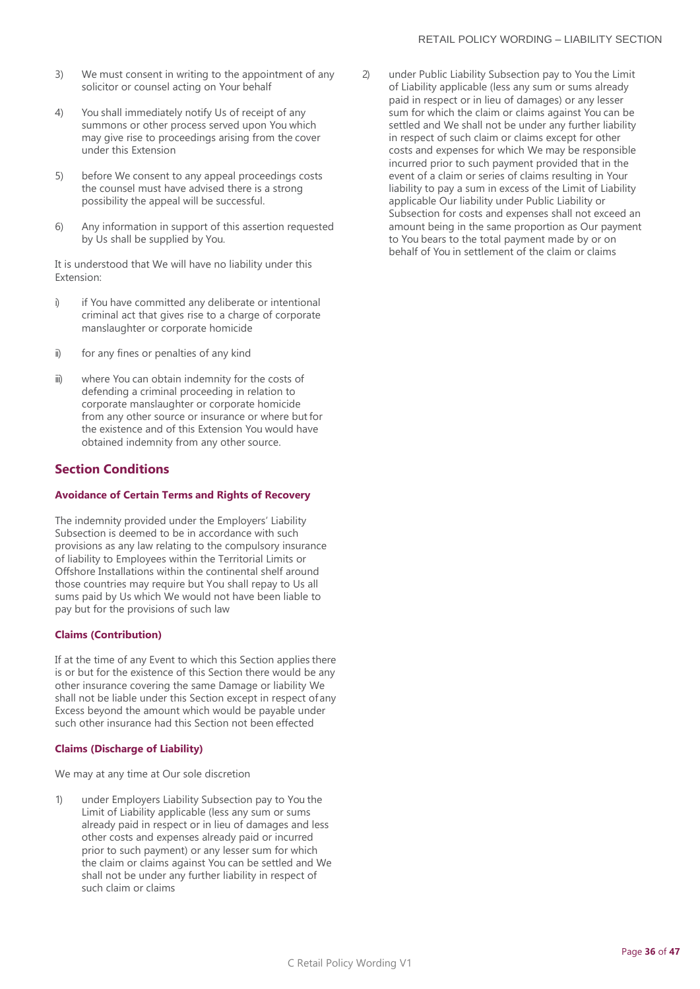- 3) We must consent in writing to the appointment of any solicitor or counsel acting on Your behalf
- 4) You shall immediately notify Us of receipt of any summons or other process served upon You which may give rise to proceedings arising from the cover under this Extension
- 5) before We consent to any appeal proceedings costs the counsel must have advised there is a strong possibility the appeal will be successful.
- 6) Any information in support of this assertion requested by Us shall be supplied by You.

It is understood that We will have no liability under this Extension:

- i) if You have committed any deliberate or intentional criminal act that gives rise to a charge of corporate manslaughter or corporate homicide
- ii) for any fines or penalties of any kind
- iii) where You can obtain indemnity for the costs of defending a criminal proceeding in relation to corporate manslaughter or corporate homicide from any other source or insurance or where but for the existence and of this Extension You would have obtained indemnity from any other source.

## **Section Conditions**

#### **Avoidance of Certain Terms and Rights of Recovery**

The indemnity provided under the Employers' Liability Subsection is deemed to be in accordance with such provisions as any law relating to the compulsory insurance of liability to Employees within the Territorial Limits or Offshore Installations within the continental shelf around those countries may require but You shall repay to Us all sums paid by Us which We would not have been liable to pay but for the provisions of such law

#### **Claims (Contribution)**

If at the time of any Event to which this Section applies there is or but for the existence of this Section there would be any other insurance covering the same Damage or liability We shall not be liable under this Section except in respect of any Excess beyond the amount which would be payable under such other insurance had this Section not been effected

#### **Claims (Discharge of Liability)**

We may at any time at Our sole discretion

1) under Employers Liability Subsection pay to You the Limit of Liability applicable (less any sum or sums already paid in respect or in lieu of damages and less other costs and expenses already paid or incurred prior to such payment) or any lesser sum for which the claim or claims against You can be settled and We shall not be under any further liability in respect of such claim or claims

2) under Public Liability Subsection pay to You the Limit of Liability applicable (less any sum or sums already paid in respect or in lieu of damages) or any lesser sum for which the claim or claims against You can be settled and We shall not be under any further liability in respect of such claim or claims except for other costs and expenses for which We may be responsible incurred prior to such payment provided that in the event of a claim or series of claims resulting in Your liability to pay a sum in excess of the Limit of Liability applicable Our liability under Public Liability or Subsection for costs and expenses shall not exceed an amount being in the same proportion as Our payment to You bears to the total payment made by or on behalf of You in settlement of the claim or claims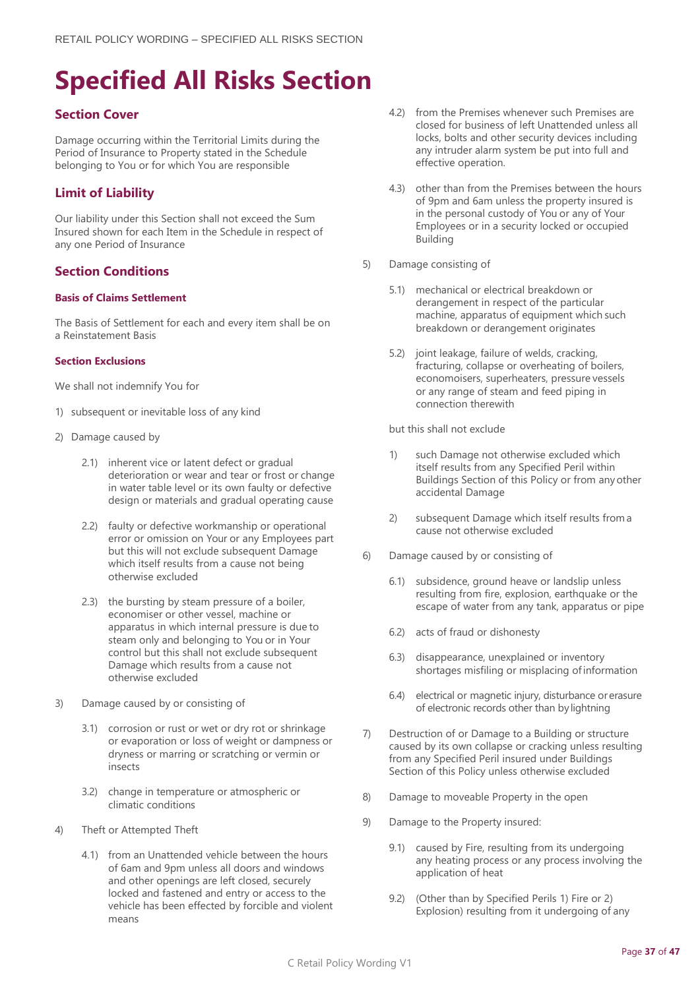# <span id="page-36-0"></span>**Specified All Risks Section**

## **Section Cover**

Damage occurring within the Territorial Limits during the Period of Insurance to Property stated in the Schedule belonging to You or for which You are responsible

## **Limit of Liability**

Our liability under this Section shall not exceed the Sum Insured shown for each Item in the Schedule in respect of any one Period of Insurance

## **Section Conditions**

## **Basis of Claims Settlement**

The Basis of Settlement for each and every item shall be on a Reinstatement Basis

## **Section Exclusions**

We shall not indemnify You for

- 1) subsequent or inevitable loss of any kind
- 2) Damage caused by
	- 2.1) inherent vice or latent defect or gradual deterioration or wear and tear or frost or change in water table level or its own faulty or defective design or materials and gradual operating cause
	- 2.2) faulty or defective workmanship or operational error or omission on Your or any Employees part but this will not exclude subsequent Damage which itself results from a cause not being otherwise excluded
	- 2.3) the bursting by steam pressure of a boiler, economiser or other vessel, machine or apparatus in which internal pressure is due to steam only and belonging to You or in Your control but this shall not exclude subsequent Damage which results from a cause not otherwise excluded
- 3) Damage caused by or consisting of
	- 3.1) corrosion or rust or wet or dry rot or shrinkage or evaporation or loss of weight or dampness or dryness or marring or scratching or vermin or insects
	- 3.2) change in temperature or atmospheric or climatic conditions
- 4) Theft or Attempted Theft
	- 4.1) from an Unattended vehicle between the hours of 6am and 9pm unless all doors and windows and other openings are left closed, securely locked and fastened and entry or access to the vehicle has been effected by forcible and violent means
- 4.2) from the Premises whenever such Premises are closed for business of left Unattended unless all locks, bolts and other security devices including any intruder alarm system be put into full and effective operation.
- 4.3) other than from the Premises between the hours of 9pm and 6am unless the property insured is in the personal custody of You or any of Your Employees or in a security locked or occupied Building
- 5) Damage consisting of
	- 5.1) mechanical or electrical breakdown or derangement in respect of the particular machine, apparatus of equipment which such breakdown or derangement originates
	- 5.2) joint leakage, failure of welds, cracking, fracturing, collapse or overheating of boilers, economoisers, superheaters, pressure vessels or any range of steam and feed piping in connection therewith

but this shall not exclude

- 1) such Damage not otherwise excluded which itself results from any Specified Peril within Buildings Section of this Policy or from anyother accidental Damage
- 2) subsequent Damage which itself results froma cause not otherwise excluded
- 6) Damage caused by or consisting of
	- 6.1) subsidence, ground heave or landslip unless resulting from fire, explosion, earthquake or the escape of water from any tank, apparatus or pipe
	- 6.2) acts of fraud or dishonesty
	- 6.3) disappearance, unexplained or inventory shortages misfiling or misplacing ofinformation
	- 6.4) electrical or magnetic injury, disturbance or erasure of electronic records other than by lightning
- 7) Destruction of or Damage to a Building or structure caused by its own collapse or cracking unless resulting from any Specified Peril insured under Buildings Section of this Policy unless otherwise excluded
- 8) Damage to moveable Property in the open
- 9) Damage to the Property insured:
	- 9.1) caused by Fire, resulting from its undergoing any heating process or any process involving the application of heat
	- 9.2) (Other than by Specified Perils 1) Fire or 2) Explosion) resulting from it undergoing of any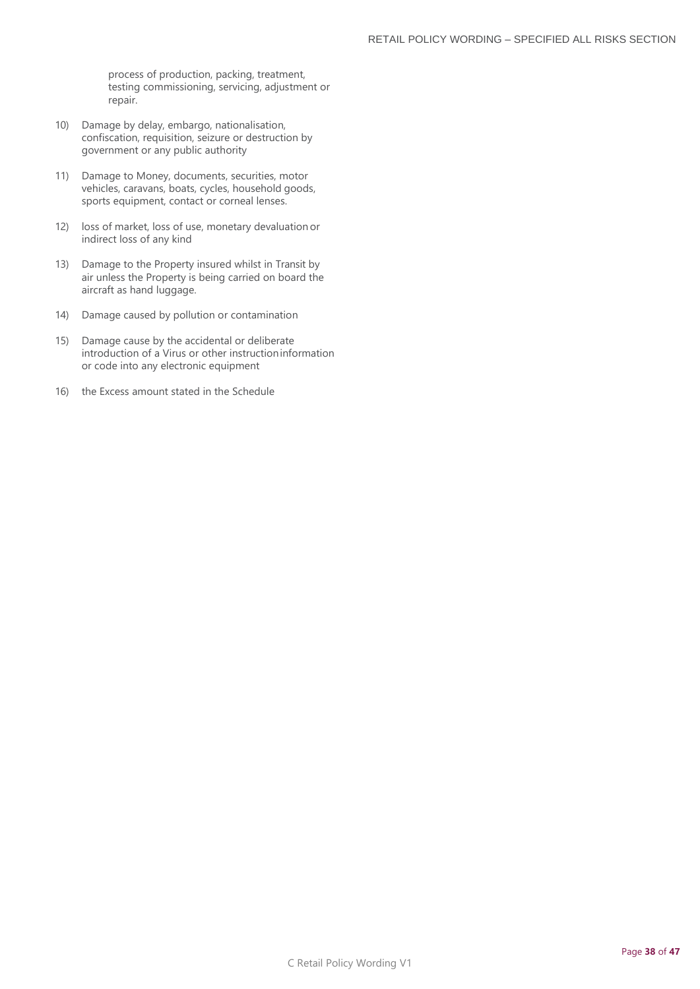process of production, packing, treatment, testing commissioning, servicing, adjustment or repair.

- 10) Damage by delay, embargo, nationalisation, confiscation, requisition, seizure or destruction by government or any public authority
- 11) Damage to Money, documents, securities, motor vehicles, caravans, boats, cycles, household goods, sports equipment, contact or corneal lenses.
- 12) loss of market, loss of use, monetary devaluation or indirect loss of any kind
- 13) Damage to the Property insured whilst in Transit by air unless the Property is being carried on board the aircraft as hand luggage.
- 14) Damage caused by pollution or contamination
- 15) Damage cause by the accidental or deliberate introduction of a Virus or other instructioninformation or code into any electronic equipment
- 16) the Excess amount stated in the Schedule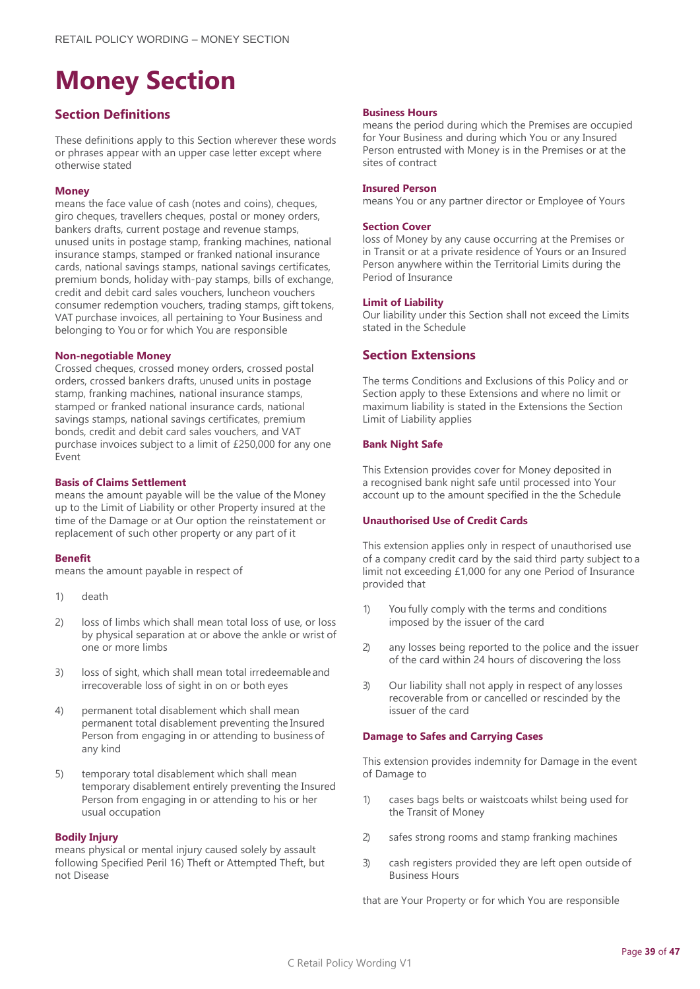## <span id="page-38-0"></span>**Money Section**

## **Section Definitions**

These definitions apply to this Section wherever these words or phrases appear with an upper case letter except where otherwise stated

#### **Money**

means the face value of cash (notes and coins), cheques, giro cheques, travellers cheques, postal or money orders, bankers drafts, current postage and revenue stamps, unused units in postage stamp, franking machines, national insurance stamps, stamped or franked national insurance cards, national savings stamps, national savings certificates, premium bonds, holiday with-pay stamps, bills of exchange, credit and debit card sales vouchers, luncheon vouchers consumer redemption vouchers, trading stamps, gift tokens, VAT purchase invoices, all pertaining to Your Business and belonging to You or for which You are responsible

#### **Non-negotiable Money**

Crossed cheques, crossed money orders, crossed postal orders, crossed bankers drafts, unused units in postage stamp, franking machines, national insurance stamps, stamped or franked national insurance cards, national savings stamps, national savings certificates, premium bonds, credit and debit card sales vouchers, and VAT purchase invoices subject to a limit of £250,000 for any one .<br>Event

#### **Basis of Claims Settlement**

means the amount payable will be the value of the Money up to the Limit of Liability or other Property insured at the time of the Damage or at Our option the reinstatement or replacement of such other property or any part of it

#### **Benefit**

means the amount payable in respect of

- 1) death
- 2) loss of limbs which shall mean total loss of use, or loss by physical separation at or above the ankle or wrist of one or more limbs
- 3) loss of sight, which shall mean total irredeemableand irrecoverable loss of sight in on or both eyes
- 4) permanent total disablement which shall mean permanent total disablement preventing the Insured Person from engaging in or attending to business of any kind
- 5) temporary total disablement which shall mean temporary disablement entirely preventing the Insured Person from engaging in or attending to his or her usual occupation

#### **Bodily Injury**

means physical or mental injury caused solely by assault following Specified Peril 16) Theft or Attempted Theft, but not Disease

#### **Business Hours**

means the period during which the Premises are occupied for Your Business and during which You or any Insured Person entrusted with Money is in the Premises or at the sites of contract

#### **Insured Person**

means You or any partner director or Employee of Yours

#### **Section Cover**

loss of Money by any cause occurring at the Premises or in Transit or at a private residence of Yours or an Insured Person anywhere within the Territorial Limits during the Period of Insurance

#### **Limit of Liability**

Our liability under this Section shall not exceed the Limits stated in the Schedule

## **Section Extensions**

The terms Conditions and Exclusions of this Policy and or Section apply to these Extensions and where no limit or maximum liability is stated in the Extensions the Section Limit of Liability applies

#### **Bank Night Safe**

This Extension provides cover for Money deposited in a recognised bank night safe until processed into Your account up to the amount specified in the the Schedule

#### **Unauthorised Use of Credit Cards**

This extension applies only in respect of unauthorised use of a company credit card by the said third party subject to a limit not exceeding £1,000 for any one Period of Insurance provided that

- 1) You fully comply with the terms and conditions imposed by the issuer of the card
- 2) any losses being reported to the police and the issuer of the card within 24 hours of discovering the loss
- 3) Our liability shall not apply in respect of anylosses recoverable from or cancelled or rescinded by the issuer of the card

#### **Damage to Safes and Carrying Cases**

This extension provides indemnity for Damage in the event of Damage to

- 1) cases bags belts or waistcoats whilst being used for the Transit of Money
- 2) safes strong rooms and stamp franking machines
- 3) cash registers provided they are left open outside of Business Hours

that are Your Property or for which You are responsible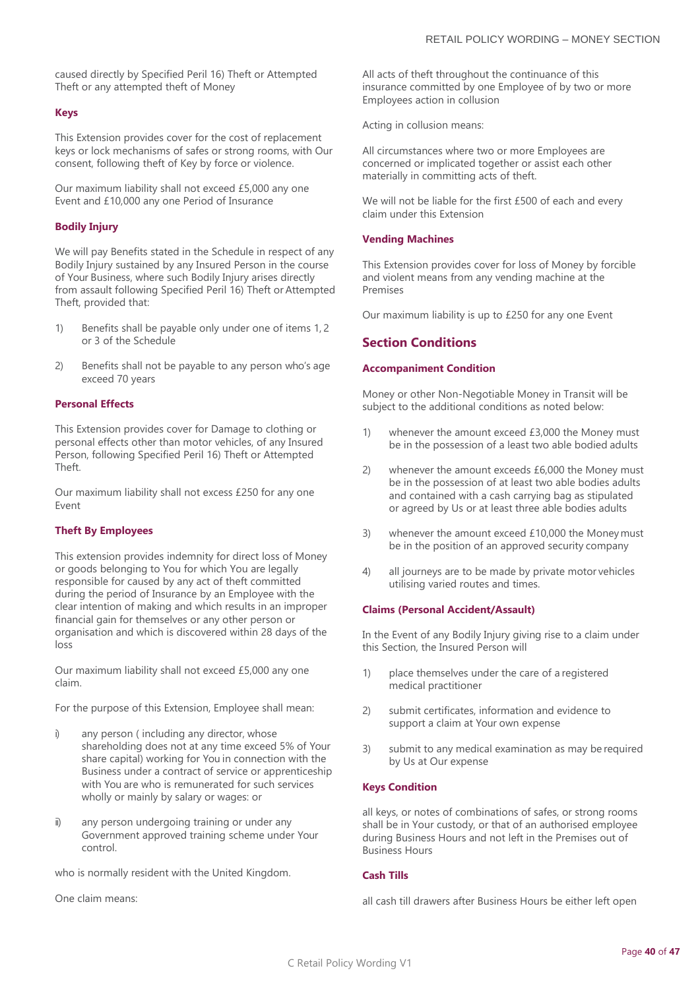caused directly by Specified Peril 16) Theft or Attempted Theft or any attempted theft of Money

#### **Keys**

This Extension provides cover for the cost of replacement keys or lock mechanisms of safes or strong rooms, with Our consent, following theft of Key by force or violence.

Our maximum liability shall not exceed £5,000 any one Event and £10,000 any one Period of Insurance

#### **Bodily Injury**

We will pay Benefits stated in the Schedule in respect of any Bodily Injury sustained by any Insured Person in the course of Your Business, where such Bodily Injury arises directly from assault following Specified Peril 16) Theft or Attempted Theft, provided that:

- 1) Benefits shall be payable only under one of items 1, 2 or 3 of the Schedule
- 2) Benefits shall not be payable to any person who's age exceed 70 years

#### **Personal Effects**

This Extension provides cover for Damage to clothing or personal effects other than motor vehicles, of any Insured Person, following Specified Peril 16) Theft or Attempted Theft.

Our maximum liability shall not excess £250 for any one Event

#### **Theft By Employees**

This extension provides indemnity for direct loss of Money or goods belonging to You for which You are legally responsible for caused by any act of theft committed during the period of Insurance by an Employee with the clear intention of making and which results in an improper financial gain for themselves or any other person or organisation and which is discovered within 28 days of the loss

Our maximum liability shall not exceed £5,000 any one claim.

For the purpose of this Extension, Employee shall mean:

- i) any person ( including any director, whose shareholding does not at any time exceed 5% of Your share capital) working for You in connection with the Business under a contract of service or apprenticeship with You are who is remunerated for such services wholly or mainly by salary or wages: or
- ii) any person undergoing training or under any Government approved training scheme under Your control.

who is normally resident with the United Kingdom.

One claim means:

All acts of theft throughout the continuance of this insurance committed by one Employee of by two or more Employees action in collusion

Acting in collusion means:

All circumstances where two or more Employees are concerned or implicated together or assist each other materially in committing acts of theft.

We will not be liable for the first £500 of each and every claim under this Extension

#### **Vending Machines**

This Extension provides cover for loss of Money by forcible and violent means from any vending machine at the Premises

Our maximum liability is up to £250 for any one Event

#### **Section Conditions**

#### **Accompaniment Condition**

Money or other Non-Negotiable Money in Transit will be subject to the additional conditions as noted below:

- 1) whenever the amount exceed £3,000 the Money must be in the possession of a least two able bodied adults
- 2) whenever the amount exceeds £6,000 the Money must be in the possession of at least two able bodies adults and contained with a cash carrying bag as stipulated or agreed by Us or at least three able bodies adults
- 3) whenever the amount exceed £10,000 the Money must be in the position of an approved security company
- 4) all journeys are to be made by private motor vehicles utilising varied routes and times.

#### **Claims (Personal Accident/Assault)**

In the Event of any Bodily Injury giving rise to a claim under this Section, the Insured Person will

- 1) place themselves under the care of a registered medical practitioner
- 2) submit certificates, information and evidence to support a claim at Your own expense
- 3) submit to any medical examination as may be required by Us at Our expense

#### **Keys Condition**

all keys, or notes of combinations of safes, or strong rooms shall be in Your custody, or that of an authorised employee during Business Hours and not left in the Premises out of Business Hours

#### **Cash Tills**

all cash till drawers after Business Hours be either left open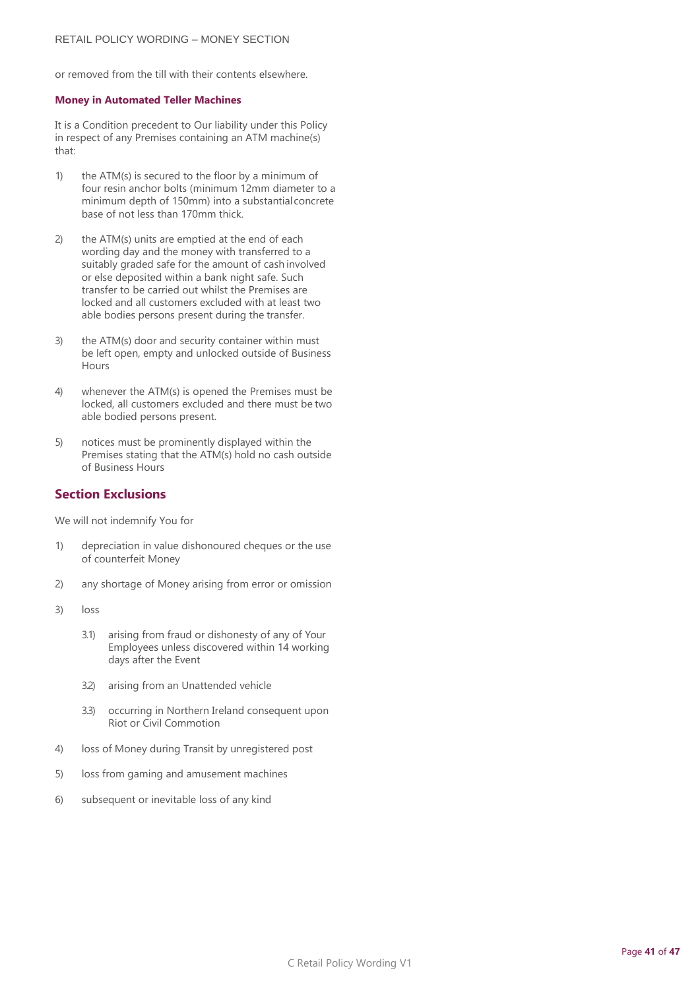or removed from the till with their contents elsewhere.

#### **Money in Automated Teller Machines**

It is a Condition precedent to Our liability under this Policy in respect of any Premises containing an ATM machine(s) that:

- 1) the ATM(s) is secured to the floor by a minimum of four resin anchor bolts (minimum 12mm diameter to a minimum depth of 150mm) into a substantialconcrete base of not less than 170mm thick.
- 2) the ATM(s) units are emptied at the end of each wording day and the money with transferred to a suitably graded safe for the amount of cash involved or else deposited within a bank night safe. Such transfer to be carried out whilst the Premises are locked and all customers excluded with at least two able bodies persons present during the transfer.
- 3) the ATM(s) door and security container within must be left open, empty and unlocked outside of Business Hours
- 4) whenever the ATM(s) is opened the Premises must be locked, all customers excluded and there must be two able bodied persons present.
- 5) notices must be prominently displayed within the Premises stating that the ATM(s) hold no cash outside of Business Hours

## **Section Exclusions**

We will not indemnify You for

- 1) depreciation in value dishonoured cheques or the use of counterfeit Money
- 2) any shortage of Money arising from error or omission
- 3) loss
	- 3.1) arising from fraud or dishonesty of any of Your Employees unless discovered within 14 working days after the Event
	- 3.2) arising from an Unattended vehicle
	- 3.3) occurring in Northern Ireland consequent upon Riot or Civil Commotion
- 4) loss of Money during Transit by unregistered post
- 5) loss from gaming and amusement machines
- 6) subsequent or inevitable loss of any kind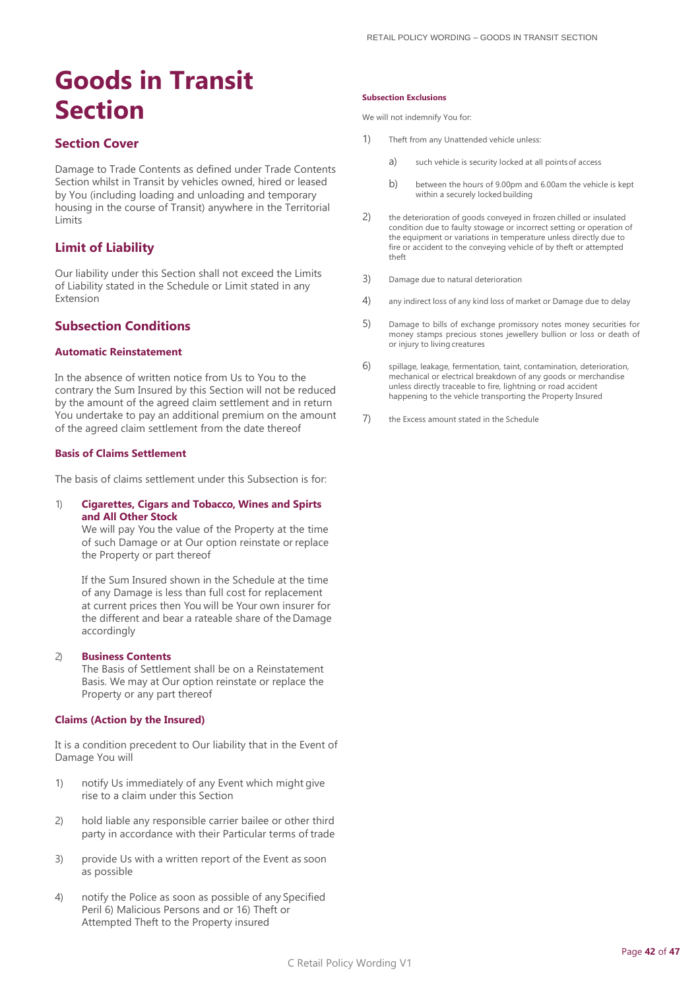## <span id="page-41-0"></span>**Goods in Transit Section**

## **Section Cover**

Damage to Trade Contents as defined under Trade Contents Section whilst in Transit by vehicles owned, hired or leased by You (including loading and unloading and temporary housing in the course of Transit) anywhere in the Territorial Limits

## **Limit of Liability**

Our liability under this Section shall not exceed the Limits of Liability stated in the Schedule or Limit stated in any Extension

## **Subsection Conditions**

#### **Automatic Reinstatement**

In the absence of written notice from Us to You to the contrary the Sum Insured by this Section will not be reduced by the amount of the agreed claim settlement and in return You undertake to pay an additional premium on the amount of the agreed claim settlement from the date thereof

#### **Basis of Claims Settlement**

The basis of claims settlement under this Subsection is for:

#### 1) **Cigarettes, Cigars and Tobacco, Wines and Spirts and All Other Stock**

We will pay You the value of the Property at the time of such Damage or at Our option reinstate or replace the Property or part thereof

If the Sum Insured shown in the Schedule at the time of any Damage is less than full cost for replacement at current prices then You will be Your own insurer for the different and bear a rateable share of the Damage accordingly

#### 2) **Business Contents**

The Basis of Settlement shall be on a Reinstatement Basis. We may at Our option reinstate or replace the Property or any part thereof

#### **Claims (Action by the Insured)**

It is a condition precedent to Our liability that in the Event of Damage You will

- 1) notify Us immediately of any Event which might give rise to a claim under this Section
- 2) hold liable any responsible carrier bailee or other third party in accordance with their Particular terms of trade
- 3) provide Us with a written report of the Event as soon as possible
- 4) notify the Police as soon as possible of any Specified Peril 6) Malicious Persons and or 16) Theft or Attempted Theft to the Property insured

#### **Subsection Exclusions**

We will not indemnify You for:

- 1) Theft from any Unattended vehicle unless:
	- a) such vehicle is security locked at all points of access
	- b) between the hours of 9.00pm and 6.00am the vehicle is kept within a securely locked building
- 2) the deterioration of goods conveyed in frozen chilled or insulated condition due to faulty stowage or incorrect setting or operation of the equipment or variations in temperature unless directly due to fire or accident to the conveying vehicle of by theft or attempted theft
- 3) Damage due to natural deterioration
- 4) any indirect loss of any kind loss of market or Damage due to delay
- 5) Damage to bills of exchange promissory notes money securities for money stamps precious stones jewellery bullion or loss or death of or injury to living creatures
- 6) spillage, leakage, fermentation, taint, contamination, deterioration, mechanical or electrical breakdown of any goods or merchandise unless directly traceable to fire, lightning or road accident happening to the vehicle transporting the Property Insured
- 7) the Excess amount stated in the Schedule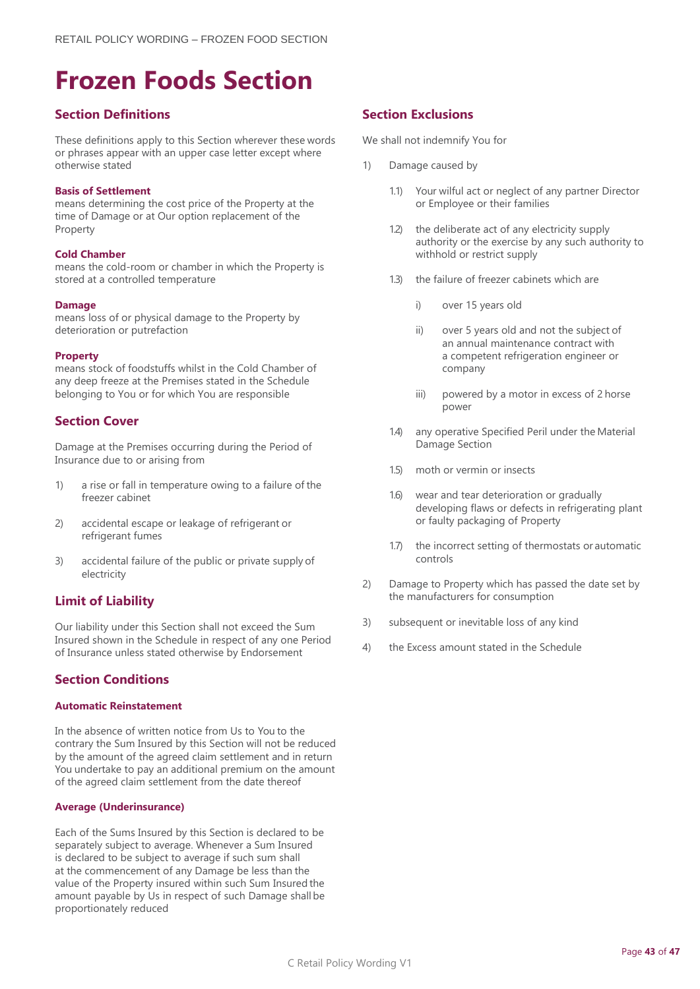## <span id="page-42-0"></span>**Frozen Foods Section**

## **Section Definitions**

These definitions apply to this Section wherever these words or phrases appear with an upper case letter except where otherwise stated

#### **Basis of Settlement**

means determining the cost price of the Property at the time of Damage or at Our option replacement of the Property

#### **Cold Chamber**

means the cold-room or chamber in which the Property is stored at a controlled temperature

#### **Damage**

means loss of or physical damage to the Property by deterioration or putrefaction

#### **Property**

means stock of foodstuffs whilst in the Cold Chamber of any deep freeze at the Premises stated in the Schedule belonging to You or for which You are responsible

## **Section Cover**

Damage at the Premises occurring during the Period of Insurance due to or arising from

- 1) a rise or fall in temperature owing to a failure of the freezer cabinet
- 2) accidental escape or leakage of refrigerant or refrigerant fumes
- 3) accidental failure of the public or private supply of electricity

## **Limit of Liability**

Our liability under this Section shall not exceed the Sum Insured shown in the Schedule in respect of any one Period of Insurance unless stated otherwise by Endorsement

## **Section Conditions**

#### **Automatic Reinstatement**

In the absence of written notice from Us to You to the contrary the Sum Insured by this Section will not be reduced by the amount of the agreed claim settlement and in return You undertake to pay an additional premium on the amount of the agreed claim settlement from the date thereof

#### **Average (Underinsurance)**

Each of the Sums Insured by this Section is declared to be separately subject to average. Whenever a Sum Insured is declared to be subject to average if such sum shall at the commencement of any Damage be less than the value of the Property insured within such Sum Insured the amount payable by Us in respect of such Damage shall be proportionately reduced

## **Section Exclusions**

We shall not indemnify You for

- 1) Damage caused by
	- 1.1) Your wilful act or neglect of any partner Director or Employee or their families
	- 1.2) the deliberate act of any electricity supply authority or the exercise by any such authority to withhold or restrict supply
	- 1.3) the failure of freezer cabinets which are
		- i) over 15 years old
		- ii) over 5 years old and not the subject of an annual maintenance contract with a competent refrigeration engineer or company
		- iii) powered by a motor in excess of 2 horse power
	- 1.4) any operative Specified Peril under the Material Damage Section
	- 1.5) moth or vermin or insects
	- 1.6) wear and tear deterioration or gradually developing flaws or defects in refrigerating plant or faulty packaging of Property
	- 1.7) the incorrect setting of thermostats or automatic controls
- 2) Damage to Property which has passed the date set by the manufacturers for consumption
- 3) subsequent or inevitable loss of any kind
- 4) the Excess amount stated in the Schedule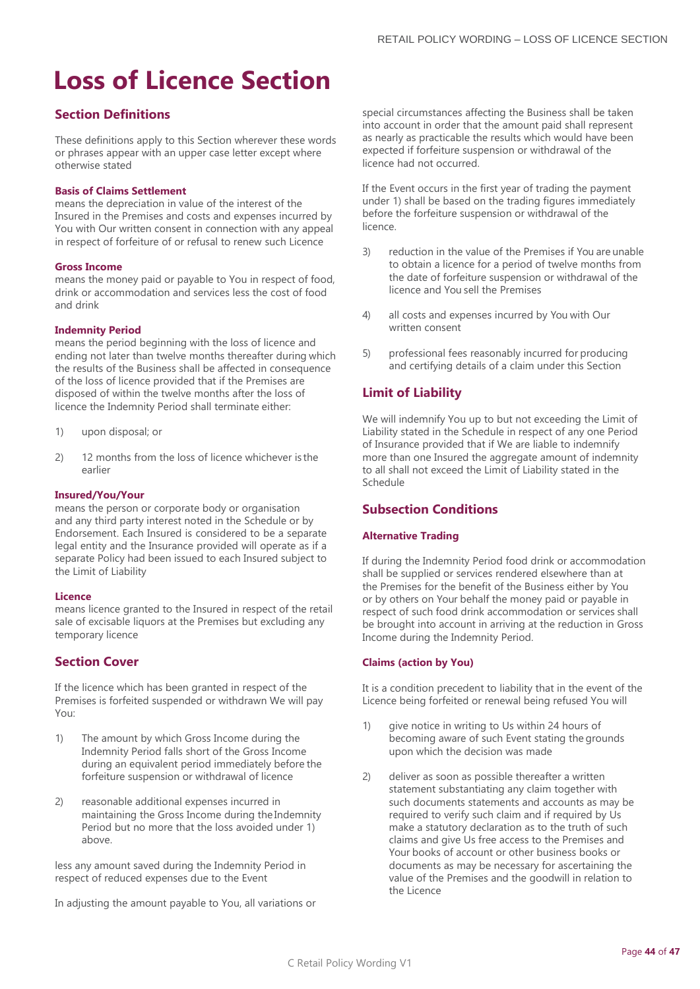## <span id="page-43-0"></span>**Loss of Licence Section**

## **Section Definitions**

These definitions apply to this Section wherever these words or phrases appear with an upper case letter except where otherwise stated

#### **Basis of Claims Settlement**

means the depreciation in value of the interest of the Insured in the Premises and costs and expenses incurred by You with Our written consent in connection with any appeal in respect of forfeiture of or refusal to renew such Licence

#### **Gross Income**

means the money paid or payable to You in respect of food, drink or accommodation and services less the cost of food and drink

#### **Indemnity Period**

means the period beginning with the loss of licence and ending not later than twelve months thereafter during which the results of the Business shall be affected in consequence of the loss of licence provided that if the Premises are disposed of within the twelve months after the loss of licence the Indemnity Period shall terminate either:

- 1) upon disposal; or
- 2) 12 months from the loss of licence whichever is the earlier

#### **Insured/You/Your**

means the person or corporate body or organisation and any third party interest noted in the Schedule or by Endorsement. Each Insured is considered to be a separate legal entity and the Insurance provided will operate as if a separate Policy had been issued to each Insured subject to the Limit of Liability

#### **Licence**

means licence granted to the Insured in respect of the retail sale of excisable liquors at the Premises but excluding any temporary licence

## **Section Cover**

If the licence which has been granted in respect of the Premises is forfeited suspended or withdrawn We will pay You:

- 1) The amount by which Gross Income during the Indemnity Period falls short of the Gross Income during an equivalent period immediately before the forfeiture suspension or withdrawal of licence
- 2) reasonable additional expenses incurred in maintaining the Gross Income during theIndemnity Period but no more that the loss avoided under 1) above.

less any amount saved during the Indemnity Period in respect of reduced expenses due to the Event

In adjusting the amount payable to You, all variations or

special circumstances affecting the Business shall be taken into account in order that the amount paid shall represent as nearly as practicable the results which would have been expected if forfeiture suspension or withdrawal of the licence had not occurred.

If the Event occurs in the first year of trading the payment under 1) shall be based on the trading figures immediately before the forfeiture suspension or withdrawal of the licence.

- 3) reduction in the value of the Premises if You are unable to obtain a licence for a period of twelve months from the date of forfeiture suspension or withdrawal of the licence and You sell the Premises
- 4) all costs and expenses incurred by You with Our written consent
- 5) professional fees reasonably incurred for producing and certifying details of a claim under this Section

## **Limit of Liability**

We will indemnify You up to but not exceeding the Limit of Liability stated in the Schedule in respect of any one Period of Insurance provided that if We are liable to indemnify more than one Insured the aggregate amount of indemnity to all shall not exceed the Limit of Liability stated in the Schedule

## **Subsection Conditions**

#### **Alternative Trading**

If during the Indemnity Period food drink or accommodation shall be supplied or services rendered elsewhere than at the Premises for the benefit of the Business either by You or by others on Your behalf the money paid or payable in respect of such food drink accommodation or services shall be brought into account in arriving at the reduction in Gross Income during the Indemnity Period.

#### **Claims (action by You)**

It is a condition precedent to liability that in the event of the Licence being forfeited or renewal being refused You will

- 1) give notice in writing to Us within 24 hours of becoming aware of such Event stating the grounds upon which the decision was made
- 2) deliver as soon as possible thereafter a written statement substantiating any claim together with such documents statements and accounts as may be required to verify such claim and if required by Us make a statutory declaration as to the truth of such claims and give Us free access to the Premises and Your books of account or other business books or documents as may be necessary for ascertaining the value of the Premises and the goodwill in relation to the Licence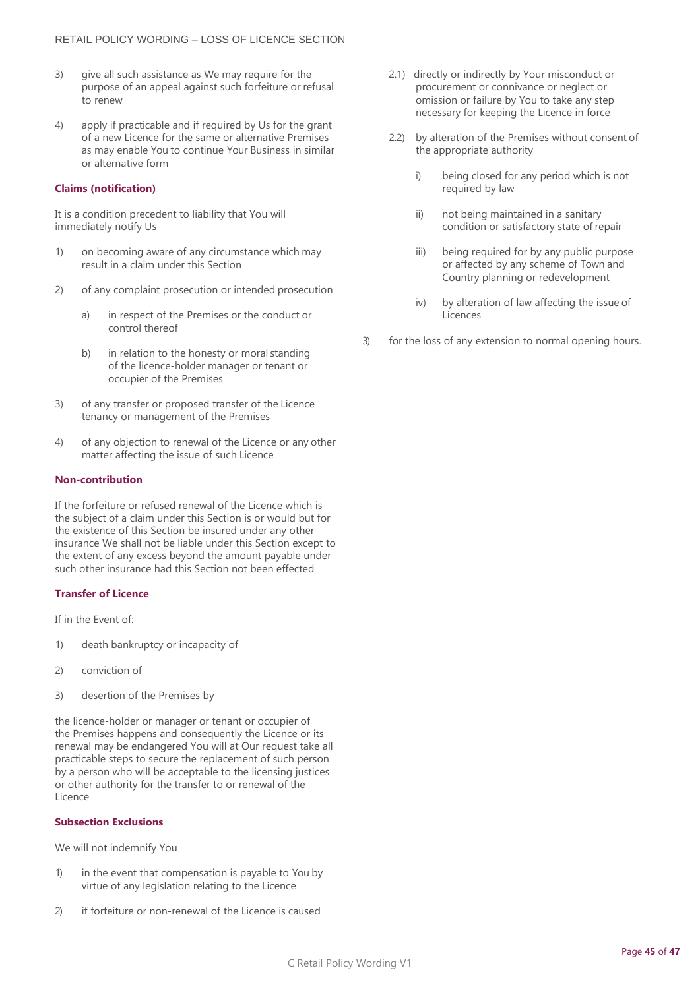- 3) give all such assistance as We may require for the purpose of an appeal against such forfeiture or refusal to renew
- 4) apply if practicable and if required by Us for the grant of a new Licence for the same or alternative Premises as may enable You to continue Your Business in similar or alternative form

#### **Claims (notification)**

It is a condition precedent to liability that You will immediately notify Us

- 1) on becoming aware of any circumstance which may result in a claim under this Section
- 2) of any complaint prosecution or intended prosecution
	- a) in respect of the Premises or the conduct or control thereof
	- b) in relation to the honesty or moral standing of the licence-holder manager or tenant or occupier of the Premises
- 3) of any transfer or proposed transfer of the Licence tenancy or management of the Premises
- 4) of any objection to renewal of the Licence or any other matter affecting the issue of such Licence

#### **Non-contribution**

If the forfeiture or refused renewal of the Licence which is the subject of a claim under this Section is or would but for the existence of this Section be insured under any other insurance We shall not be liable under this Section except to the extent of any excess beyond the amount payable under such other insurance had this Section not been effected

#### **Transfer of Licence**

If in the Event of:

- 1) death bankruptcy or incapacity of
- 2) conviction of
- 3) desertion of the Premises by

the licence-holder or manager or tenant or occupier of the Premises happens and consequently the Licence or its renewal may be endangered You will at Our request take all practicable steps to secure the replacement of such person by a person who will be acceptable to the licensing justices or other authority for the transfer to or renewal of the Licence

#### **Subsection Exclusions**

We will not indemnify You

- 1) in the event that compensation is payable to You by virtue of any legislation relating to the Licence
- 2) if forfeiture or non-renewal of the Licence is caused
- 2.1) directly or indirectly by Your misconduct or procurement or connivance or neglect or omission or failure by You to take any step necessary for keeping the Licence in force
- 2.2) by alteration of the Premises without consent of the appropriate authority
	- i) being closed for any period which is not required by law
	- ii) not being maintained in a sanitary condition or satisfactory state of repair
	- iii) being required for by any public purpose or affected by any scheme of Town and Country planning or redevelopment
	- iv) by alteration of law affecting the issue of **Licences**
- 3) for the loss of any extension to normal opening hours.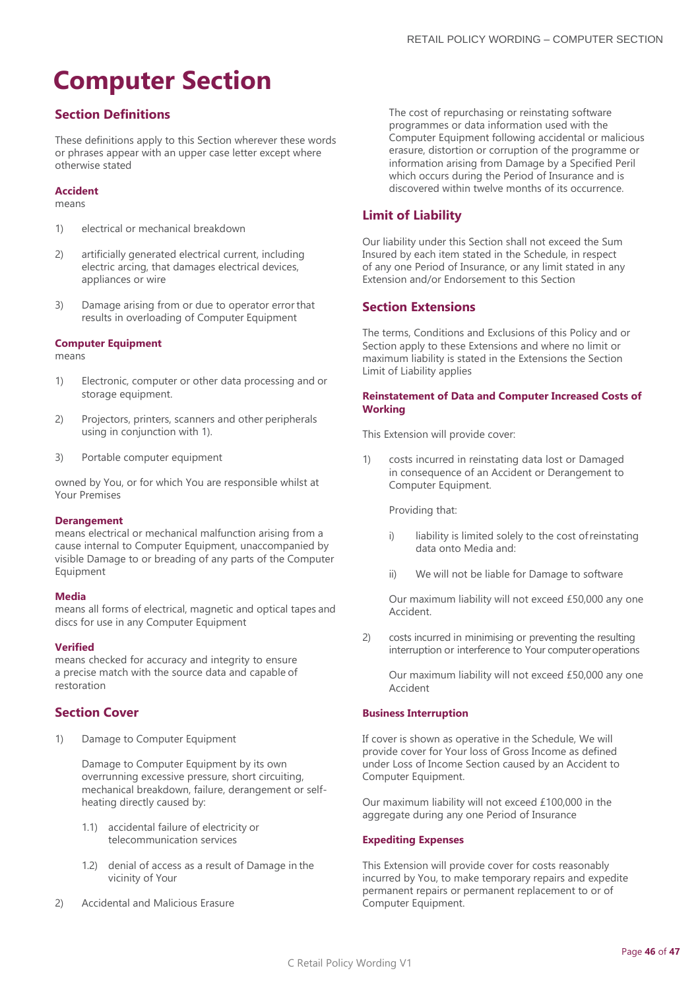## <span id="page-45-0"></span>**Computer Section**

## **Section Definitions**

These definitions apply to this Section wherever these words or phrases appear with an upper case letter except where otherwise stated

#### **Accident**

#### means

- 1) electrical or mechanical breakdown
- 2) artificially generated electrical current, including electric arcing, that damages electrical devices, appliances or wire
- 3) Damage arising from or due to operator errorthat results in overloading of Computer Equipment

#### **Computer Equipment**

means

- 1) Electronic, computer or other data processing and or storage equipment.
- 2) Projectors, printers, scanners and other peripherals using in conjunction with 1).
- 3) Portable computer equipment

owned by You, or for which You are responsible whilst at Your Premises

#### **Derangement**

means electrical or mechanical malfunction arising from a cause internal to Computer Equipment, unaccompanied by visible Damage to or breading of any parts of the Computer Equipment

#### **Media**

means all forms of electrical, magnetic and optical tapes and discs for use in any Computer Equipment

#### **Verified**

means checked for accuracy and integrity to ensure a precise match with the source data and capable of restoration

## **Section Cover**

1) Damage to Computer Equipment

Damage to Computer Equipment by its own overrunning excessive pressure, short circuiting, mechanical breakdown, failure, derangement or selfheating directly caused by:

- 1.1) accidental failure of electricity or telecommunication services
- 1.2) denial of access as a result of Damage in the vicinity of Your
- 2) Accidental and Malicious Erasure

The cost of repurchasing or reinstating software programmes or data information used with the Computer Equipment following accidental or malicious erasure, distortion or corruption of the programme or information arising from Damage by a Specified Peril which occurs during the Period of Insurance and is discovered within twelve months of its occurrence.

## **Limit of Liability**

Our liability under this Section shall not exceed the Sum Insured by each item stated in the Schedule, in respect of any one Period of Insurance, or any limit stated in any Extension and/or Endorsement to this Section

## **Section Extensions**

The terms, Conditions and Exclusions of this Policy and or Section apply to these Extensions and where no limit or maximum liability is stated in the Extensions the Section Limit of Liability applies

#### **Reinstatement of Data and Computer Increased Costs of Working**

This Extension will provide cover:

1) costs incurred in reinstating data lost or Damaged in consequence of an Accident or Derangement to Computer Equipment.

Providing that:

- i) liability is limited solely to the cost of reinstating data onto Media and:
- ii) We will not be liable for Damage to software

Our maximum liability will not exceed £50,000 any one Accident.

2) costs incurred in minimising or preventing the resulting interruption or interference to Your computer operations

Our maximum liability will not exceed £50,000 any one Accident

#### **Business Interruption**

If cover is shown as operative in the Schedule, We will provide cover for Your loss of Gross Income as defined under Loss of Income Section caused by an Accident to Computer Equipment.

Our maximum liability will not exceed £100,000 in the aggregate during any one Period of Insurance

#### **Expediting Expenses**

This Extension will provide cover for costs reasonably incurred by You, to make temporary repairs and expedite permanent repairs or permanent replacement to or of Computer Equipment.